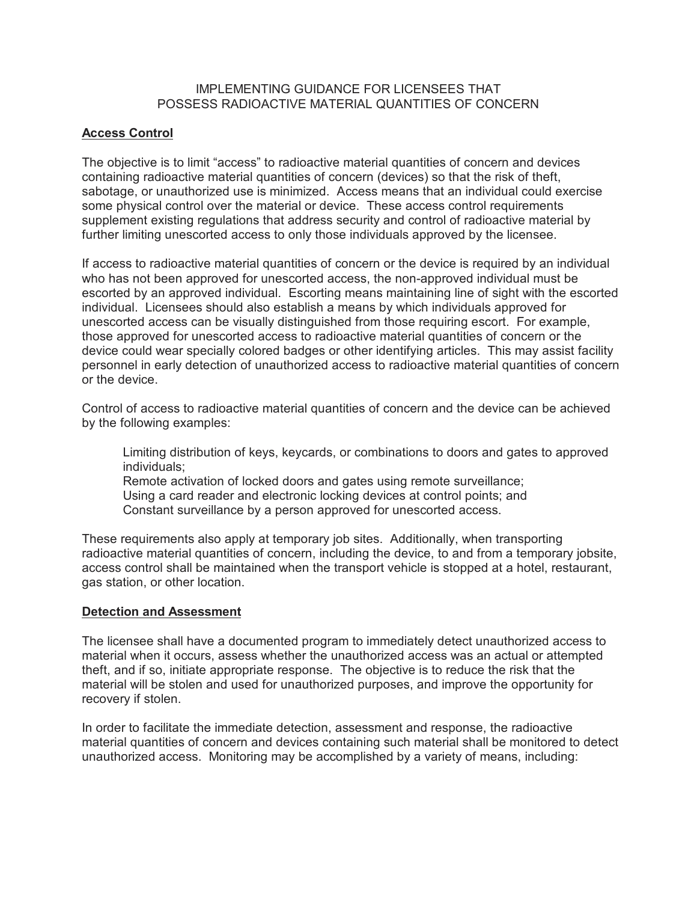#### IMPLEMENTING GUIDANCE FOR LICENSEES THAT POSSESS RADIOACTIVE MATERIAL QUANTITIES OF CONCERN

## **Access Control**

The objective is to limit "access" to radioactive material quantities of concern and devices containing radioactive material quantities of concern (devices) so that the risk of theft, sabotage, or unauthorized use is minimized. Access means that an individual could exercise some physical control over the material or device. These access control requirements supplement existing regulations that address security and control of radioactive material by further limiting unescorted access to only those individuals approved by the licensee.

If access to radioactive material quantities of concern or the device is required by an individual who has not been approved for unescorted access, the non-approved individual must be escorted by an approved individual. Escorting means maintaining line of sight with the escorted individual. Licensees should also establish a means by which individuals approved for unescorted access can be visually distinguished from those requiring escort. For example, those approved for unescorted access to radioactive material quantities of concern or the device could wear specially colored badges or other identifying articles. This may assist facility personnel in early detection of unauthorized access to radioactive material quantities of concern or the device.

Control of access to radioactive material quantities of concern and the device can be achieved by the following examples:

Limiting distribution of keys, keycards, or combinations to doors and gates to approved individuals; Remote activation of locked doors and gates using remote surveillance; Using a card reader and electronic locking devices at control points; and Constant surveillance by a person approved for unescorted access.

These requirements also apply at temporary job sites. Additionally, when transporting radioactive material quantities of concern, including the device, to and from a temporary jobsite, access control shall be maintained when the transport vehicle is stopped at a hotel, restaurant, gas station, or other location.

#### **Detection and Assessment**

The licensee shall have a documented program to immediately detect unauthorized access to material when it occurs, assess whether the unauthorized access was an actual or attempted theft, and if so, initiate appropriate response. The objective is to reduce the risk that the material will be stolen and used for unauthorized purposes, and improve the opportunity for recovery if stolen.

In order to facilitate the immediate detection, assessment and response, the radioactive material quantities of concern and devices containing such material shall be monitored to detect unauthorized access. Monitoring may be accomplished by a variety of means, including: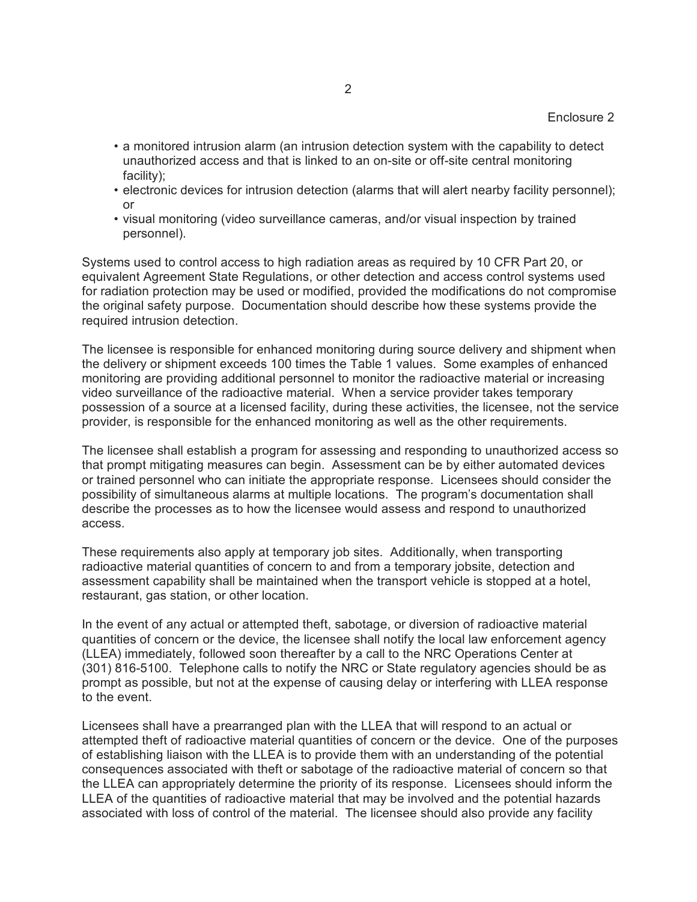- a monitored intrusion alarm (an intrusion detection system with the capability to detect unauthorized access and that is linked to an on-site or off-site central monitoring facility);
- electronic devices for intrusion detection (alarms that will alert nearby facility personnel); or
- visual monitoring (video surveillance cameras, and/or visual inspection by trained personnel).

Systems used to control access to high radiation areas as required by 10 CFR Part 20, or equivalent Agreement State Regulations, or other detection and access control systems used for radiation protection may be used or modified, provided the modifications do not compromise the original safety purpose. Documentation should describe how these systems provide the required intrusion detection.

The licensee is responsible for enhanced monitoring during source delivery and shipment when the delivery or shipment exceeds 100 times the Table 1 values. Some examples of enhanced monitoring are providing additional personnel to monitor the radioactive material or increasing video surveillance of the radioactive material. When a service provider takes temporary possession of a source at a licensed facility, during these activities, the licensee, not the service provider, is responsible for the enhanced monitoring as well as the other requirements.

The licensee shall establish a program for assessing and responding to unauthorized access so that prompt mitigating measures can begin. Assessment can be by either automated devices or trained personnel who can initiate the appropriate response. Licensees should consider the possibility of simultaneous alarms at multiple locations. The program's documentation shall describe the processes as to how the licensee would assess and respond to unauthorized access.

These requirements also apply at temporary job sites. Additionally, when transporting radioactive material quantities of concern to and from a temporary jobsite, detection and assessment capability shall be maintained when the transport vehicle is stopped at a hotel, restaurant, gas station, or other location.

In the event of any actual or attempted theft, sabotage, or diversion of radioactive material quantities of concern or the device, the licensee shall notify the local law enforcement agency (LLEA) immediately, followed soon thereafter by a call to the NRC Operations Center at (301) 816-5100. Telephone calls to notify the NRC or State regulatory agencies should be as prompt as possible, but not at the expense of causing delay or interfering with LLEA response to the event.

Licensees shall have a prearranged plan with the LLEA that will respond to an actual or attempted theft of radioactive material quantities of concern or the device. One of the purposes of establishing liaison with the LLEA is to provide them with an understanding of the potential consequences associated with theft or sabotage of the radioactive material of concern so that the LLEA can appropriately determine the priority of its response. Licensees should inform the LLEA of the quantities of radioactive material that may be involved and the potential hazards associated with loss of control of the material. The licensee should also provide any facility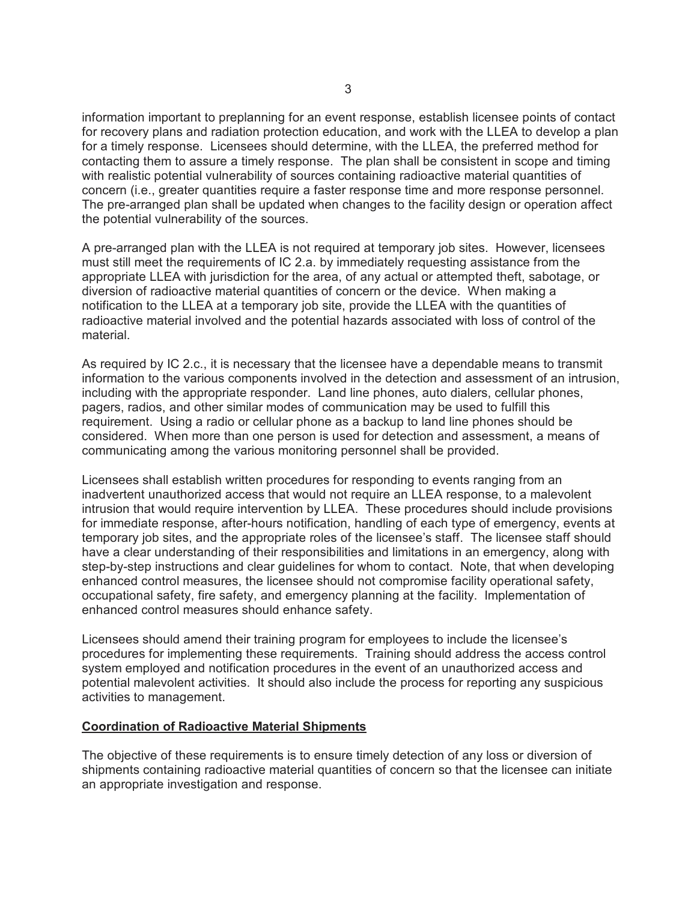information important to preplanning for an event response, establish licensee points of contact for recovery plans and radiation protection education, and work with the LLEA to develop a plan for a timely response. Licensees should determine, with the LLEA, the preferred method for contacting them to assure a timely response. The plan shall be consistent in scope and timing with realistic potential vulnerability of sources containing radioactive material quantities of concern (i.e., greater quantities require a faster response time and more response personnel. The pre-arranged plan shall be updated when changes to the facility design or operation affect the potential vulnerability of the sources.

A pre-arranged plan with the LLEA is not required at temporary job sites. However, licensees must still meet the requirements of IC 2.a. by immediately requesting assistance from the appropriate LLEA with jurisdiction for the area, of any actual or attempted theft, sabotage, or diversion of radioactive material quantities of concern or the device. When making a notification to the LLEA at a temporary job site, provide the LLEA with the quantities of radioactive material involved and the potential hazards associated with loss of control of the material.

As required by IC 2.c., it is necessary that the licensee have a dependable means to transmit information to the various components involved in the detection and assessment of an intrusion, including with the appropriate responder. Land line phones, auto dialers, cellular phones, pagers, radios, and other similar modes of communication may be used to fulfill this requirement. Using a radio or cellular phone as a backup to land line phones should be considered. When more than one person is used for detection and assessment, a means of communicating among the various monitoring personnel shall be provided.

Licensees shall establish written procedures for responding to events ranging from an inadvertent unauthorized access that would not require an LLEA response, to a malevolent intrusion that would require intervention by LLEA. These procedures should include provisions for immediate response, after-hours notification, handling of each type of emergency, events at temporary job sites, and the appropriate roles of the licensee's staff. The licensee staff should have a clear understanding of their responsibilities and limitations in an emergency, along with step-by-step instructions and clear guidelines for whom to contact. Note, that when developing enhanced control measures, the licensee should not compromise facility operational safety, occupational safety, fire safety, and emergency planning at the facility. Implementation of enhanced control measures should enhance safety.

Licensees should amend their training program for employees to include the licensee's procedures for implementing these requirements. Training should address the access control system employed and notification procedures in the event of an unauthorized access and potential malevolent activities. It should also include the process for reporting any suspicious activities to management.

#### **Coordination of Radioactive Material Shipments**

The objective of these requirements is to ensure timely detection of any loss or diversion of shipments containing radioactive material quantities of concern so that the licensee can initiate an appropriate investigation and response.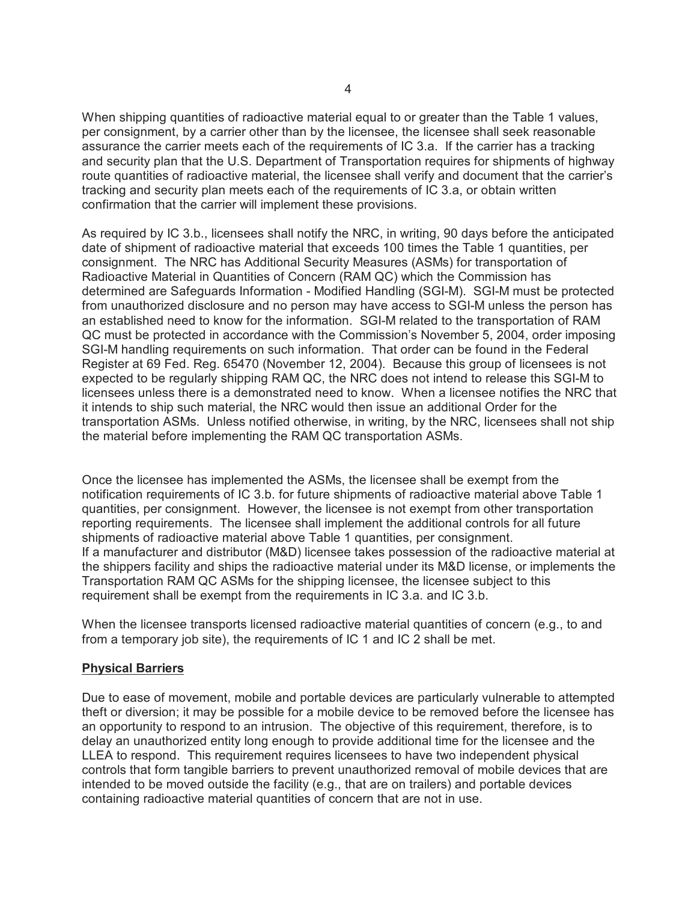When shipping quantities of radioactive material equal to or greater than the Table 1 values, per consignment, by a carrier other than by the licensee, the licensee shall seek reasonable assurance the carrier meets each of the requirements of IC 3.a. If the carrier has a tracking and security plan that the U.S. Department of Transportation requires for shipments of highway route quantities of radioactive material, the licensee shall verify and document that the carrier's tracking and security plan meets each of the requirements of IC 3.a, or obtain written confirmation that the carrier will implement these provisions.

As required by IC 3.b., licensees shall notify the NRC, in writing, 90 days before the anticipated date of shipment of radioactive material that exceeds 100 times the Table 1 quantities, per consignment. The NRC has Additional Security Measures (ASMs) for transportation of Radioactive Material in Quantities of Concern (RAM QC) which the Commission has determined are Safeguards Information - Modified Handling (SGI-M). SGI-M must be protected from unauthorized disclosure and no person may have access to SGI-M unless the person has an established need to know for the information. SGI-M related to the transportation of RAM QC must be protected in accordance with the Commission's November 5, 2004, order imposing SGI-M handling requirements on such information. That order can be found in the Federal Register at 69 Fed. Reg. 65470 (November 12, 2004). Because this group of licensees is not expected to be regularly shipping RAM QC, the NRC does not intend to release this SGI-M to licensees unless there is a demonstrated need to know. When a licensee notifies the NRC that it intends to ship such material, the NRC would then issue an additional Order for the transportation ASMs. Unless notified otherwise, in writing, by the NRC, licensees shall not ship the material before implementing the RAM QC transportation ASMs.

Once the licensee has implemented the ASMs, the licensee shall be exempt from the notification requirements of IC 3.b. for future shipments of radioactive material above Table 1 quantities, per consignment. However, the licensee is not exempt from other transportation reporting requirements. The licensee shall implement the additional controls for all future shipments of radioactive material above Table 1 quantities, per consignment. If a manufacturer and distributor (M&D) licensee takes possession of the radioactive material at the shippers facility and ships the radioactive material under its M&D license, or implements the Transportation RAM QC ASMs for the shipping licensee, the licensee subject to this requirement shall be exempt from the requirements in IC 3.a. and IC 3.b.

When the licensee transports licensed radioactive material quantities of concern (e.g., to and from a temporary job site), the requirements of IC 1 and IC 2 shall be met.

## **Physical Barriers**

Due to ease of movement, mobile and portable devices are particularly vulnerable to attempted theft or diversion; it may be possible for a mobile device to be removed before the licensee has an opportunity to respond to an intrusion. The objective of this requirement, therefore, is to delay an unauthorized entity long enough to provide additional time for the licensee and the LLEA to respond. This requirement requires licensees to have two independent physical controls that form tangible barriers to prevent unauthorized removal of mobile devices that are intended to be moved outside the facility (e.g., that are on trailers) and portable devices containing radioactive material quantities of concern that are not in use.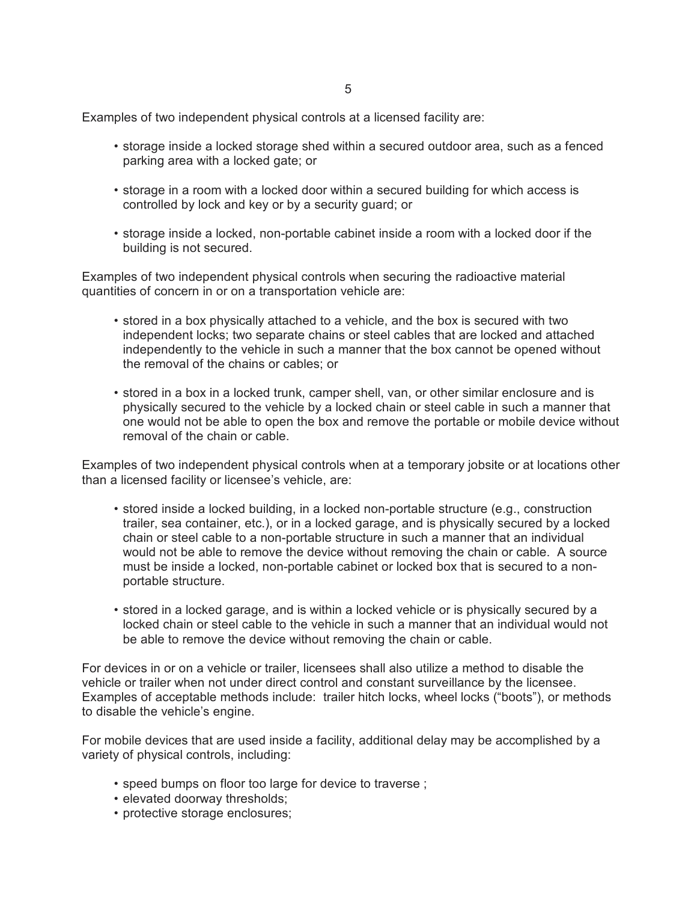5

Examples of two independent physical controls at a licensed facility are:

- storage inside a locked storage shed within a secured outdoor area, such as a fenced parking area with a locked gate; or
- storage in a room with a locked door within a secured building for which access is controlled by lock and key or by a security guard; or
- storage inside a locked, non-portable cabinet inside a room with a locked door if the building is not secured.

Examples of two independent physical controls when securing the radioactive material quantities of concern in or on a transportation vehicle are:

- stored in a box physically attached to a vehicle, and the box is secured with two independent locks; two separate chains or steel cables that are locked and attached independently to the vehicle in such a manner that the box cannot be opened without the removal of the chains or cables; or
- stored in a box in a locked trunk, camper shell, van, or other similar enclosure and is physically secured to the vehicle by a locked chain or steel cable in such a manner that one would not be able to open the box and remove the portable or mobile device without removal of the chain or cable.

Examples of two independent physical controls when at a temporary jobsite or at locations other than a licensed facility or licensee's vehicle, are:

- stored inside a locked building, in a locked non-portable structure (e.g., construction trailer, sea container, etc.), or in a locked garage, and is physically secured by a locked chain or steel cable to a non-portable structure in such a manner that an individual would not be able to remove the device without removing the chain or cable. A source must be inside a locked, non-portable cabinet or locked box that is secured to a nonportable structure.
- stored in a locked garage, and is within a locked vehicle or is physically secured by a locked chain or steel cable to the vehicle in such a manner that an individual would not be able to remove the device without removing the chain or cable.

For devices in or on a vehicle or trailer, licensees shall also utilize a method to disable the vehicle or trailer when not under direct control and constant surveillance by the licensee. Examples of acceptable methods include: trailer hitch locks, wheel locks ("boots"), or methods to disable the vehicle's engine.

For mobile devices that are used inside a facility, additional delay may be accomplished by a variety of physical controls, including:

- speed bumps on floor too large for device to traverse ;
- elevated doorway thresholds;
- protective storage enclosures;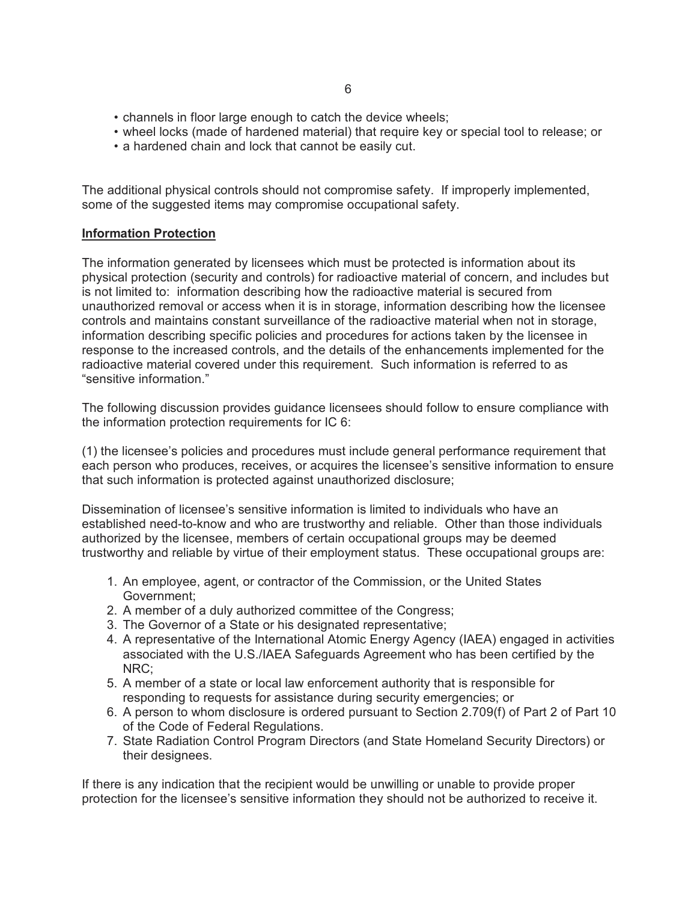- channels in floor large enough to catch the device wheels;
- wheel locks (made of hardened material) that require key or special tool to release; or
- a hardened chain and lock that cannot be easily cut.

The additional physical controls should not compromise safety. If improperly implemented, some of the suggested items may compromise occupational safety.

#### **Information Protection**

The information generated by licensees which must be protected is information about its physical protection (security and controls) for radioactive material of concern, and includes but is not limited to: information describing how the radioactive material is secured from unauthorized removal or access when it is in storage, information describing how the licensee controls and maintains constant surveillance of the radioactive material when not in storage, information describing specific policies and procedures for actions taken by the licensee in response to the increased controls, and the details of the enhancements implemented for the radioactive material covered under this requirement. Such information is referred to as "sensitive information."

The following discussion provides guidance licensees should follow to ensure compliance with the information protection requirements for IC 6:

(1) the licensee's policies and procedures must include general performance requirement that each person who produces, receives, or acquires the licensee's sensitive information to ensure that such information is protected against unauthorized disclosure;

Dissemination of licensee's sensitive information is limited to individuals who have an established need-to-know and who are trustworthy and reliable. Other than those individuals authorized by the licensee, members of certain occupational groups may be deemed trustworthy and reliable by virtue of their employment status. These occupational groups are:

- 1. An employee, agent, or contractor of the Commission, or the United States Government;
- 2. A member of a duly authorized committee of the Congress;
- 3. The Governor of a State or his designated representative;
- 4. A representative of the International Atomic Energy Agency (IAEA) engaged in activities associated with the U.S./IAEA Safeguards Agreement who has been certified by the NRC;
- 5. A member of a state or local law enforcement authority that is responsible for responding to requests for assistance during security emergencies; or
- 6. A person to whom disclosure is ordered pursuant to Section 2.709(f) of Part 2 of Part 10 of the Code of Federal Regulations.
- 7. State Radiation Control Program Directors (and State Homeland Security Directors) or their designees.

If there is any indication that the recipient would be unwilling or unable to provide proper protection for the licensee's sensitive information they should not be authorized to receive it.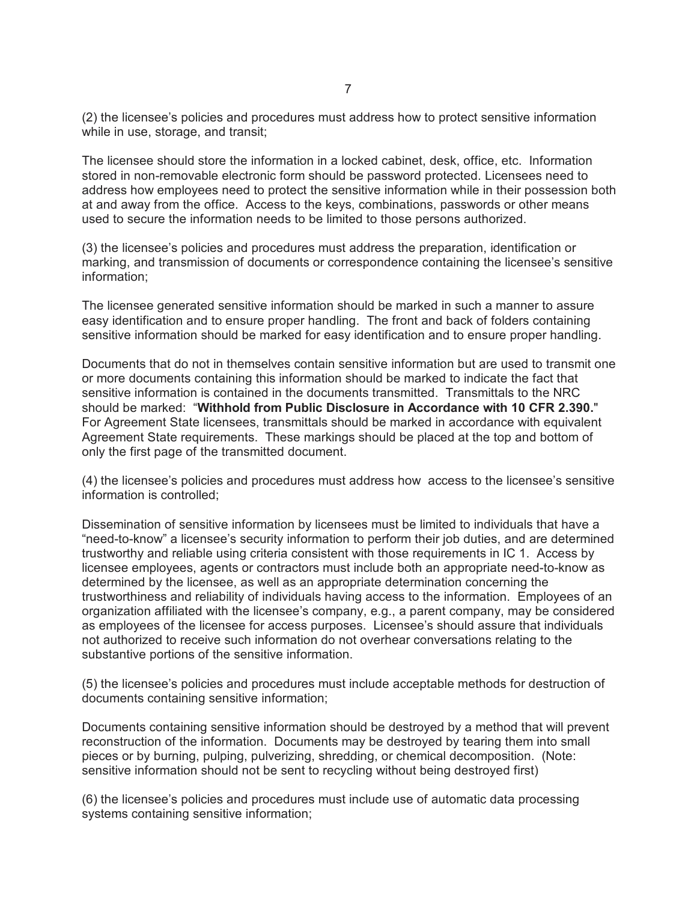(2) the licensee's policies and procedures must address how to protect sensitive information while in use, storage, and transit;

The licensee should store the information in a locked cabinet, desk, office, etc. Information stored in non-removable electronic form should be password protected. Licensees need to address how employees need to protect the sensitive information while in their possession both at and away from the office. Access to the keys, combinations, passwords or other means used to secure the information needs to be limited to those persons authorized.

(3) the licensee's policies and procedures must address the preparation, identification or marking, and transmission of documents or correspondence containing the licensee's sensitive information;

The licensee generated sensitive information should be marked in such a manner to assure easy identification and to ensure proper handling. The front and back of folders containing sensitive information should be marked for easy identification and to ensure proper handling.

Documents that do not in themselves contain sensitive information but are used to transmit one or more documents containing this information should be marked to indicate the fact that sensitive information is contained in the documents transmitted. Transmittals to the NRC should be marked: "**Withhold from Public Disclosure in Accordance with 10 CFR 2.390.**" For Agreement State licensees, transmittals should be marked in accordance with equivalent Agreement State requirements. These markings should be placed at the top and bottom of only the first page of the transmitted document.

(4) the licensee's policies and procedures must address how access to the licensee's sensitive information is controlled;

Dissemination of sensitive information by licensees must be limited to individuals that have a "need-to-know" a licensee's security information to perform their job duties, and are determined trustworthy and reliable using criteria consistent with those requirements in IC 1. Access by licensee employees, agents or contractors must include both an appropriate need-to-know as determined by the licensee, as well as an appropriate determination concerning the trustworthiness and reliability of individuals having access to the information. Employees of an organization affiliated with the licensee's company, e.g., a parent company, may be considered as employees of the licensee for access purposes. Licensee's should assure that individuals not authorized to receive such information do not overhear conversations relating to the substantive portions of the sensitive information.

(5) the licensee's policies and procedures must include acceptable methods for destruction of documents containing sensitive information;

Documents containing sensitive information should be destroyed by a method that will prevent reconstruction of the information. Documents may be destroyed by tearing them into small pieces or by burning, pulping, pulverizing, shredding, or chemical decomposition. (Note: sensitive information should not be sent to recycling without being destroyed first)

(6) the licensee's policies and procedures must include use of automatic data processing systems containing sensitive information;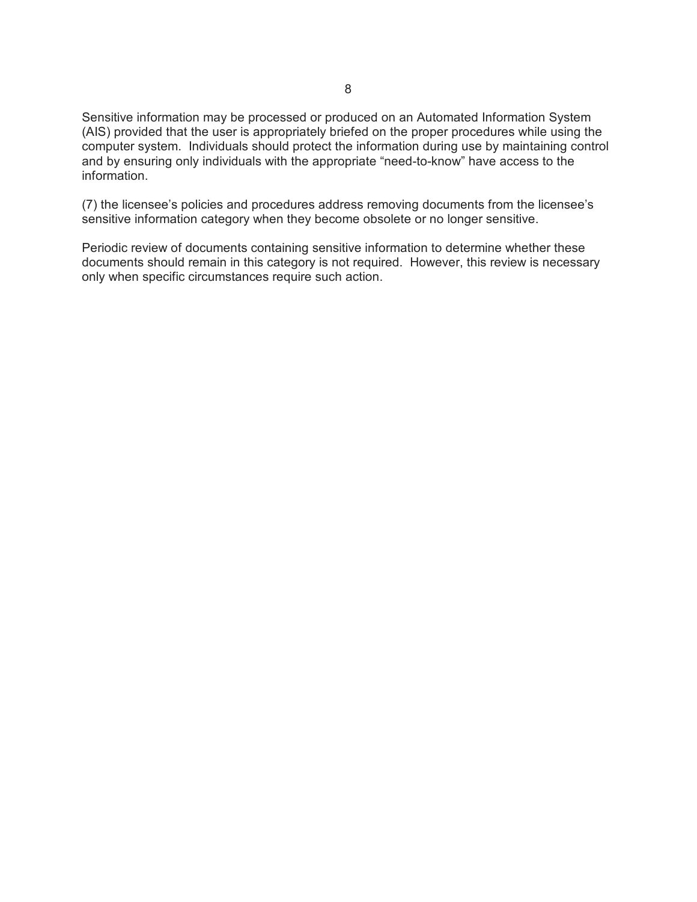Sensitive information may be processed or produced on an Automated Information System (AIS) provided that the user is appropriately briefed on the proper procedures while using the computer system. Individuals should protect the information during use by maintaining control and by ensuring only individuals with the appropriate "need-to-know" have access to the information.

(7) the licensee's policies and procedures address removing documents from the licensee's sensitive information category when they become obsolete or no longer sensitive.

Periodic review of documents containing sensitive information to determine whether these documents should remain in this category is not required. However, this review is necessary only when specific circumstances require such action.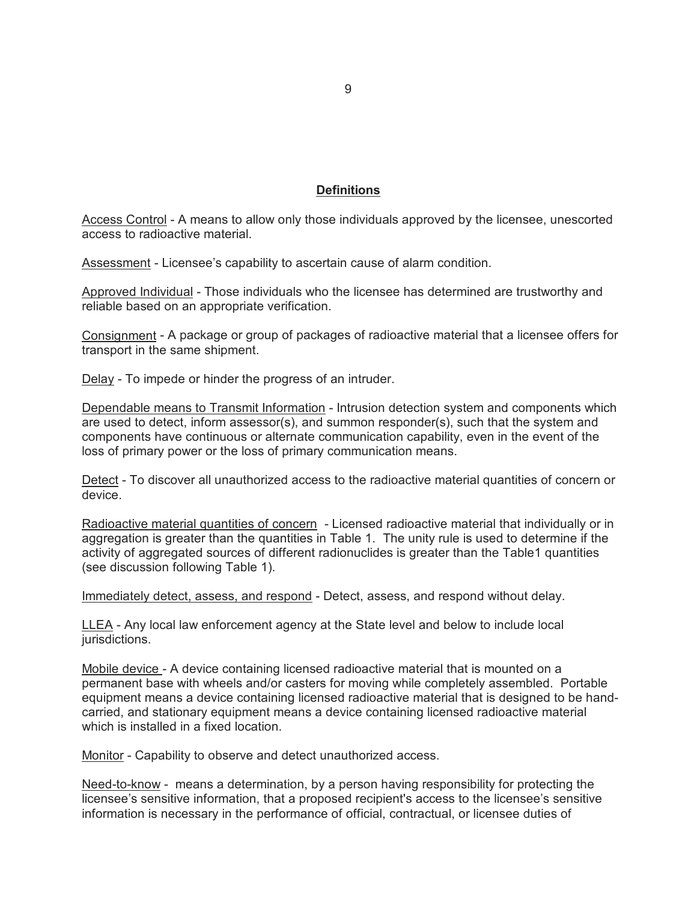#### **Definitions**

Access Control - A means to allow only those individuals approved by the licensee, unescorted access to radioactive material.

Assessment - Licensee's capability to ascertain cause of alarm condition.

Approved Individual - Those individuals who the licensee has determined are trustworthy and reliable based on an appropriate verification.

Consignment - A package or group of packages of radioactive material that a licensee offers for transport in the same shipment.

Delay - To impede or hinder the progress of an intruder.

Dependable means to Transmit Information - Intrusion detection system and components which are used to detect, inform assessor(s), and summon responder(s), such that the system and components have continuous or alternate communication capability, even in the event of the loss of primary power or the loss of primary communication means.

Detect - To discover all unauthorized access to the radioactive material quantities of concern or device.

Radioactive material quantities of concern - Licensed radioactive material that individually or in aggregation is greater than the quantities in Table 1. The unity rule is used to determine if the activity of aggregated sources of different radionuclides is greater than the Table1 quantities (see discussion following Table 1).

Immediately detect, assess, and respond - Detect, assess, and respond without delay.

LLEA - Any local law enforcement agency at the State level and below to include local jurisdictions.

Mobile device - A device containing licensed radioactive material that is mounted on a permanent base with wheels and/or casters for moving while completely assembled. Portable equipment means a device containing licensed radioactive material that is designed to be handcarried, and stationary equipment means a device containing licensed radioactive material which is installed in a fixed location.

Monitor - Capability to observe and detect unauthorized access.

Need-to-know - means a determination, by a person having responsibility for protecting the licensee's sensitive information, that a proposed recipient's access to the licensee's sensitive information is necessary in the performance of official, contractual, or licensee duties of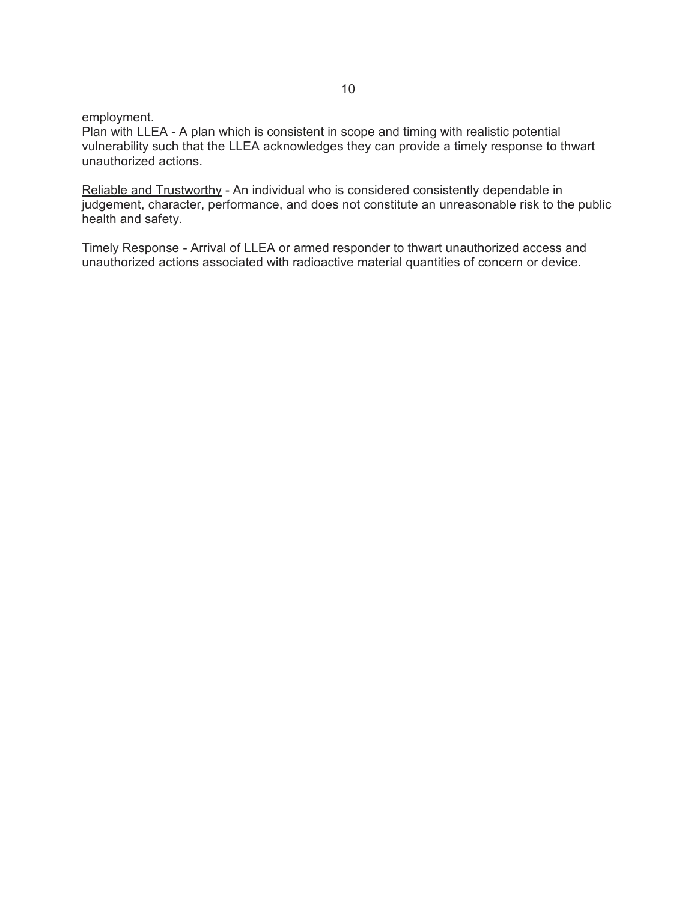employment.

Plan with LLEA - A plan which is consistent in scope and timing with realistic potential vulnerability such that the LLEA acknowledges they can provide a timely response to thwart unauthorized actions.

Reliable and Trustworthy - An individual who is considered consistently dependable in judgement, character, performance, and does not constitute an unreasonable risk to the public health and safety.

Timely Response - Arrival of LLEA or armed responder to thwart unauthorized access and unauthorized actions associated with radioactive material quantities of concern or device.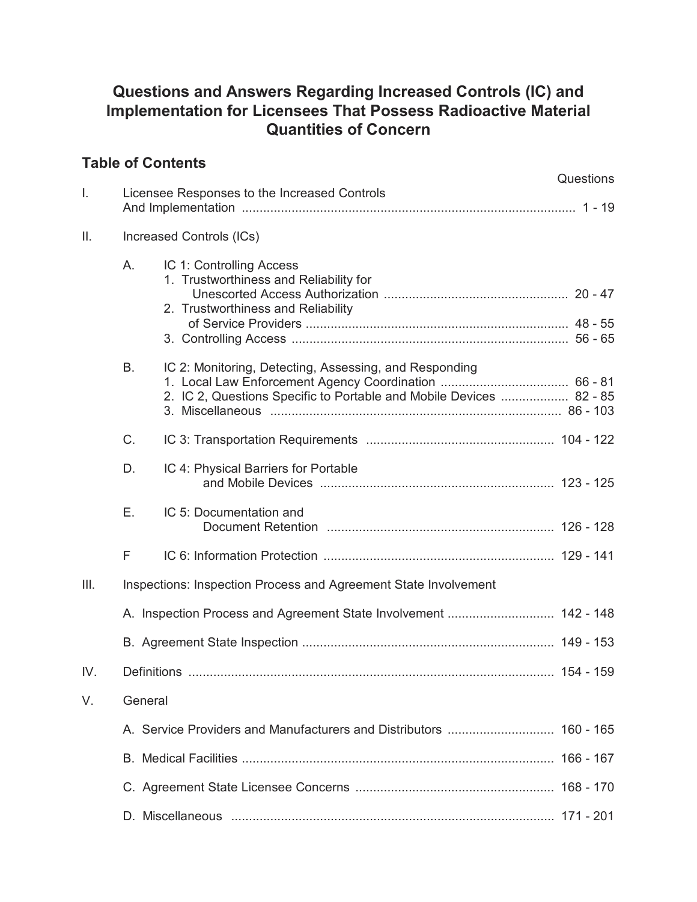# **Questions and Answers Regarding Increased Controls (IC) and Implementation for Licensees That Possess Radioactive Material Quantities of Concern**

# **Table of Contents**

|      |                                                                  |                                                                                                                               | Questions |  |
|------|------------------------------------------------------------------|-------------------------------------------------------------------------------------------------------------------------------|-----------|--|
| I.   | Licensee Responses to the Increased Controls                     |                                                                                                                               |           |  |
| Ш.   |                                                                  | Increased Controls (ICs)                                                                                                      |           |  |
|      | A.                                                               | IC 1: Controlling Access<br>1. Trustworthiness and Reliability for<br>2. Trustworthiness and Reliability                      |           |  |
|      | В.                                                               | IC 2: Monitoring, Detecting, Assessing, and Responding<br>2. IC 2, Questions Specific to Portable and Mobile Devices  82 - 85 |           |  |
|      | C.                                                               |                                                                                                                               |           |  |
|      | D.                                                               | IC 4: Physical Barriers for Portable                                                                                          |           |  |
|      | Е.                                                               | IC 5: Documentation and                                                                                                       |           |  |
|      | F                                                                |                                                                                                                               |           |  |
| III. | Inspections: Inspection Process and Agreement State Involvement  |                                                                                                                               |           |  |
|      | A. Inspection Process and Agreement State Involvement  142 - 148 |                                                                                                                               |           |  |
|      |                                                                  |                                                                                                                               |           |  |
| IV.  |                                                                  |                                                                                                                               |           |  |
| V.   | General                                                          |                                                                                                                               |           |  |
|      |                                                                  |                                                                                                                               |           |  |
|      |                                                                  |                                                                                                                               |           |  |
|      |                                                                  |                                                                                                                               |           |  |
|      |                                                                  |                                                                                                                               |           |  |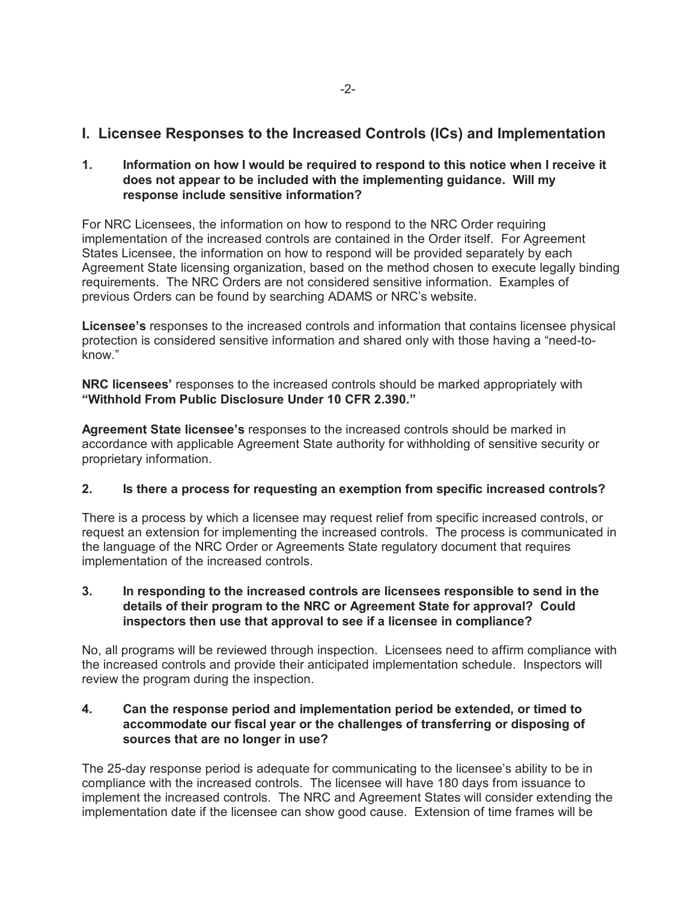# **I. Licensee Responses to the Increased Controls (ICs) and Implementation**

**1. Information on how I would be required to respond to this notice when I receive it does not appear to be included with the implementing guidance. Will my response include sensitive information?**

For NRC Licensees, the information on how to respond to the NRC Order requiring implementation of the increased controls are contained in the Order itself. For Agreement States Licensee, the information on how to respond will be provided separately by each Agreement State licensing organization, based on the method chosen to execute legally binding requirements. The NRC Orders are not considered sensitive information. Examples of previous Orders can be found by searching ADAMS or NRC's website.

**Licensee's** responses to the increased controls and information that contains licensee physical protection is considered sensitive information and shared only with those having a "need-toknow."

**NRC licensees'** responses to the increased controls should be marked appropriately with **"Withhold From Public Disclosure Under 10 CFR 2.390."** 

**Agreement State licensee's** responses to the increased controls should be marked in accordance with applicable Agreement State authority for withholding of sensitive security or proprietary information.

## **2. Is there a process for requesting an exemption from specific increased controls?**

There is a process by which a licensee may request relief from specific increased controls, or request an extension for implementing the increased controls. The process is communicated in the language of the NRC Order or Agreements State regulatory document that requires implementation of the increased controls.

## **3. In responding to the increased controls are licensees responsible to send in the details of their program to the NRC or Agreement State for approval? Could inspectors then use that approval to see if a licensee in compliance?**

No, all programs will be reviewed through inspection. Licensees need to affirm compliance with the increased controls and provide their anticipated implementation schedule. Inspectors will review the program during the inspection.

#### **4. Can the response period and implementation period be extended, or timed to accommodate our fiscal year or the challenges of transferring or disposing of sources that are no longer in use?**

The 25-day response period is adequate for communicating to the licensee's ability to be in compliance with the increased controls. The licensee will have 180 days from issuance to implement the increased controls. The NRC and Agreement States will consider extending the implementation date if the licensee can show good cause. Extension of time frames will be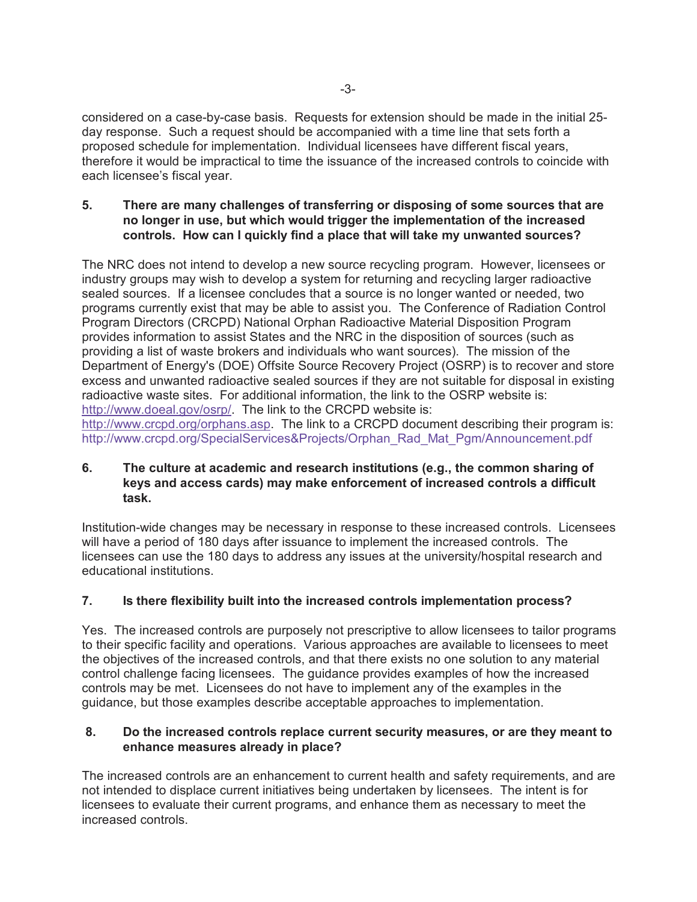considered on a case-by-case basis. Requests for extension should be made in the initial 25 day response. Such a request should be accompanied with a time line that sets forth a proposed schedule for implementation. Individual licensees have different fiscal years, therefore it would be impractical to time the issuance of the increased controls to coincide with each licensee's fiscal year.

## **5. There are many challenges of transferring or disposing of some sources that are no longer in use, but which would trigger the implementation of the increased controls. How can I quickly find a place that will take my unwanted sources?**

The NRC does not intend to develop a new source recycling program. However, licensees or industry groups may wish to develop a system for returning and recycling larger radioactive sealed sources. If a licensee concludes that a source is no longer wanted or needed, two programs currently exist that may be able to assist you. The Conference of Radiation Control Program Directors (CRCPD) National Orphan Radioactive Material Disposition Program provides information to assist States and the NRC in the disposition of sources (such as providing a list of waste brokers and individuals who want sources). The mission of the Department of Energy's (DOE) Offsite Source Recovery Project (OSRP) is to recover and store excess and unwanted radioactive sealed sources if they are not suitable for disposal in existing radioactive waste sites. For additional information, the link to the OSRP website is: http://www.doeal.gov/osrp/. The link to the CRCPD website is: http://www.crcpd.org/orphans.asp. The link to a CRCPD document describing their program is:

http://www.crcpd.org/SpecialServices&Projects/Orphan\_Rad\_Mat\_Pgm/Announcement.pdf

## **6. The culture at academic and research institutions (e.g., the common sharing of keys and access cards) may make enforcement of increased controls a difficult task.**

Institution-wide changes may be necessary in response to these increased controls. Licensees will have a period of 180 days after issuance to implement the increased controls. The licensees can use the 180 days to address any issues at the university/hospital research and educational institutions.

## **7. Is there flexibility built into the increased controls implementation process?**

Yes. The increased controls are purposely not prescriptive to allow licensees to tailor programs to their specific facility and operations. Various approaches are available to licensees to meet the objectives of the increased controls, and that there exists no one solution to any material control challenge facing licensees. The guidance provides examples of how the increased controls may be met. Licensees do not have to implement any of the examples in the guidance, but those examples describe acceptable approaches to implementation.

#### **8. Do the increased controls replace current security measures, or are they meant to enhance measures already in place?**

The increased controls are an enhancement to current health and safety requirements, and are not intended to displace current initiatives being undertaken by licensees. The intent is for licensees to evaluate their current programs, and enhance them as necessary to meet the increased controls.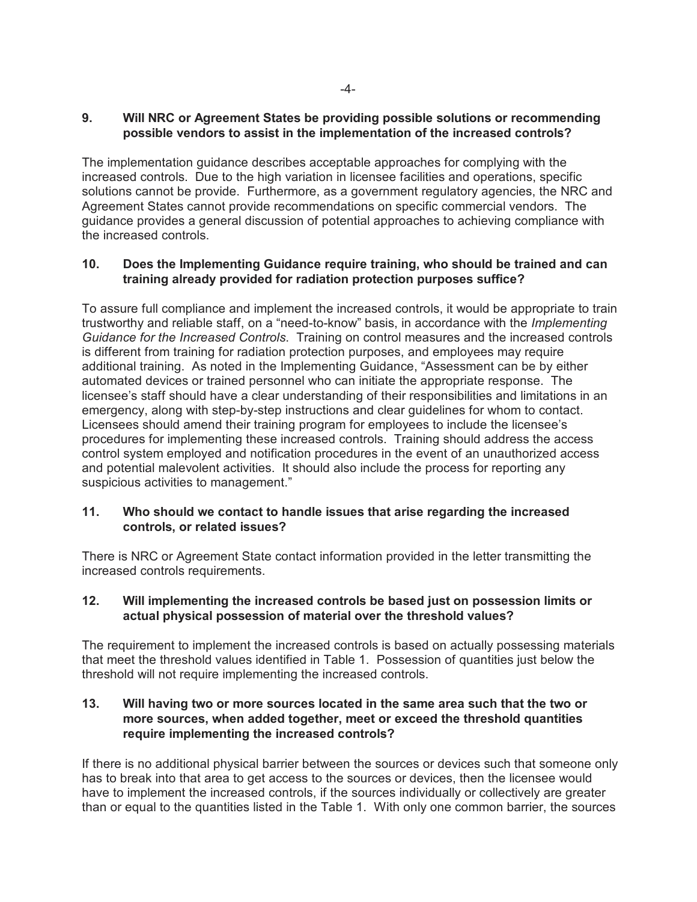## **9. Will NRC or Agreement States be providing possible solutions or recommending possible vendors to assist in the implementation of the increased controls?**

The implementation guidance describes acceptable approaches for complying with the increased controls. Due to the high variation in licensee facilities and operations, specific solutions cannot be provide. Furthermore, as a government regulatory agencies, the NRC and Agreement States cannot provide recommendations on specific commercial vendors. The guidance provides a general discussion of potential approaches to achieving compliance with the increased controls.

#### **10. Does the Implementing Guidance require training, who should be trained and can training already provided for radiation protection purposes suffice?**

To assure full compliance and implement the increased controls, it would be appropriate to train trustworthy and reliable staff, on a "need-to-know" basis, in accordance with the *Implementing Guidance for the Increased Controls*. Training on control measures and the increased controls is different from training for radiation protection purposes, and employees may require additional training. As noted in the Implementing Guidance, "Assessment can be by either automated devices or trained personnel who can initiate the appropriate response. The licensee's staff should have a clear understanding of their responsibilities and limitations in an emergency, along with step-by-step instructions and clear guidelines for whom to contact. Licensees should amend their training program for employees to include the licensee's procedures for implementing these increased controls. Training should address the access control system employed and notification procedures in the event of an unauthorized access and potential malevolent activities. It should also include the process for reporting any suspicious activities to management."

## **11. Who should we contact to handle issues that arise regarding the increased controls, or related issues?**

There is NRC or Agreement State contact information provided in the letter transmitting the increased controls requirements.

## **12. Will implementing the increased controls be based just on possession limits or actual physical possession of material over the threshold values?**

The requirement to implement the increased controls is based on actually possessing materials that meet the threshold values identified in Table 1. Possession of quantities just below the threshold will not require implementing the increased controls.

## **13. Will having two or more sources located in the same area such that the two or more sources, when added together, meet or exceed the threshold quantities require implementing the increased controls?**

If there is no additional physical barrier between the sources or devices such that someone only has to break into that area to get access to the sources or devices, then the licensee would have to implement the increased controls, if the sources individually or collectively are greater than or equal to the quantities listed in the Table 1. With only one common barrier, the sources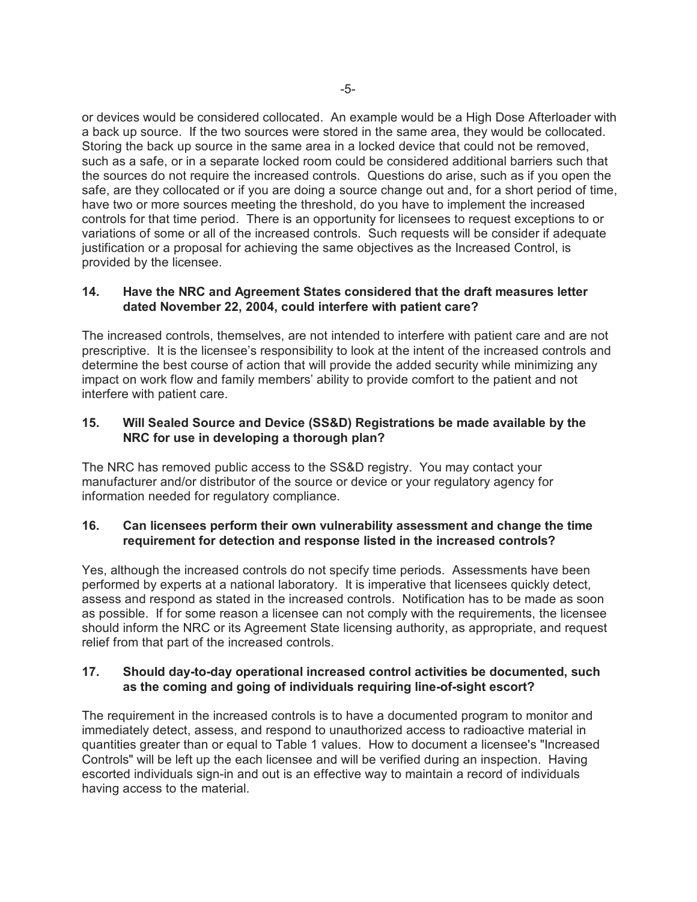or devices would be considered collocated. An example would be a High Dose Afterloader with a back up source. If the two sources were stored in the same area, they would be collocated. Storing the back up source in the same area in a locked device that could not be removed, such as a safe, or in a separate locked room could be considered additional barriers such that the sources do not require the increased controls. Questions do arise, such as if you open the safe, are they collocated or if you are doing a source change out and, for a short period of time, have two or more sources meeting the threshold, do you have to implement the increased controls for that time period. There is an opportunity for licensees to request exceptions to or variations of some or all of the increased controls. Such requests will be consider if adequate justification or a proposal for achieving the same objectives as the Increased Control, is provided by the licensee.

## **14. Have the NRC and Agreement States considered that the draft measures letter dated November 22, 2004, could interfere with patient care?**

The increased controls, themselves, are not intended to interfere with patient care and are not prescriptive. It is the licensee's responsibility to look at the intent of the increased controls and determine the best course of action that will provide the added security while minimizing any impact on work flow and family members' ability to provide comfort to the patient and not interfere with patient care.

## **15. Will Sealed Source and Device (SS&D) Registrations be made available by the NRC for use in developing a thorough plan?**

The NRC has removed public access to the SS&D registry. You may contact your manufacturer and/or distributor of the source or device or your regulatory agency for information needed for regulatory compliance.

## **16. Can licensees perform their own vulnerability assessment and change the time requirement for detection and response listed in the increased controls?**

Yes, although the increased controls do not specify time periods. Assessments have been performed by experts at a national laboratory. It is imperative that licensees quickly detect, assess and respond as stated in the increased controls. Notification has to be made as soon as possible. If for some reason a licensee can not comply with the requirements, the licensee should inform the NRC or its Agreement State licensing authority, as appropriate, and request relief from that part of the increased controls.

## **17. Should day-to-day operational increased control activities be documented, such as the coming and going of individuals requiring line-of-sight escort?**

The requirement in the increased controls is to have a documented program to monitor and immediately detect, assess, and respond to unauthorized access to radioactive material in quantities greater than or equal to Table 1 values. How to document a licensee's "Increased Controls" will be left up the each licensee and will be verified during an inspection. Having escorted individuals sign-in and out is an effective way to maintain a record of individuals having access to the material.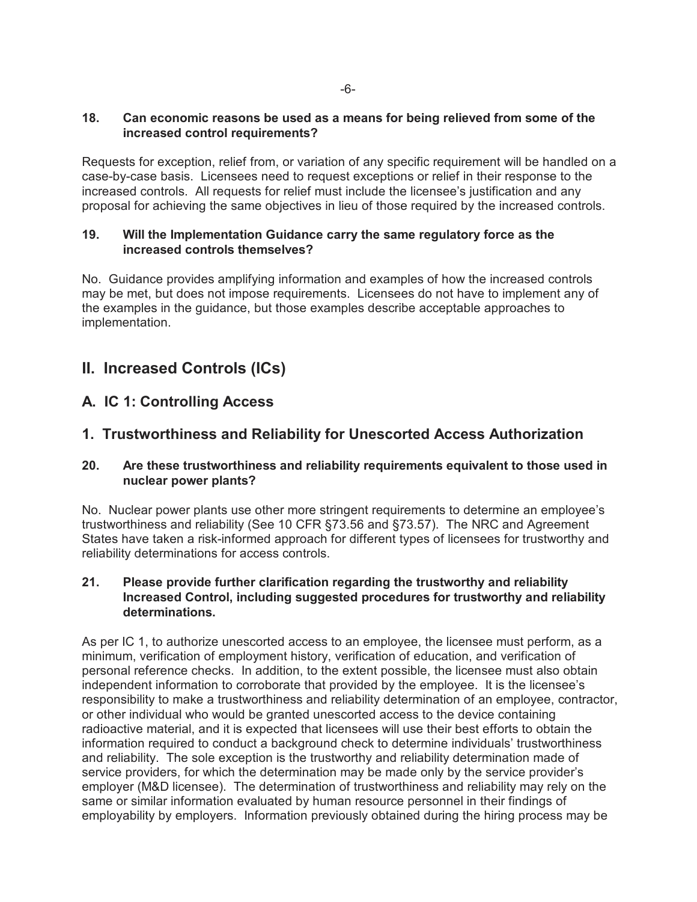## **18. Can economic reasons be used as a means for being relieved from some of the increased control requirements?**

Requests for exception, relief from, or variation of any specific requirement will be handled on a case-by-case basis. Licensees need to request exceptions or relief in their response to the increased controls. All requests for relief must include the licensee's justification and any proposal for achieving the same objectives in lieu of those required by the increased controls.

## **19. Will the Implementation Guidance carry the same regulatory force as the increased controls themselves?**

No. Guidance provides amplifying information and examples of how the increased controls may be met, but does not impose requirements. Licensees do not have to implement any of the examples in the guidance, but those examples describe acceptable approaches to implementation.

# **II. Increased Controls (ICs)**

# **A. IC 1: Controlling Access**

# **1. Trustworthiness and Reliability for Unescorted Access Authorization**

## **20. Are these trustworthiness and reliability requirements equivalent to those used in nuclear power plants?**

No. Nuclear power plants use other more stringent requirements to determine an employee's trustworthiness and reliability (See 10 CFR §73.56 and §73.57). The NRC and Agreement States have taken a risk-informed approach for different types of licensees for trustworthy and reliability determinations for access controls.

#### **21. Please provide further clarification regarding the trustworthy and reliability Increased Control, including suggested procedures for trustworthy and reliability determinations.**

As per IC 1, to authorize unescorted access to an employee, the licensee must perform, as a minimum, verification of employment history, verification of education, and verification of personal reference checks. In addition, to the extent possible, the licensee must also obtain independent information to corroborate that provided by the employee. It is the licensee's responsibility to make a trustworthiness and reliability determination of an employee, contractor, or other individual who would be granted unescorted access to the device containing radioactive material, and it is expected that licensees will use their best efforts to obtain the information required to conduct a background check to determine individuals' trustworthiness and reliability. The sole exception is the trustworthy and reliability determination made of service providers, for which the determination may be made only by the service provider's employer (M&D licensee). The determination of trustworthiness and reliability may rely on the same or similar information evaluated by human resource personnel in their findings of employability by employers. Information previously obtained during the hiring process may be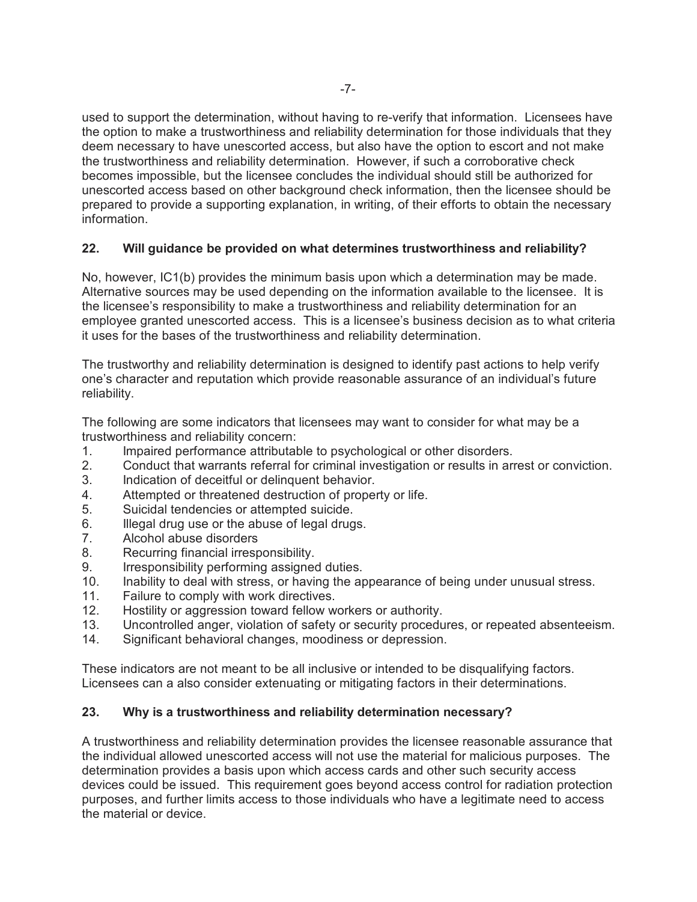used to support the determination, without having to re-verify that information. Licensees have the option to make a trustworthiness and reliability determination for those individuals that they deem necessary to have unescorted access, but also have the option to escort and not make the trustworthiness and reliability determination. However, if such a corroborative check becomes impossible, but the licensee concludes the individual should still be authorized for unescorted access based on other background check information, then the licensee should be prepared to provide a supporting explanation, in writing, of their efforts to obtain the necessary information.

## **22. Will guidance be provided on what determines trustworthiness and reliability?**

No, however, IC1(b) provides the minimum basis upon which a determination may be made. Alternative sources may be used depending on the information available to the licensee. It is the licensee's responsibility to make a trustworthiness and reliability determination for an employee granted unescorted access. This is a licensee's business decision as to what criteria it uses for the bases of the trustworthiness and reliability determination.

The trustworthy and reliability determination is designed to identify past actions to help verify one's character and reputation which provide reasonable assurance of an individual's future reliability.

The following are some indicators that licensees may want to consider for what may be a trustworthiness and reliability concern:

- 1. Impaired performance attributable to psychological or other disorders.
- 2. Conduct that warrants referral for criminal investigation or results in arrest or conviction.
- 3. Indication of deceitful or delinquent behavior.
- 4. Attempted or threatened destruction of property or life.
- 5. Suicidal tendencies or attempted suicide.
- 6. Illegal drug use or the abuse of legal drugs.
- 7. Alcohol abuse disorders
- 8. Recurring financial irresponsibility.
- 9. Irresponsibility performing assigned duties.
- 10. Inability to deal with stress, or having the appearance of being under unusual stress.
- 11. Failure to comply with work directives.
- 12. Hostility or aggression toward fellow workers or authority.
- 13. Uncontrolled anger, violation of safety or security procedures, or repeated absenteeism.
- 14. Significant behavioral changes, moodiness or depression.

These indicators are not meant to be all inclusive or intended to be disqualifying factors. Licensees can a also consider extenuating or mitigating factors in their determinations.

## **23. Why is a trustworthiness and reliability determination necessary?**

A trustworthiness and reliability determination provides the licensee reasonable assurance that the individual allowed unescorted access will not use the material for malicious purposes. The determination provides a basis upon which access cards and other such security access devices could be issued. This requirement goes beyond access control for radiation protection purposes, and further limits access to those individuals who have a legitimate need to access the material or device.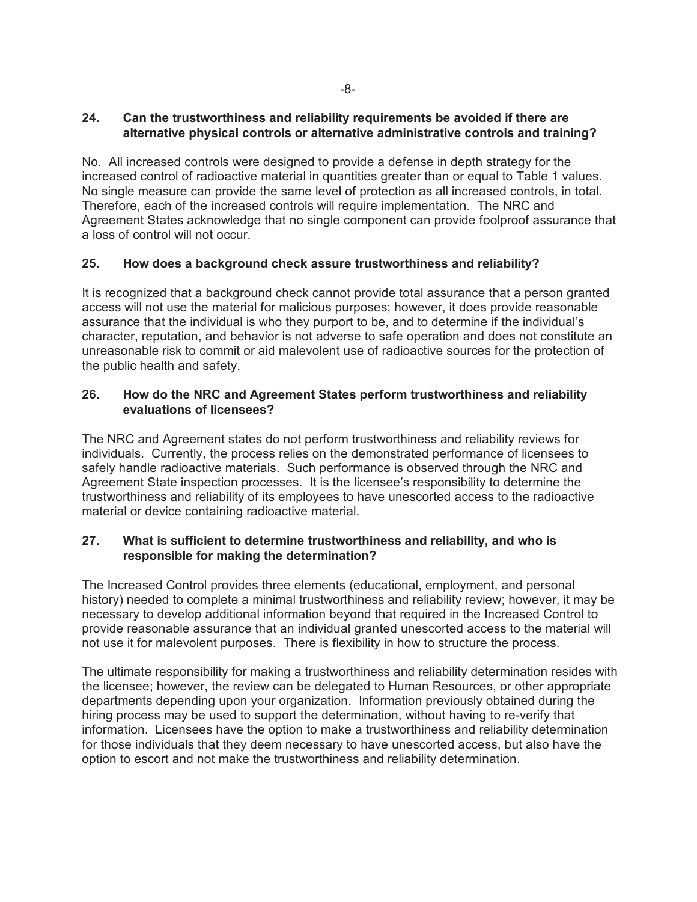## **24. Can the trustworthiness and reliability requirements be avoided if there are alternative physical controls or alternative administrative controls and training?**

No. All increased controls were designed to provide a defense in depth strategy for the increased control of radioactive material in quantities greater than or equal to Table 1 values. No single measure can provide the same level of protection as all increased controls, in total. Therefore, each of the increased controls will require implementation. The NRC and Agreement States acknowledge that no single component can provide foolproof assurance that a loss of control will not occur.

## **25. How does a background check assure trustworthiness and reliability?**

It is recognized that a background check cannot provide total assurance that a person granted access will not use the material for malicious purposes; however, it does provide reasonable assurance that the individual is who they purport to be, and to determine if the individual's character, reputation, and behavior is not adverse to safe operation and does not constitute an unreasonable risk to commit or aid malevolent use of radioactive sources for the protection of the public health and safety.

## **26. How do the NRC and Agreement States perform trustworthiness and reliability evaluations of licensees?**

The NRC and Agreement states do not perform trustworthiness and reliability reviews for individuals. Currently, the process relies on the demonstrated performance of licensees to safely handle radioactive materials. Such performance is observed through the NRC and Agreement State inspection processes. It is the licensee's responsibility to determine the trustworthiness and reliability of its employees to have unescorted access to the radioactive material or device containing radioactive material.

## **27. What is sufficient to determine trustworthiness and reliability, and who is responsible for making the determination?**

The Increased Control provides three elements (educational, employment, and personal history) needed to complete a minimal trustworthiness and reliability review; however, it may be necessary to develop additional information beyond that required in the Increased Control to provide reasonable assurance that an individual granted unescorted access to the material will not use it for malevolent purposes. There is flexibility in how to structure the process.

The ultimate responsibility for making a trustworthiness and reliability determination resides with the licensee; however, the review can be delegated to Human Resources, or other appropriate departments depending upon your organization. Information previously obtained during the hiring process may be used to support the determination, without having to re-verify that information. Licensees have the option to make a trustworthiness and reliability determination for those individuals that they deem necessary to have unescorted access, but also have the option to escort and not make the trustworthiness and reliability determination.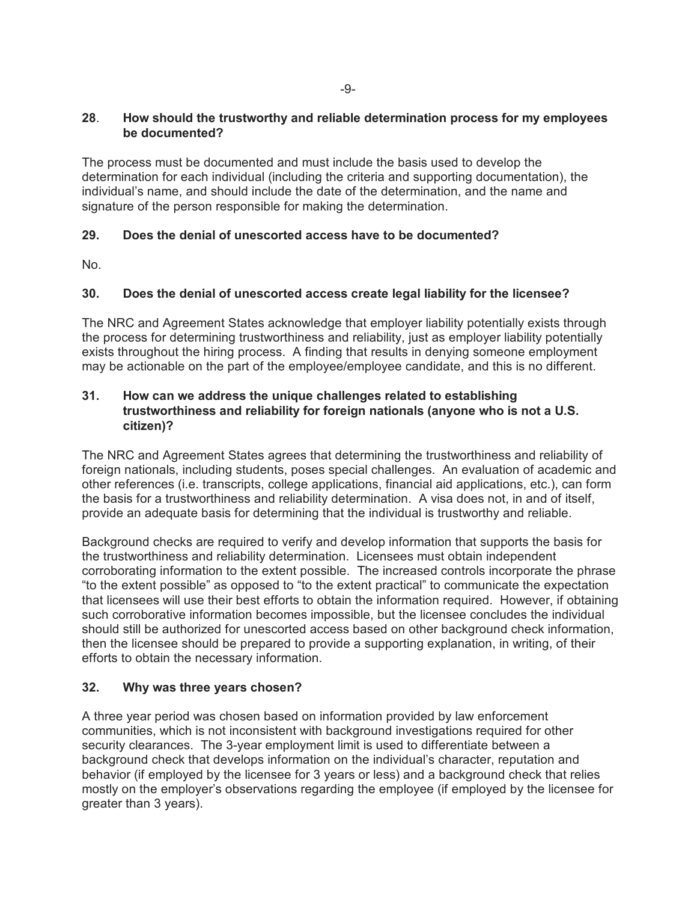## **28**. **How should the trustworthy and reliable determination process for my employees be documented?**

The process must be documented and must include the basis used to develop the determination for each individual (including the criteria and supporting documentation), the individual's name, and should include the date of the determination, and the name and signature of the person responsible for making the determination.

## **29. Does the denial of unescorted access have to be documented?**

No.

## **30. Does the denial of unescorted access create legal liability for the licensee?**

The NRC and Agreement States acknowledge that employer liability potentially exists through the process for determining trustworthiness and reliability, just as employer liability potentially exists throughout the hiring process. A finding that results in denying someone employment may be actionable on the part of the employee/employee candidate, and this is no different.

## **31. How can we address the unique challenges related to establishing trustworthiness and reliability for foreign nationals (anyone who is not a U.S. citizen)?**

The NRC and Agreement States agrees that determining the trustworthiness and reliability of foreign nationals, including students, poses special challenges. An evaluation of academic and other references (i.e. transcripts, college applications, financial aid applications, etc.), can form the basis for a trustworthiness and reliability determination. A visa does not, in and of itself, provide an adequate basis for determining that the individual is trustworthy and reliable.

Background checks are required to verify and develop information that supports the basis for the trustworthiness and reliability determination. Licensees must obtain independent corroborating information to the extent possible. The increased controls incorporate the phrase "to the extent possible" as opposed to "to the extent practical" to communicate the expectation that licensees will use their best efforts to obtain the information required. However, if obtaining such corroborative information becomes impossible, but the licensee concludes the individual should still be authorized for unescorted access based on other background check information, then the licensee should be prepared to provide a supporting explanation, in writing, of their efforts to obtain the necessary information.

## **32. Why was three years chosen?**

A three year period was chosen based on information provided by law enforcement communities, which is not inconsistent with background investigations required for other security clearances. The 3-year employment limit is used to differentiate between a background check that develops information on the individual's character, reputation and behavior (if employed by the licensee for 3 years or less) and a background check that relies mostly on the employer's observations regarding the employee (if employed by the licensee for greater than 3 years).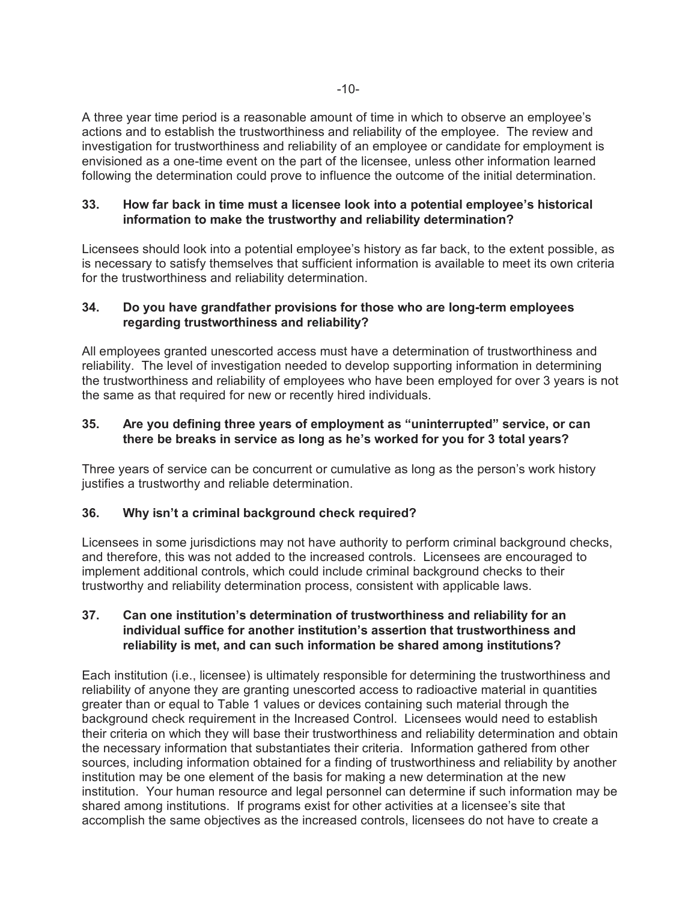A three year time period is a reasonable amount of time in which to observe an employee's actions and to establish the trustworthiness and reliability of the employee. The review and investigation for trustworthiness and reliability of an employee or candidate for employment is envisioned as a one-time event on the part of the licensee, unless other information learned following the determination could prove to influence the outcome of the initial determination.

#### **33. How far back in time must a licensee look into a potential employee's historical information to make the trustworthy and reliability determination?**

Licensees should look into a potential employee's history as far back, to the extent possible, as is necessary to satisfy themselves that sufficient information is available to meet its own criteria for the trustworthiness and reliability determination.

## **34. Do you have grandfather provisions for those who are long-term employees regarding trustworthiness and reliability?**

All employees granted unescorted access must have a determination of trustworthiness and reliability. The level of investigation needed to develop supporting information in determining the trustworthiness and reliability of employees who have been employed for over 3 years is not the same as that required for new or recently hired individuals.

## **35. Are you defining three years of employment as "uninterrupted" service, or can there be breaks in service as long as he's worked for you for 3 total years?**

Three years of service can be concurrent or cumulative as long as the person's work history justifies a trustworthy and reliable determination.

## **36. Why isn't a criminal background check required?**

Licensees in some jurisdictions may not have authority to perform criminal background checks, and therefore, this was not added to the increased controls. Licensees are encouraged to implement additional controls, which could include criminal background checks to their trustworthy and reliability determination process, consistent with applicable laws.

## **37. Can one institution's determination of trustworthiness and reliability for an individual suffice for another institution's assertion that trustworthiness and reliability is met, and can such information be shared among institutions?**

Each institution (i.e., licensee) is ultimately responsible for determining the trustworthiness and reliability of anyone they are granting unescorted access to radioactive material in quantities greater than or equal to Table 1 values or devices containing such material through the background check requirement in the Increased Control.Licensees would need to establish their criteria on which they will base their trustworthiness and reliability determination and obtain the necessary information that substantiates their criteria. Information gathered from other sources, including information obtained for a finding of trustworthiness and reliability by another institution may be one element of the basis for making a new determination at the new institution. Your human resource and legal personnel can determine if such information may be shared among institutions. If programs exist for other activities at a licensee's site that accomplish the same objectives as the increased controls, licensees do not have to create a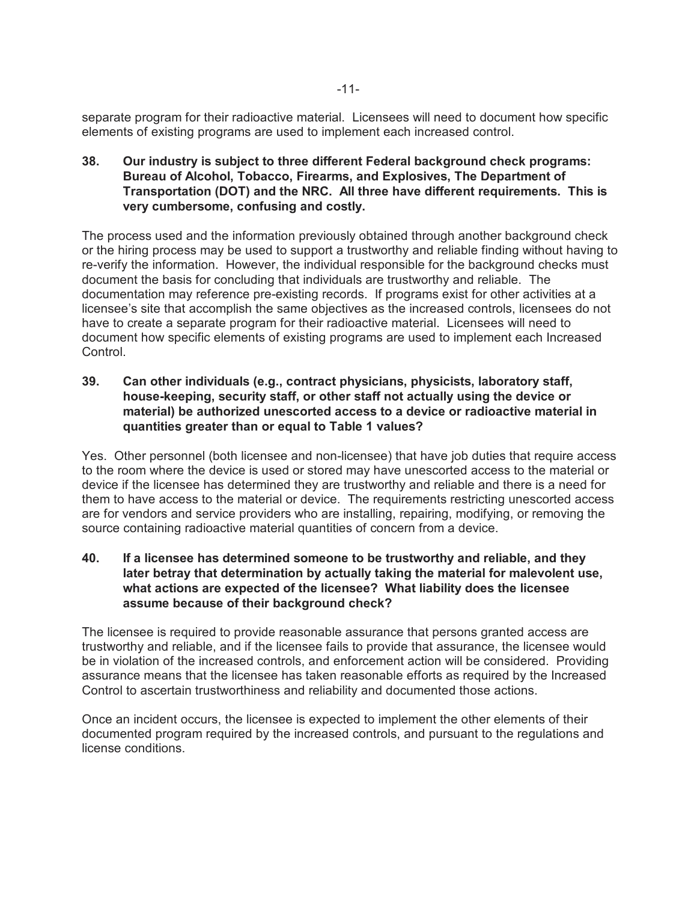separate program for their radioactive material. Licensees will need to document how specific elements of existing programs are used to implement each increased control.

**38. Our industry is subject to three different Federal background check programs: Bureau of Alcohol, Tobacco, Firearms, and Explosives, The Department of Transportation (DOT) and the NRC. All three have different requirements. This is very cumbersome, confusing and costly.**

The process used and the information previously obtained through another background check or the hiring process may be used to support a trustworthy and reliable finding without having to re-verify the information.However, the individual responsible for the background checks must document the basis for concluding that individuals are trustworthy and reliable. The documentation may reference pre-existing records. If programs exist for other activities at a licensee's site that accomplish the same objectives as the increased controls, licensees do not have to create a separate program for their radioactive material. Licensees will need to document how specific elements of existing programs are used to implement each Increased Control.

**39. Can other individuals (e.g., contract physicians, physicists, laboratory staff, house-keeping, security staff, or other staff not actually using the device or material) be authorized unescorted access to a device or radioactive material in quantities greater than or equal to Table 1 values?**

Yes. Other personnel (both licensee and non-licensee) that have job duties that require access to the room where the device is used or stored may have unescorted access to the material or device if the licensee has determined they are trustworthy and reliable and there is a need for them to have access to the material or device. The requirements restricting unescorted access are for vendors and service providers who are installing, repairing, modifying, or removing the source containing radioactive material quantities of concern from a device.

**40. If a licensee has determined someone to be trustworthy and reliable, and they later betray that determination by actually taking the material for malevolent use, what actions are expected of the licensee? What liability does the licensee assume because of their background check?**

The licensee is required to provide reasonable assurance that persons granted access are trustworthy and reliable, and if the licensee fails to provide that assurance, the licensee would be in violation of the increased controls, and enforcement action will be considered. Providing assurance means that the licensee has taken reasonable efforts as required by the Increased Control to ascertain trustworthiness and reliability and documented those actions.

Once an incident occurs, the licensee is expected to implement the other elements of their documented program required by the increased controls, and pursuant to the regulations and license conditions.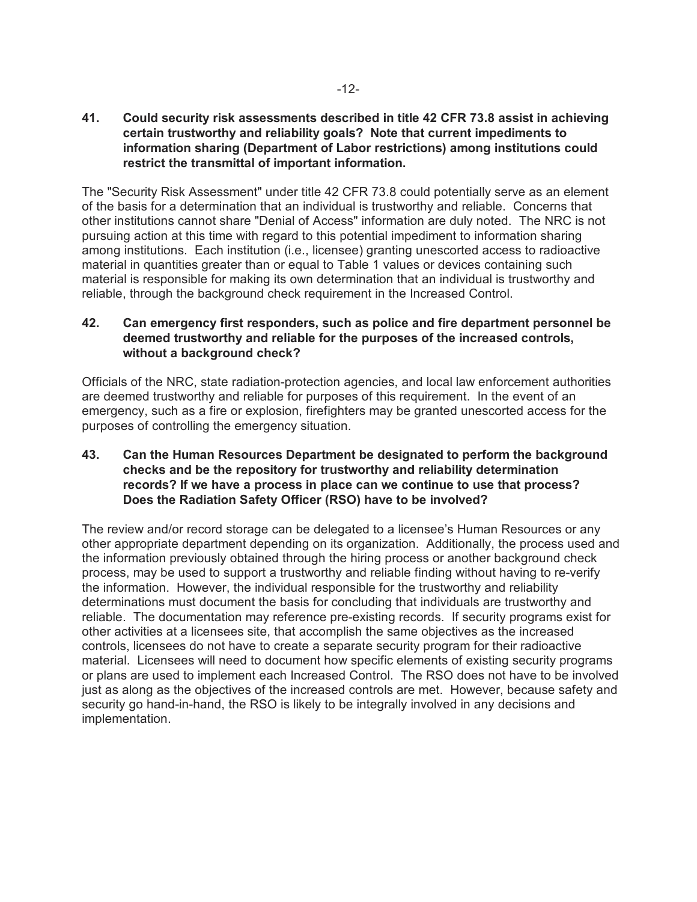**41. Could security risk assessments described in title 42 CFR 73.8 assist in achieving certain trustworthy and reliability goals? Note that current impediments to information sharing (Department of Labor restrictions) among institutions could restrict the transmittal of important information.** 

The "Security Risk Assessment" under title 42 CFR 73.8 could potentially serve as an element of the basis for a determination that an individual is trustworthy and reliable. Concerns that other institutions cannot share "Denial of Access" information are duly noted. The NRC is not pursuing action at this time with regard to this potential impediment to information sharing among institutions. Each institution (i.e., licensee) granting unescorted access to radioactive material in quantities greater than or equal to Table 1 values or devices containing such material is responsible for making its own determination that an individual is trustworthy and reliable, through the background check requirement in the Increased Control.

## **42. Can emergency first responders, such as police and fire department personnel be deemed trustworthy and reliable for the purposes of the increased controls, without a background check?**

Officials of the NRC, state radiation-protection agencies, and local law enforcement authorities are deemed trustworthy and reliable for purposes of this requirement. In the event of an emergency, such as a fire or explosion, firefighters may be granted unescorted access for the purposes of controlling the emergency situation.

## **43. Can the Human Resources Department be designated to perform the background checks and be the repository for trustworthy and reliability determination records? If we have a process in place can we continue to use that process? Does the Radiation Safety Officer (RSO) have to be involved?**

The review and/or record storage can be delegated to a licensee's Human Resources or any other appropriate department depending on its organization. Additionally, the process used and the information previously obtained through the hiring process or another background check process, may be used to support a trustworthy and reliable finding without having to re-verify the information.However, the individual responsible for the trustworthy and reliability determinations must document the basis for concluding that individuals are trustworthy and reliable. The documentation may reference pre-existing records.If security programs exist for other activities at a licensees site, that accomplish the same objectives as the increased controls, licensees do not have to create a separate security program for their radioactive material. Licensees will need to document how specific elements of existing security programs or plans are used to implement each Increased Control. The RSO does not have to be involved just as along as the objectives of the increased controls are met. However, because safety and security go hand-in-hand, the RSO is likely to be integrally involved in any decisions and implementation.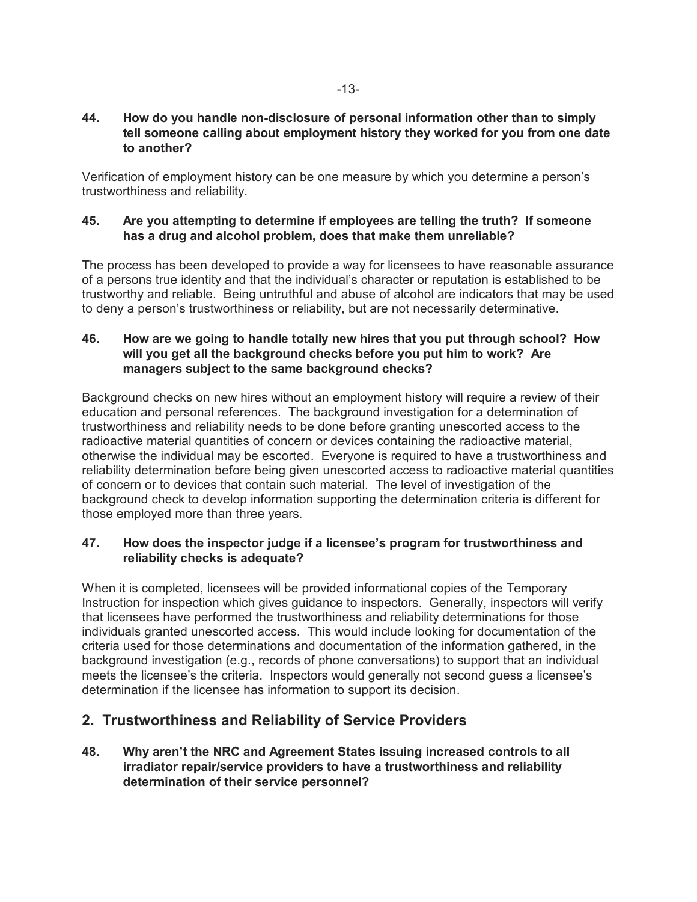#### **44. How do you handle non-disclosure of personal information other than to simply tell someone calling about employment history they worked for you from one date to another?**

Verification of employment history can be one measure by which you determine a person's trustworthiness and reliability.

#### **45. Are you attempting to determine if employees are telling the truth? If someone has a drug and alcohol problem, does that make them unreliable?**

The process has been developed to provide a way for licensees to have reasonable assurance of a persons true identity and that the individual's character or reputation is established to be trustworthy and reliable. Being untruthful and abuse of alcohol are indicators that may be used to deny a person's trustworthiness or reliability, but are not necessarily determinative.

## **46. How are we going to handle totally new hires that you put through school? How will you get all the background checks before you put him to work? Are managers subject to the same background checks?**

Background checks on new hires without an employment history will require a review of their education and personal references. The background investigation for a determination of trustworthiness and reliability needs to be done before granting unescorted access to the radioactive material quantities of concern or devices containing the radioactive material, otherwise the individual may be escorted. Everyone is required to have a trustworthiness and reliability determination before being given unescorted access to radioactive material quantities of concern or to devices that contain such material. The level of investigation of the background check to develop information supporting the determination criteria is different for those employed more than three years.

## **47. How does the inspector judge if a licensee's program for trustworthiness and reliability checks is adequate?**

When it is completed, licensees will be provided informational copies of the Temporary Instruction for inspection which gives guidance to inspectors. Generally, inspectors will verify that licensees have performed the trustworthiness and reliability determinations for those individuals granted unescorted access. This would include looking for documentation of the criteria used for those determinations and documentation of the information gathered, in the background investigation (e.g., records of phone conversations) to support that an individual meets the licensee's the criteria. Inspectors would generally not second guess a licensee's determination if the licensee has information to support its decision.

# **2. Trustworthiness and Reliability of Service Providers**

**48. Why aren't the NRC and Agreement States issuing increased controls to all irradiator repair/service providers to have a trustworthiness and reliability determination of their service personnel?**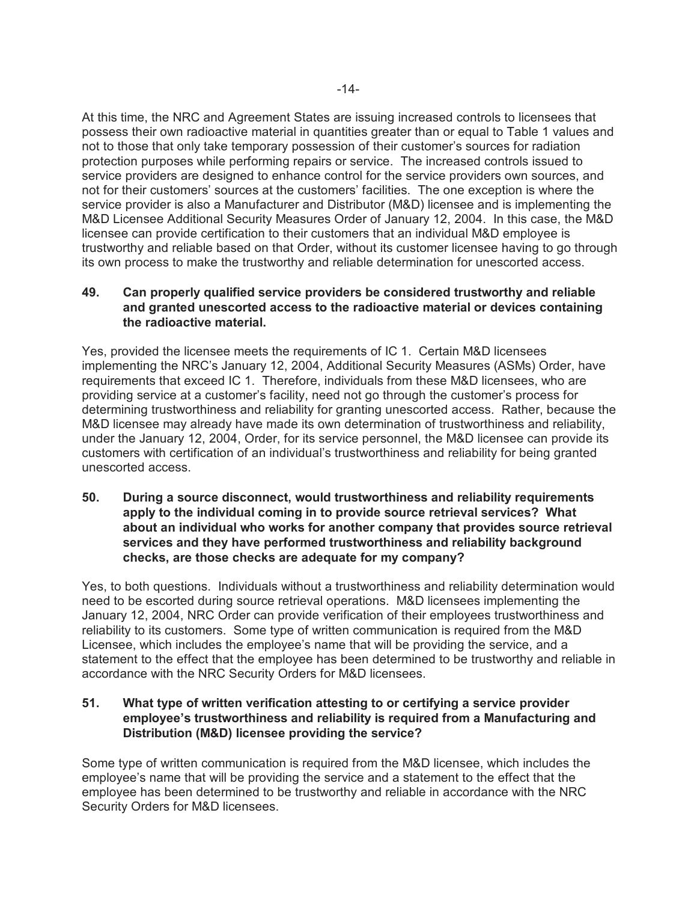At this time, the NRC and Agreement States are issuing increased controls to licensees that possess their own radioactive material in quantities greater than or equal to Table 1 values and not to those that only take temporary possession of their customer's sources for radiation protection purposes while performing repairs or service. The increased controls issued to service providers are designed to enhance control for the service providers own sources, and not for their customers' sources at the customers' facilities. The one exception is where the service provider is also a Manufacturer and Distributor (M&D) licensee and is implementing the M&D Licensee Additional Security Measures Order of January 12, 2004. In this case, the M&D licensee can provide certification to their customers that an individual M&D employee is trustworthy and reliable based on that Order, without its customer licensee having to go through its own process to make the trustworthy and reliable determination for unescorted access.

## **49. Can properly qualified service providers be considered trustworthy and reliable and granted unescorted access to the radioactive material or devices containing the radioactive material.**

Yes, provided the licensee meets the requirements of IC 1. Certain M&D licensees implementing the NRC's January 12, 2004, Additional Security Measures (ASMs) Order, have requirements that exceed IC 1. Therefore, individuals from these M&D licensees, who are providing service at a customer's facility, need not go through the customer's process for determining trustworthiness and reliability for granting unescorted access. Rather, because the M&D licensee may already have made its own determination of trustworthiness and reliability, under the January 12, 2004, Order, for its service personnel, the M&D licensee can provide its customers with certification of an individual's trustworthiness and reliability for being granted unescorted access.

**50. During a source disconnect, would trustworthiness and reliability requirements apply to the individual coming in to provide source retrieval services? What about an individual who works for another company that provides source retrieval services and they have performed trustworthiness and reliability background checks, are those checks are adequate for my company?**

Yes, to both questions. Individuals without a trustworthiness and reliability determination would need to be escorted during source retrieval operations. M&D licensees implementing the January 12, 2004, NRC Order can provide verification of their employees trustworthiness and reliability to its customers. Some type of written communication is required from the M&D Licensee, which includes the employee's name that will be providing the service, and a statement to the effect that the employee has been determined to be trustworthy and reliable in accordance with the NRC Security Orders for M&D licensees.

## **51. What type of written verification attesting to or certifying a service provider employee's trustworthiness and reliability is required from a Manufacturing and Distribution (M&D) licensee providing the service?**

Some type of written communication is required from the M&D licensee, which includes the employee's name that will be providing the service and a statement to the effect that the employee has been determined to be trustworthy and reliable in accordance with the NRC Security Orders for M&D licensees.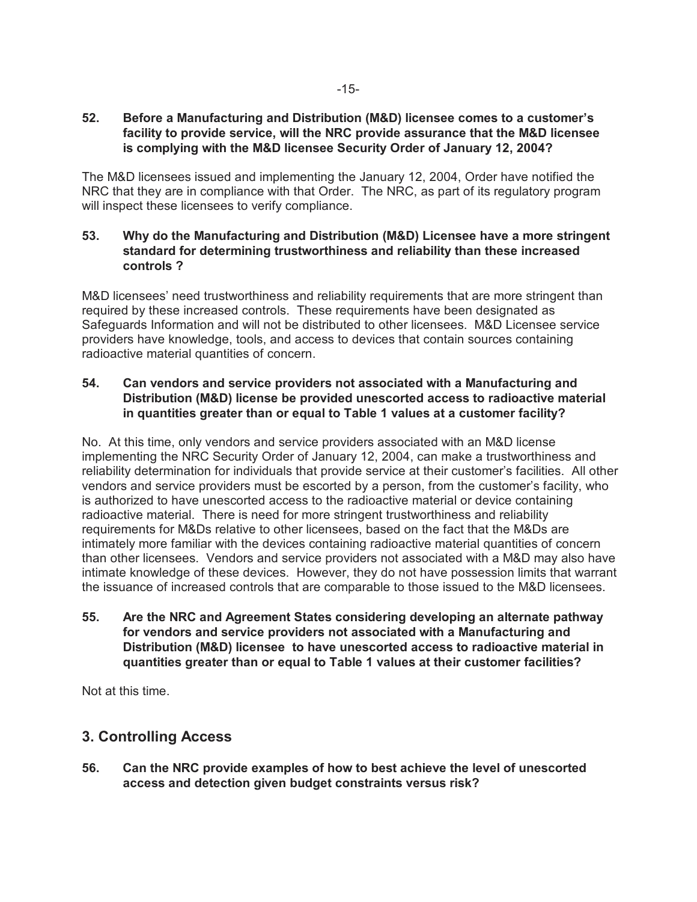## **52. Before a Manufacturing and Distribution (M&D) licensee comes to a customer's facility to provide service, will the NRC provide assurance that the M&D licensee is complying with the M&D licensee Security Order of January 12, 2004?**

The M&D licensees issued and implementing the January 12, 2004, Order have notified the NRC that they are in compliance with that Order. The NRC, as part of its regulatory program will inspect these licensees to verify compliance.

## **53. Why do the Manufacturing and Distribution (M&D) Licensee have a more stringent standard for determining trustworthiness and reliability than these increased controls ?**

M&D licensees' need trustworthiness and reliability requirements that are more stringent than required by these increased controls. These requirements have been designated as Safeguards Information and will not be distributed to other licensees. M&D Licensee service providers have knowledge, tools, and access to devices that contain sources containing radioactive material quantities of concern.

## **54. Can vendors and service providers not associated with a Manufacturing and Distribution (M&D) license be provided unescorted access to radioactive material in quantities greater than or equal to Table 1 values at a customer facility?**

No. At this time, only vendors and service providers associated with an M&D license implementing the NRC Security Order of January 12, 2004, can make a trustworthiness and reliability determination for individuals that provide service at their customer's facilities. All other vendors and service providers must be escorted by a person, from the customer's facility, who is authorized to have unescorted access to the radioactive material or device containing radioactive material. There is need for more stringent trustworthiness and reliability requirements for M&Ds relative to other licensees, based on the fact that the M&Ds are intimately more familiar with the devices containing radioactive material quantities of concern than other licensees. Vendors and service providers not associated with a M&D may also have intimate knowledge of these devices. However, they do not have possession limits that warrant the issuance of increased controls that are comparable to those issued to the M&D licensees.

**55. Are the NRC and Agreement States considering developing an alternate pathway for vendors and service providers not associated with a Manufacturing and Distribution (M&D) licensee to have unescorted access to radioactive material in quantities greater than or equal to Table 1 values at their customer facilities?**

Not at this time.

# **3. Controlling Access**

**56. Can the NRC provide examples of how to best achieve the level of unescorted access and detection given budget constraints versus risk?**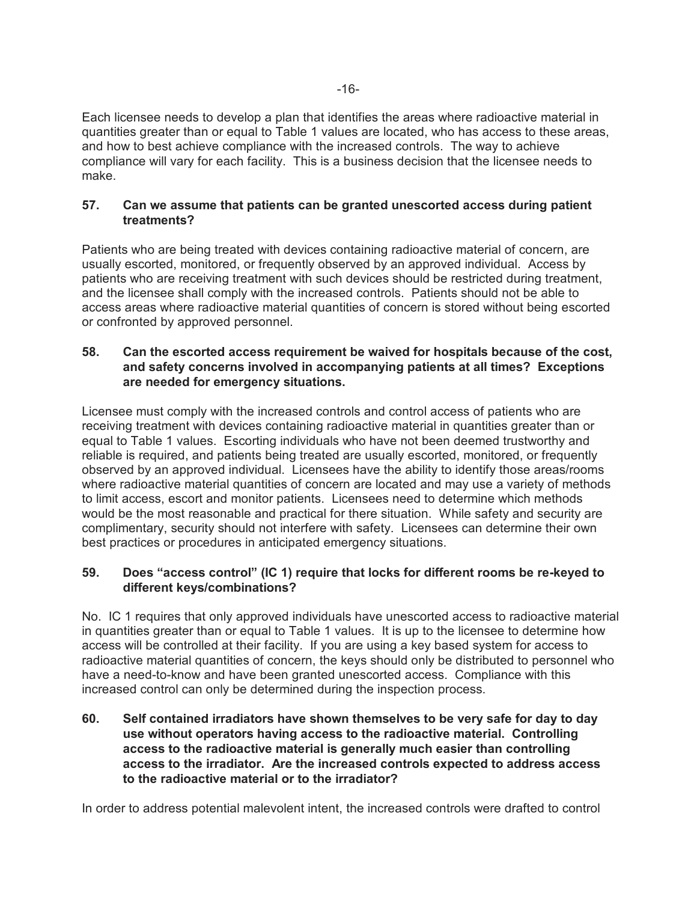Each licensee needs to develop a plan that identifies the areas where radioactive material in quantities greater than or equal to Table 1 values are located, who has access to these areas, and how to best achieve compliance with the increased controls. The way to achieve compliance will vary for each facility. This is a business decision that the licensee needs to make.

#### **57. Can we assume that patients can be granted unescorted access during patient treatments?**

Patients who are being treated with devices containing radioactive material of concern, are usually escorted, monitored, or frequently observed by an approved individual. Access by patients who are receiving treatment with such devices should be restricted during treatment, and the licensee shall comply with the increased controls. Patients should not be able to access areas where radioactive material quantities of concern is stored without being escorted or confronted by approved personnel.

## **58. Can the escorted access requirement be waived for hospitals because of the cost, and safety concerns involved in accompanying patients at all times? Exceptions are needed for emergency situations.**

Licensee must comply with the increased controls and control access of patients who are receiving treatment with devices containing radioactive material in quantities greater than or equal to Table 1 values. Escorting individuals who have not been deemed trustworthy and reliable is required, and patients being treated are usually escorted, monitored, or frequently observed by an approved individual. Licensees have the ability to identify those areas/rooms where radioactive material quantities of concern are located and may use a variety of methods to limit access, escort and monitor patients.Licensees need to determine which methods would be the most reasonable and practical for there situation. While safety and security are complimentary, security should not interfere with safety. Licensees can determine their own best practices or procedures in anticipated emergency situations.

## **59. Does "access control" (IC 1) require that locks for different rooms be re-keyed to different keys/combinations?**

No. IC 1 requires that only approved individuals have unescorted access to radioactive material in quantities greater than or equal to Table 1 values. It is up to the licensee to determine how access will be controlled at their facility. If you are using a key based system for access to radioactive material quantities of concern, the keys should only be distributed to personnel who have a need-to-know and have been granted unescorted access. Compliance with this increased control can only be determined during the inspection process.

**60. Self contained irradiators have shown themselves to be very safe for day to day use without operators having access to the radioactive material. Controlling access to the radioactive material is generally much easier than controlling access to the irradiator. Are the increased controls expected to address access to the radioactive material or to the irradiator?** 

In order to address potential malevolent intent, the increased controls were drafted to control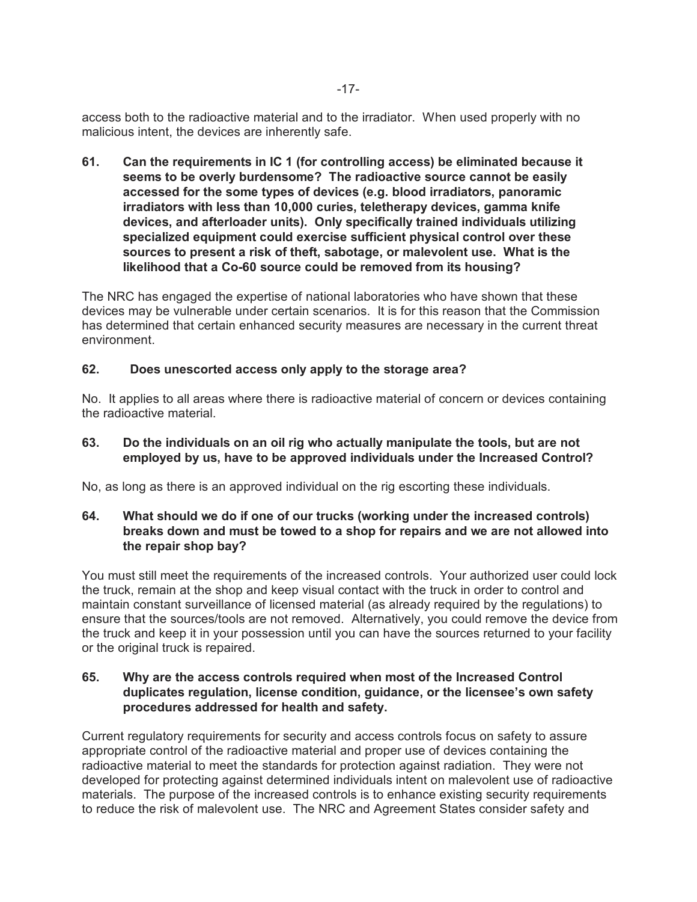access both to the radioactive material and to the irradiator. When used properly with no malicious intent, the devices are inherently safe.

**61. Can the requirements in IC 1 (for controlling access) be eliminated because it seems to be overly burdensome? The radioactive source cannot be easily accessed for the some types of devices (e.g. blood irradiators, panoramic irradiators with less than 10,000 curies, teletherapy devices, gamma knife devices, and afterloader units). Only specifically trained individuals utilizing specialized equipment could exercise sufficient physical control over these sources to present a risk of theft, sabotage, or malevolent use. What is the likelihood that a Co-60 source could be removed from its housing?** 

The NRC has engaged the expertise of national laboratories who have shown that these devices may be vulnerable under certain scenarios. It is for this reason that the Commission has determined that certain enhanced security measures are necessary in the current threat environment.

#### **62. Does unescorted access only apply to the storage area?**

No. It applies to all areas where there is radioactive material of concern or devices containing the radioactive material.

## **63. Do the individuals on an oil rig who actually manipulate the tools, but are not employed by us, have to be approved individuals under the Increased Control?**

No, as long as there is an approved individual on the rig escorting these individuals.

## **64. What should we do if one of our trucks (working under the increased controls) breaks down and must be towed to a shop for repairs and we are not allowed into the repair shop bay?**

You must still meet the requirements of the increased controls. Your authorized user could lock the truck, remain at the shop and keep visual contact with the truck in order to control and maintain constant surveillance of licensed material (as already required by the regulations) to ensure that the sources/tools are not removed. Alternatively, you could remove the device from the truck and keep it in your possession until you can have the sources returned to your facility or the original truck is repaired.

#### **65. Why are the access controls required when most of the Increased Control duplicates regulation, license condition, guidance, or the licensee's own safety procedures addressed for health and safety.**

Current regulatory requirements for security and access controls focus on safety to assure appropriate control of the radioactive material and proper use of devices containing the radioactive material to meet the standards for protection against radiation. They were not developed for protecting against determined individuals intent on malevolent use of radioactive materials. The purpose of the increased controls is to enhance existing security requirements to reduce the risk of malevolent use. The NRC and Agreement States consider safety and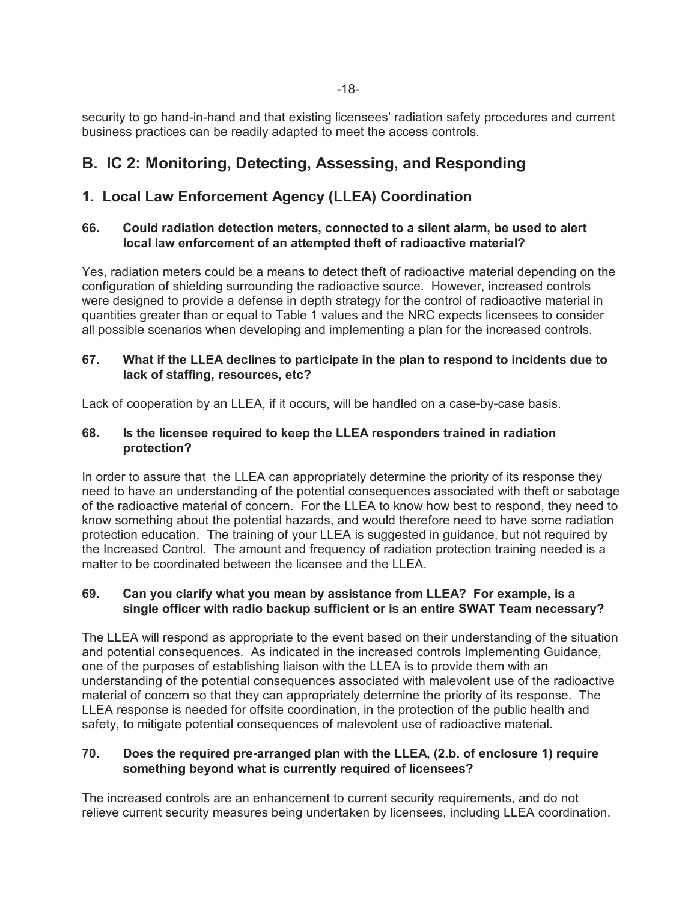security to go hand-in-hand and that existing licensees' radiation safety procedures and current business practices can be readily adapted to meet the access controls.

# **B. IC 2: Monitoring, Detecting, Assessing, and Responding**

# **1. Local Law Enforcement Agency (LLEA) Coordination**

## **66. Could radiation detection meters, connected to a silent alarm, be used to alert local law enforcement of an attempted theft of radioactive material?**

Yes, radiation meters could be a means to detect theft of radioactive material depending on the configuration of shielding surrounding the radioactive source. However, increased controls were designed to provide a defense in depth strategy for the control of radioactive material in quantities greater than or equal to Table 1 values and the NRC expects licensees to consider all possible scenarios when developing and implementing a plan for the increased controls.

## **67. What if the LLEA declines to participate in the plan to respond to incidents due to lack of staffing, resources, etc?**

Lack of cooperation by an LLEA, if it occurs, will be handled on a case-by-case basis.

## **68. Is the licensee required to keep the LLEA responders trained in radiation protection?**

In order to assure that the LLEA can appropriately determine the priority of its response they need to have an understanding of the potential consequences associated with theft or sabotage of the radioactive material of concern. For the LLEA to know how best to respond, they need to know something about the potential hazards, and would therefore need to have some radiation protection education. The training of your LLEA is suggested in guidance, but not required by the Increased Control. The amount and frequency of radiation protection training needed is a matter to be coordinated between the licensee and the LLEA.

## **69. Can you clarify what you mean by assistance from LLEA? For example, is a single officer with radio backup sufficient or is an entire SWAT Team necessary?**

The LLEA will respond as appropriate to the event based on their understanding of the situation and potential consequences. As indicated in the increased controls Implementing Guidance, one of the purposes of establishing liaison with the LLEA is to provide them with an understanding of the potential consequences associated with malevolent use of the radioactive material of concern so that they can appropriately determine the priority of its response. The LLEA response is needed for offsite coordination, in the protection of the public health and safety, to mitigate potential consequences of malevolent use of radioactive material.

## **70. Does the required pre-arranged plan with the LLEA, (2.b. of enclosure 1) require something beyond what is currently required of licensees?**

The increased controls are an enhancement to current security requirements, and do not relieve current security measures being undertaken by licensees, including LLEA coordination.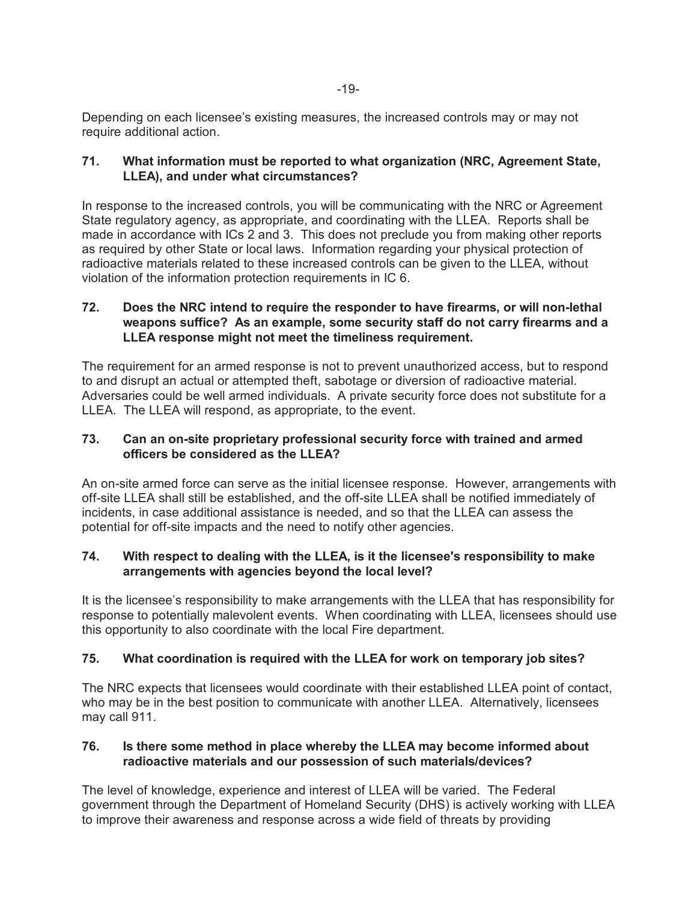Depending on each licensee's existing measures, the increased controls may or may not require additional action.

## **71. What information must be reported to what organization (NRC, Agreement State, LLEA), and under what circumstances?**

In response to the increased controls, you will be communicating with the NRC or Agreement State regulatory agency, as appropriate, and coordinating with the LLEA. Reports shall be made in accordance with ICs 2 and 3. This does not preclude you from making other reports as required by other State or local laws. Information regarding your physical protection of radioactive materials related to these increased controls can be given to the LLEA, without violation of the information protection requirements in IC 6.

## **72. Does the NRC intend to require the responder to have firearms, or will non-lethal weapons suffice? As an example, some security staff do not carry firearms and a LLEA response might not meet the timeliness requirement.**

The requirement for an armed response is not to prevent unauthorized access, but to respond to and disrupt an actual or attempted theft, sabotage or diversion of radioactive material. Adversaries could be well armed individuals. A private security force does not substitute for a LLEA. The LLEA will respond, as appropriate, to the event.

## **73. Can an on-site proprietary professional security force with trained and armed officers be considered as the LLEA?**

An on-site armed force can serve as the initial licensee response. However, arrangements with off-site LLEA shall still be established, and the off-site LLEA shall be notified immediately of incidents, in case additional assistance is needed, and so that the LLEA can assess the potential for off-site impacts and the need to notify other agencies.

## **74. With respect to dealing with the LLEA, is it the licensee's responsibility to make arrangements with agencies beyond the local level?**

It is the licensee's responsibility to make arrangements with the LLEA that has responsibility for response to potentially malevolent events. When coordinating with LLEA, licensees should use this opportunity to also coordinate with the local Fire department.

## **75. What coordination is required with the LLEA for work on temporary job sites?**

The NRC expects that licensees would coordinate with their established LLEA point of contact, who may be in the best position to communicate with another LLEA. Alternatively, licensees may call 911.

## **76. Is there some method in place whereby the LLEA may become informed about radioactive materials and our possession of such materials/devices?**

The level of knowledge, experience and interest of LLEA will be varied. The Federal government through the Department of Homeland Security (DHS) is actively working with LLEA to improve their awareness and response across a wide field of threats by providing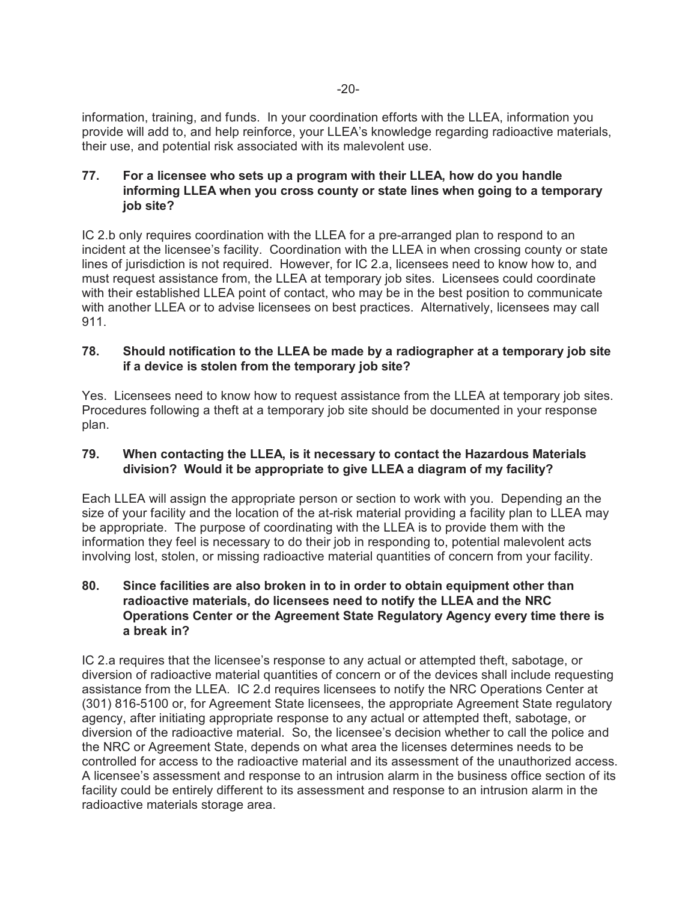information, training, and funds. In your coordination efforts with the LLEA, information you provide will add to, and help reinforce, your LLEA's knowledge regarding radioactive materials, their use, and potential risk associated with its malevolent use.

## **77. For a licensee who sets up a program with their LLEA, how do you handle informing LLEA when you cross county or state lines when going to a temporary job site?**

IC 2.b only requires coordination with the LLEA for a pre-arranged plan to respond to an incident at the licensee's facility. Coordination with the LLEA in when crossing county or state lines of jurisdiction is not required. However, for IC 2.a, licensees need to know how to, and must request assistance from, the LLEA at temporary job sites. Licensees could coordinate with their established LLEA point of contact, who may be in the best position to communicate with another LLEA or to advise licensees on best practices. Alternatively, licensees may call 911.

## **78. Should notification to the LLEA be made by a radiographer at a temporary job site if a device is stolen from the temporary job site?**

Yes. Licensees need to know how to request assistance from the LLEA at temporary job sites. Procedures following a theft at a temporary job site should be documented in your response plan.

## **79. When contacting the LLEA, is it necessary to contact the Hazardous Materials division? Would it be appropriate to give LLEA a diagram of my facility?**

Each LLEA will assign the appropriate person or section to work with you. Depending an the size of your facility and the location of the at-risk material providing a facility plan to LLEA may be appropriate. The purpose of coordinating with the LLEA is to provide them with the information they feel is necessary to do their job in responding to, potential malevolent acts involving lost, stolen, or missing radioactive material quantities of concern from your facility.

## **80. Since facilities are also broken in to in order to obtain equipment other than radioactive materials, do licensees need to notify the LLEA and the NRC Operations Center or the Agreement State Regulatory Agency every time there is a break in?**

IC 2.a requires that the licensee's response to any actual or attempted theft, sabotage, or diversion of radioactive material quantities of concern or of the devices shall include requesting assistance from the LLEA. IC 2.d requires licensees to notify the NRC Operations Center at (301) 816-5100 or, for Agreement State licensees, the appropriate Agreement State regulatory agency, after initiating appropriate response to any actual or attempted theft, sabotage, or diversion of the radioactive material. So, the licensee's decision whether to call the police and the NRC or Agreement State, depends on what area the licenses determines needs to be controlled for access to the radioactive material and its assessment of the unauthorized access. A licensee's assessment and response to an intrusion alarm in the business office section of its facility could be entirely different to its assessment and response to an intrusion alarm in the radioactive materials storage area.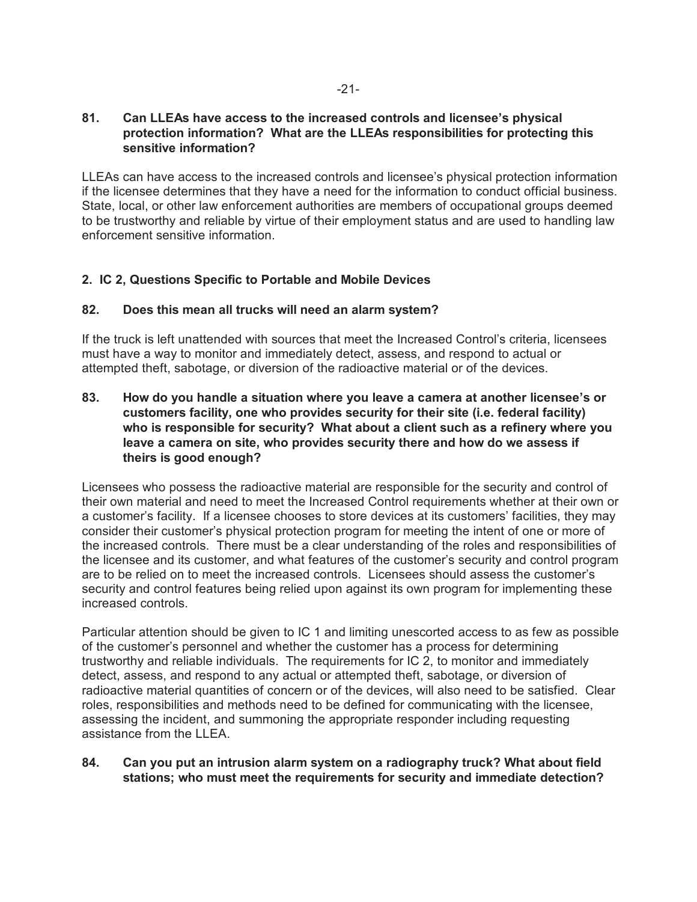#### **81. Can LLEAs have access to the increased controls and licensee's physical protection information? What are the LLEAs responsibilities for protecting this sensitive information?**

LLEAs can have access to the increased controls and licensee's physical protection information if the licensee determines that they have a need for the information to conduct official business. State, local, or other law enforcement authorities are members of occupational groups deemed to be trustworthy and reliable by virtue of their employment status and are used to handling law enforcement sensitive information.

## **2. IC 2, Questions Specific to Portable and Mobile Devices**

#### **82. Does this mean all trucks will need an alarm system?**

If the truck is left unattended with sources that meet the Increased Control's criteria, licensees must have a way to monitor and immediately detect, assess, and respond to actual or attempted theft, sabotage, or diversion of the radioactive material or of the devices.

## **83. How do you handle a situation where you leave a camera at another licensee's or customers facility, one who provides security for their site (i.e. federal facility) who is responsible for security? What about a client such as a refinery where you leave a camera on site, who provides security there and how do we assess if theirs is good enough?**

Licensees who possess the radioactive material are responsible for the security and control of their own material and need to meet the Increased Control requirements whether at their own or a customer's facility. If a licensee chooses to store devices at its customers' facilities, they may consider their customer's physical protection program for meeting the intent of one or more of the increased controls. There must be a clear understanding of the roles and responsibilities of the licensee and its customer, and what features of the customer's security and control program are to be relied on to meet the increased controls. Licensees should assess the customer's security and control features being relied upon against its own program for implementing these increased controls.

Particular attention should be given to IC 1 and limiting unescorted access to as few as possible of the customer's personnel and whether the customer has a process for determining trustworthy and reliable individuals. The requirements for IC 2, to monitor and immediately detect, assess, and respond to any actual or attempted theft, sabotage, or diversion of radioactive material quantities of concern or of the devices, will also need to be satisfied. Clear roles, responsibilities and methods need to be defined for communicating with the licensee, assessing the incident, and summoning the appropriate responder including requesting assistance from the LLEA.

#### **84. Can you put an intrusion alarm system on a radiography truck? What about field stations; who must meet the requirements for security and immediate detection?**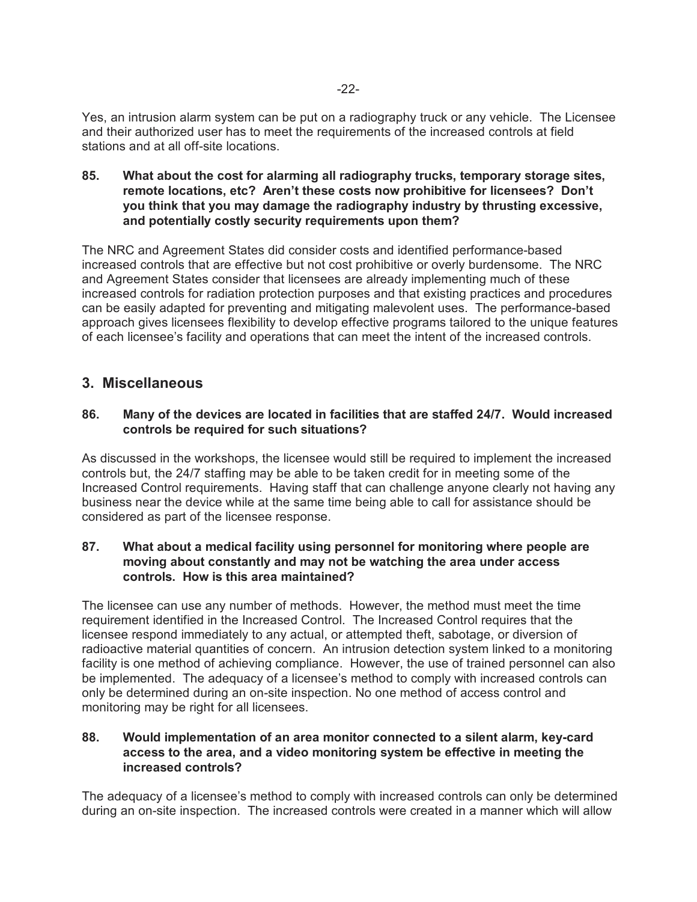Yes, an intrusion alarm system can be put on a radiography truck or any vehicle. The Licensee and their authorized user has to meet the requirements of the increased controls at field stations and at all off-site locations.

**85. What about the cost for alarming all radiography trucks, temporary storage sites, remote locations, etc? Aren't these costs now prohibitive for licensees? Don't you think that you may damage the radiography industry by thrusting excessive, and potentially costly security requirements upon them?**

The NRC and Agreement States did consider costs and identified performance-based increased controls that are effective but not cost prohibitive or overly burdensome. The NRC and Agreement States consider that licensees are already implementing much of these increased controls for radiation protection purposes and that existing practices and procedures can be easily adapted for preventing and mitigating malevolent uses. The performance-based approach gives licensees flexibility to develop effective programs tailored to the unique features of each licensee's facility and operations that can meet the intent of the increased controls.

## **3. Miscellaneous**

#### **86. Many of the devices are located in facilities that are staffed 24/7. Would increased controls be required for such situations?**

As discussed in the workshops, the licensee would still be required to implement the increased controls but, the 24/7 staffing may be able to be taken credit for in meeting some of the Increased Control requirements. Having staff that can challenge anyone clearly not having any business near the device while at the same time being able to call for assistance should be considered as part of the licensee response.

#### **87. What about a medical facility using personnel for monitoring where people are moving about constantly and may not be watching the area under access controls. How is this area maintained?**

The licensee can use any number of methods. However, the method must meet the time requirement identified in the Increased Control. The Increased Control requires that the licensee respond immediately to any actual, or attempted theft, sabotage, or diversion of radioactive material quantities of concern. An intrusion detection system linked to a monitoring facility is one method of achieving compliance. However, the use of trained personnel can also be implemented. The adequacy of a licensee's method to comply with increased controls can only be determined during an on-site inspection. No one method of access control and monitoring may be right for all licensees.

#### **88. Would implementation of an area monitor connected to a silent alarm, key-card access to the area, and a video monitoring system be effective in meeting the increased controls?**

The adequacy of a licensee's method to comply with increased controls can only be determined during an on-site inspection. The increased controls were created in a manner which will allow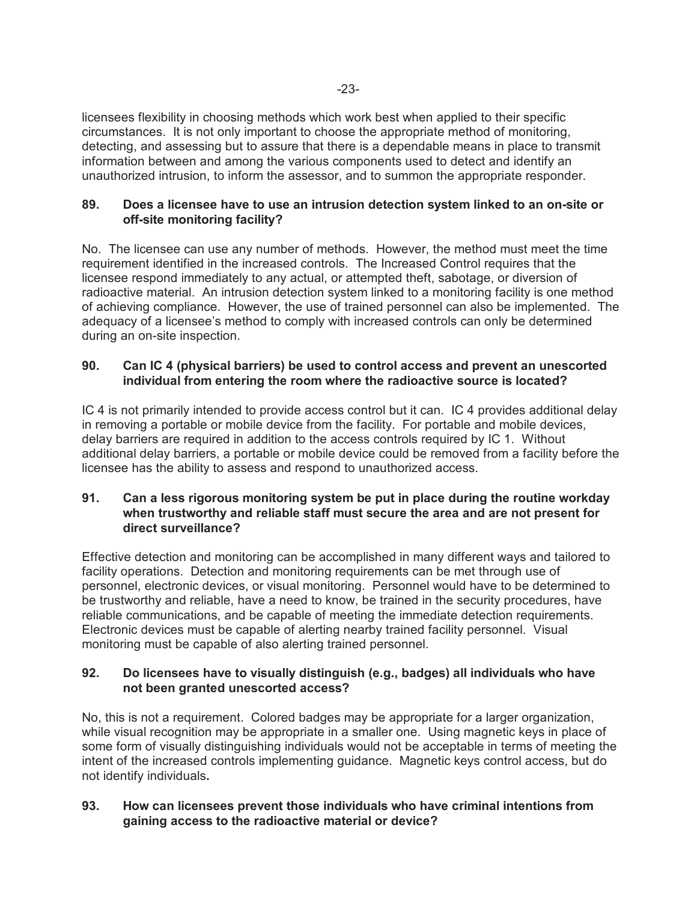licensees flexibility in choosing methods which work best when applied to their specific circumstances. It is not only important to choose the appropriate method of monitoring, detecting, and assessing but to assure that there is a dependable means in place to transmit information between and among the various components used to detect and identify an unauthorized intrusion, to inform the assessor, and to summon the appropriate responder.

#### **89. Does a licensee have to use an intrusion detection system linked to an on-site or off-site monitoring facility?**

No. The licensee can use any number of methods. However, the method must meet the time requirement identified in the increased controls. The Increased Control requires that the licensee respond immediately to any actual, or attempted theft, sabotage, or diversion of radioactive material. An intrusion detection system linked to a monitoring facility is one method of achieving compliance. However, the use of trained personnel can also be implemented. The adequacy of a licensee's method to comply with increased controls can only be determined during an on-site inspection.

## **90. Can IC 4 (physical barriers) be used to control access and prevent an unescorted individual from entering the room where the radioactive source is located?**

IC 4 is not primarily intended to provide access control but it can. IC 4 provides additional delay in removing a portable or mobile device from the facility. For portable and mobile devices, delay barriers are required in addition to the access controls required by IC 1. Without additional delay barriers, a portable or mobile device could be removed from a facility before the licensee has the ability to assess and respond to unauthorized access.

## **91. Can a less rigorous monitoring system be put in place during the routine workday when trustworthy and reliable staff must secure the area and are not present for direct surveillance?**

Effective detection and monitoring can be accomplished in many different ways and tailored to facility operations. Detection and monitoring requirements can be met through use of personnel, electronic devices, or visual monitoring. Personnel would have to be determined to be trustworthy and reliable, have a need to know, be trained in the security procedures, have reliable communications, and be capable of meeting the immediate detection requirements. Electronic devices must be capable of alerting nearby trained facility personnel. Visual monitoring must be capable of also alerting trained personnel.

## **92. Do licensees have to visually distinguish (e.g., badges) all individuals who have not been granted unescorted access?**

No, this is not a requirement. Colored badges may be appropriate for a larger organization, while visual recognition may be appropriate in a smaller one. Using magnetic keys in place of some form of visually distinguishing individuals would not be acceptable in terms of meeting the intent of the increased controls implementing guidance. Magnetic keys control access, but do not identify individuals**.**

## **93. How can licensees prevent those individuals who have criminal intentions from gaining access to the radioactive material or device?**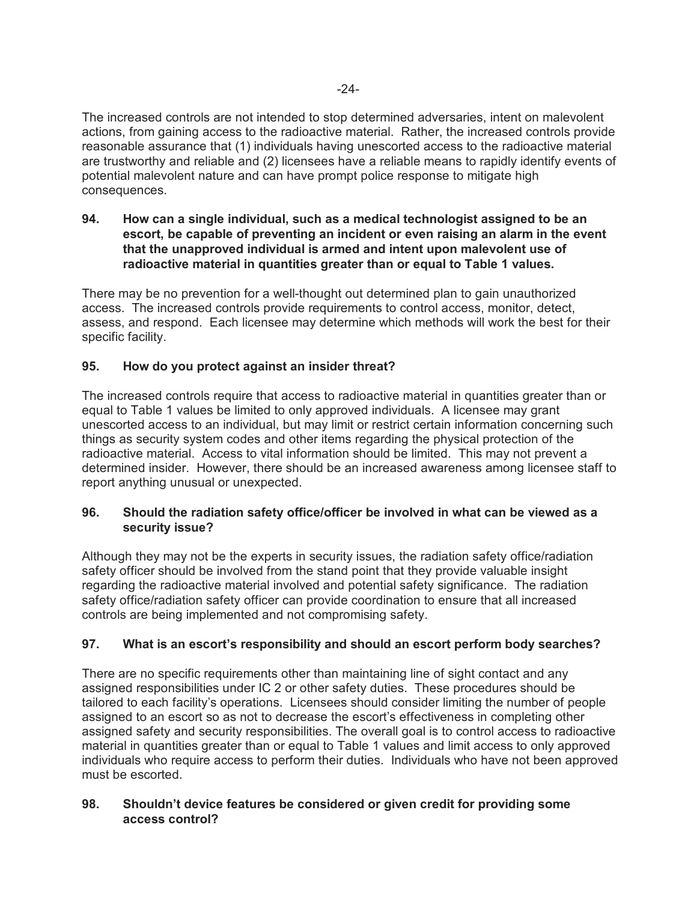The increased controls are not intended to stop determined adversaries, intent on malevolent actions, from gaining access to the radioactive material. Rather, the increased controls provide reasonable assurance that (1) individuals having unescorted access to the radioactive material are trustworthy and reliable and (2) licensees have a reliable means to rapidly identify events of potential malevolent nature and can have prompt police response to mitigate high consequences.

**94. How can a single individual, such as a medical technologist assigned to be an escort, be capable of preventing an incident or even raising an alarm in the event that the unapproved individual is armed and intent upon malevolent use of radioactive material in quantities greater than or equal to Table 1 values.**

There may be no prevention for a well-thought out determined plan to gain unauthorized access. The increased controls provide requirements to control access, monitor, detect, assess, and respond. Each licensee may determine which methods will work the best for their specific facility.

## **95. How do you protect against an insider threat?**

The increased controls require that access to radioactive material in quantities greater than or equal to Table 1 values be limited to only approved individuals. A licensee may grant unescorted access to an individual, but may limit or restrict certain information concerning such things as security system codes and other items regarding the physical protection of the radioactive material. Access to vital information should be limited. This may not prevent a determined insider. However, there should be an increased awareness among licensee staff to report anything unusual or unexpected.

## **96. Should the radiation safety office/officer be involved in what can be viewed as a security issue?**

Although they may not be the experts in security issues, the radiation safety office/radiation safety officer should be involved from the stand point that they provide valuable insight regarding the radioactive material involved and potential safety significance. The radiation safety office/radiation safety officer can provide coordination to ensure that all increased controls are being implemented and not compromising safety.

## **97. What is an escort's responsibility and should an escort perform body searches?**

There are no specific requirements other than maintaining line of sight contact and any assigned responsibilities under IC 2 or other safety duties. These procedures should be tailored to each facility's operations. Licensees should consider limiting the number of people assigned to an escort so as not to decrease the escort's effectiveness in completing other assigned safety and security responsibilities. The overall goal is to control access to radioactive material in quantities greater than or equal to Table 1 values and limit access to only approved individuals who require access to perform their duties. Individuals who have not been approved must be escorted.

## **98. Shouldn't device features be considered or given credit for providing some access control?**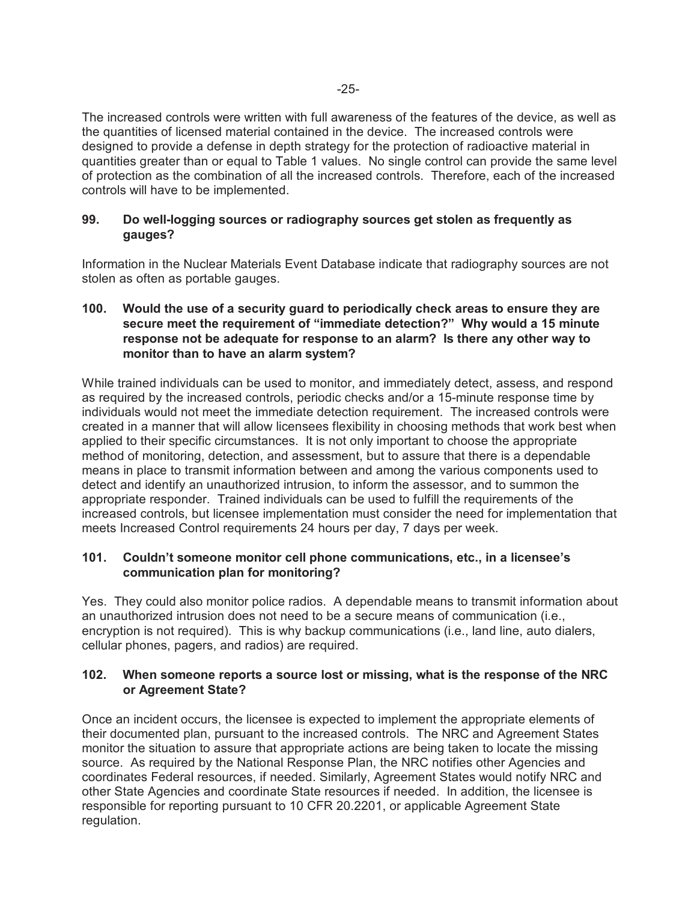The increased controls were written with full awareness of the features of the device, as well as the quantities of licensed material contained in the device. The increased controls were designed to provide a defense in depth strategy for the protection of radioactive material in quantities greater than or equal to Table 1 values. No single control can provide the same level of protection as the combination of all the increased controls. Therefore, each of the increased controls will have to be implemented.

## **99. Do well-logging sources or radiography sources get stolen as frequently as gauges?**

Information in the Nuclear Materials Event Database indicate that radiography sources are not stolen as often as portable gauges.

## **100. Would the use of a security guard to periodically check areas to ensure they are secure meet the requirement of "immediate detection?" Why would a 15 minute response not be adequate for response to an alarm? Is there any other way to monitor than to have an alarm system?**

While trained individuals can be used to monitor, and immediately detect, assess, and respond as required by the increased controls, periodic checks and/or a 15-minute response time by individuals would not meet the immediate detection requirement. The increased controls were created in a manner that will allow licensees flexibility in choosing methods that work best when applied to their specific circumstances. It is not only important to choose the appropriate method of monitoring, detection, and assessment, but to assure that there is a dependable means in place to transmit information between and among the various components used to detect and identify an unauthorized intrusion, to inform the assessor, and to summon the appropriate responder. Trained individuals can be used to fulfill the requirements of the increased controls, but licensee implementation must consider the need for implementation that meets Increased Control requirements 24 hours per day, 7 days per week.

## **101. Couldn't someone monitor cell phone communications, etc., in a licensee's communication plan for monitoring?**

Yes. They could also monitor police radios. A dependable means to transmit information about an unauthorized intrusion does not need to be a secure means of communication (i.e., encryption is not required).This is why backup communications (i.e., land line, auto dialers, cellular phones, pagers, and radios) are required.

## **102. When someone reports a source lost or missing, what is the response of the NRC or Agreement State?**

Once an incident occurs, the licensee is expected to implement the appropriate elements of their documented plan, pursuant to the increased controls. The NRC and Agreement States monitor the situation to assure that appropriate actions are being taken to locate the missing source. As required by the National Response Plan, the NRC notifies other Agencies and coordinates Federal resources, if needed. Similarly, Agreement States would notify NRC and other State Agencies and coordinate State resources if needed. In addition, the licensee is responsible for reporting pursuant to 10 CFR 20.2201, or applicable Agreement State regulation.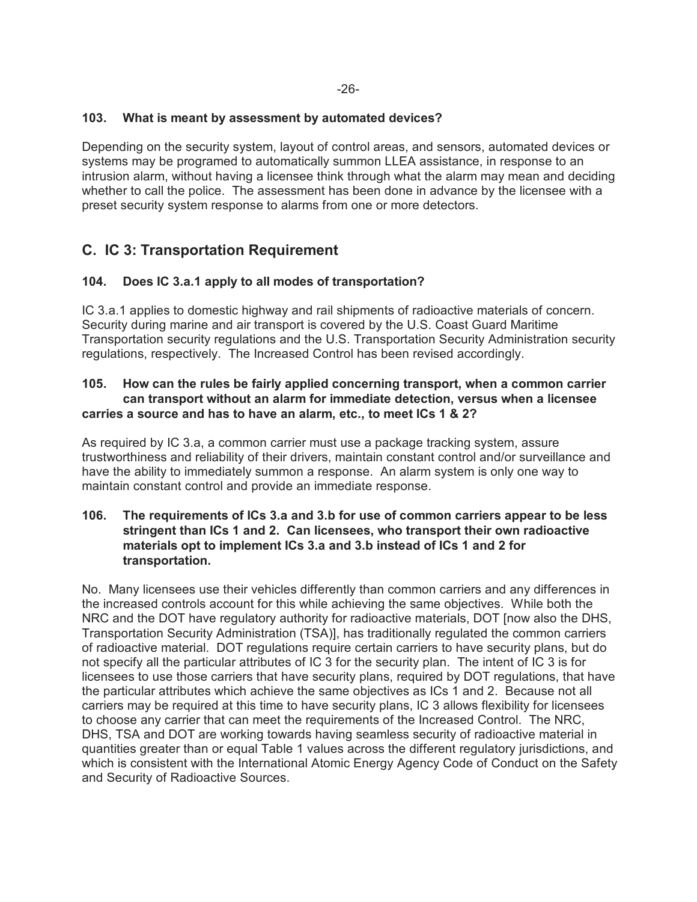#### **103. What is meant by assessment by automated devices?**

Depending on the security system, layout of control areas, and sensors, automated devices or systems may be programed to automatically summon LLEA assistance, in response to an intrusion alarm, without having a licensee think through what the alarm may mean and deciding whether to call the police. The assessment has been done in advance by the licensee with a preset security system response to alarms from one or more detectors.

# **C. IC 3: Transportation Requirement**

## **104. Does IC 3.a.1 apply to all modes of transportation?**

IC 3.a.1 applies to domestic highway and rail shipments of radioactive materials of concern. Security during marine and air transport is covered by the U.S. Coast Guard Maritime Transportation security regulations and the U.S. Transportation Security Administration security regulations, respectively. The Increased Control has been revised accordingly.

#### **105. How can the rules be fairly applied concerning transport, when a common carrier can transport without an alarm for immediate detection, versus when a licensee carries a source and has to have an alarm, etc., to meet ICs 1 & 2?**

As required by IC 3.a, a common carrier must use a package tracking system, assure trustworthiness and reliability of their drivers, maintain constant control and/or surveillance and have the ability to immediately summon a response. An alarm system is only one way to maintain constant control and provide an immediate response.

#### **106. The requirements of ICs 3.a and 3.b for use of common carriers appear to be less stringent than ICs 1 and 2. Can licensees, who transport their own radioactive materials opt to implement ICs 3.a and 3.b instead of ICs 1 and 2 for transportation.**

No. Many licensees use their vehicles differently than common carriers and any differences in the increased controls account for this while achieving the same objectives. While both the NRC and the DOT have regulatory authority for radioactive materials, DOT [now also the DHS, Transportation Security Administration (TSA)], has traditionally regulated the common carriers of radioactive material. DOT regulations require certain carriers to have security plans, but do not specify all the particular attributes of IC 3 for the security plan. The intent of IC 3 is for licensees to use those carriers that have security plans, required by DOT regulations, that have the particular attributes which achieve the same objectives as ICs 1 and 2. Because not all carriers may be required at this time to have security plans, IC 3 allows flexibility for licensees to choose any carrier that can meet the requirements of the Increased Control. The NRC, DHS, TSA and DOT are working towards having seamless security of radioactive material in quantities greater than or equal Table 1 values across the different regulatory jurisdictions, and which is consistent with the International Atomic Energy Agency Code of Conduct on the Safety and Security of Radioactive Sources.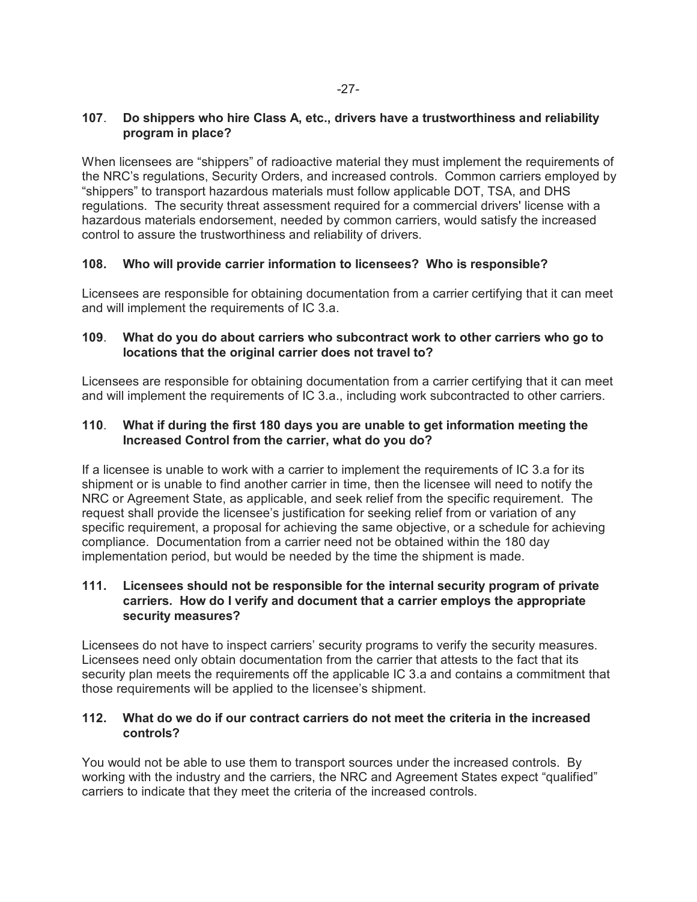## **107**. **Do shippers who hire Class A, etc., drivers have a trustworthiness and reliability program in place?**

When licensees are "shippers" of radioactive material they must implement the requirements of the NRC's regulations, Security Orders, and increased controls. Common carriers employed by "shippers" to transport hazardous materials must follow applicable DOT, TSA, and DHS regulations. The security threat assessment required for a commercial drivers' license with a hazardous materials endorsement, needed by common carriers, would satisfy the increased control to assure the trustworthiness and reliability of drivers.

## **108. Who will provide carrier information to licensees? Who is responsible?**

Licensees are responsible for obtaining documentation from a carrier certifying that it can meet and will implement the requirements of IC 3.a.

## **109**. **What do you do about carriers who subcontract work to other carriers who go to locations that the original carrier does not travel to?**

Licensees are responsible for obtaining documentation from a carrier certifying that it can meet and will implement the requirements of IC 3.a., including work subcontracted to other carriers.

## **110**. **What if during the first 180 days you are unable to get information meeting the Increased Control from the carrier, what do you do?**

If a licensee is unable to work with a carrier to implement the requirements of IC 3.a for its shipment or is unable to find another carrier in time, then the licensee will need to notify the NRC or Agreement State, as applicable, and seek relief from the specific requirement. The request shall provide the licensee's justification for seeking relief from or variation of any specific requirement, a proposal for achieving the same objective, or a schedule for achieving compliance. Documentation from a carrier need not be obtained within the 180 day implementation period, but would be needed by the time the shipment is made.

## **111. Licensees should not be responsible for the internal security program of private carriers. How do I verify and document that a carrier employs the appropriate security measures?**

Licensees do not have to inspect carriers' security programs to verify the security measures. Licensees need only obtain documentation from the carrier that attests to the fact that its security plan meets the requirements off the applicable IC 3.a and contains a commitment that those requirements will be applied to the licensee's shipment.

## **112. What do we do if our contract carriers do not meet the criteria in the increased controls?**

You would not be able to use them to transport sources under the increased controls. By working with the industry and the carriers, the NRC and Agreement States expect "qualified" carriers to indicate that they meet the criteria of the increased controls.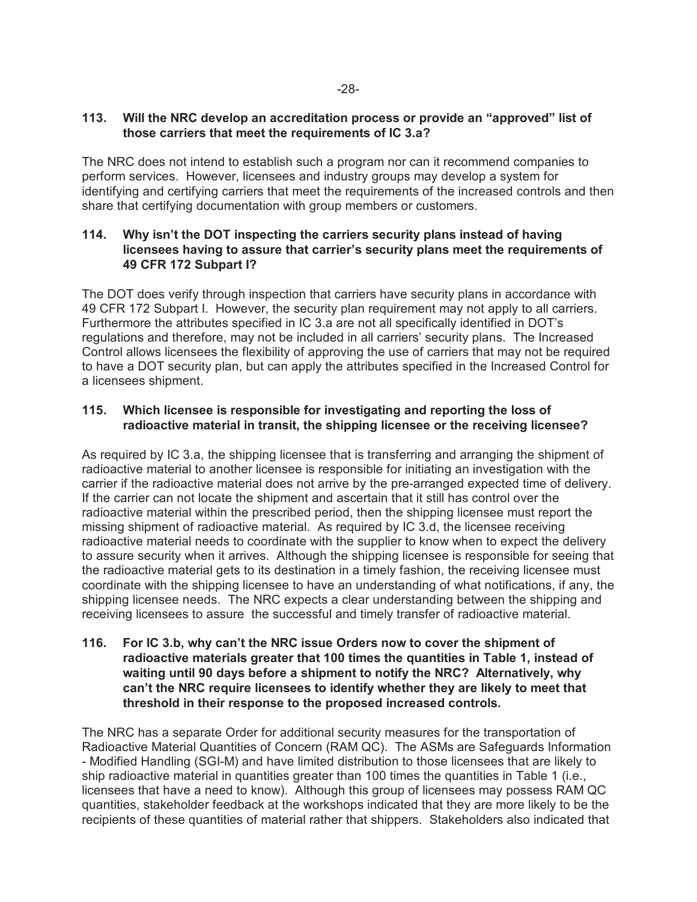## **113. Will the NRC develop an accreditation process or provide an "approved" list of those carriers that meet the requirements of IC 3.a?**

The NRC does not intend to establish such a program nor can it recommend companies to perform services. However, licensees and industry groups may develop a system for identifying and certifying carriers that meet the requirements of the increased controls and then share that certifying documentation with group members or customers.

## **114. Why isn't the DOT inspecting the carriers security plans instead of having licensees having to assure that carrier's security plans meet the requirements of 49 CFR 172 Subpart I?**

The DOT does verify through inspection that carriers have security plans in accordance with 49 CFR 172 Subpart I. However, the security plan requirement may not apply to all carriers. Furthermore the attributes specified in IC 3.a are not all specifically identified in DOT's regulations and therefore, may not be included in all carriers' security plans. The Increased Control allows licensees the flexibility of approving the use of carriers that may not be required to have a DOT security plan, but can apply the attributes specified in the Increased Control for a licensees shipment.

## **115. Which licensee is responsible for investigating and reporting the loss of radioactive material in transit, the shipping licensee or the receiving licensee?**

As required by IC 3.a, the shipping licensee that is transferring and arranging the shipment of radioactive material to another licensee is responsible for initiating an investigation with the carrier if the radioactive material does not arrive by the pre-arranged expected time of delivery. If the carrier can not locate the shipment and ascertain that it still has control over the radioactive material within the prescribed period, then the shipping licensee must report the missing shipment of radioactive material. As required by IC 3.d, the licensee receiving radioactive material needs to coordinate with the supplier to know when to expect the delivery to assure security when it arrives. Although the shipping licensee is responsible for seeing that the radioactive material gets to its destination in a timely fashion, the receiving licensee must coordinate with the shipping licensee to have an understanding of what notifications, if any, the shipping licensee needs. The NRC expects a clear understanding between the shipping and receiving licensees to assure the successful and timely transfer of radioactive material.

#### **116. For IC 3.b, why can't the NRC issue Orders now to cover the shipment of radioactive materials greater that 100 times the quantities in Table 1, instead of waiting until 90 days before a shipment to notify the NRC? Alternatively, why can't the NRC require licensees to identify whether they are likely to meet that threshold in their response to the proposed increased controls.**

The NRC has a separate Order for additional security measures for the transportation of Radioactive Material Quantities of Concern (RAM QC). The ASMs are Safeguards Information - Modified Handling (SGI-M) and have limited distribution to those licensees that are likely to ship radioactive material in quantities greater than 100 times the quantities in Table 1 (i.e., licensees that have a need to know). Although this group of licensees may possess RAM QC quantities, stakeholder feedback at the workshops indicated that they are more likely to be the recipients of these quantities of material rather that shippers. Stakeholders also indicated that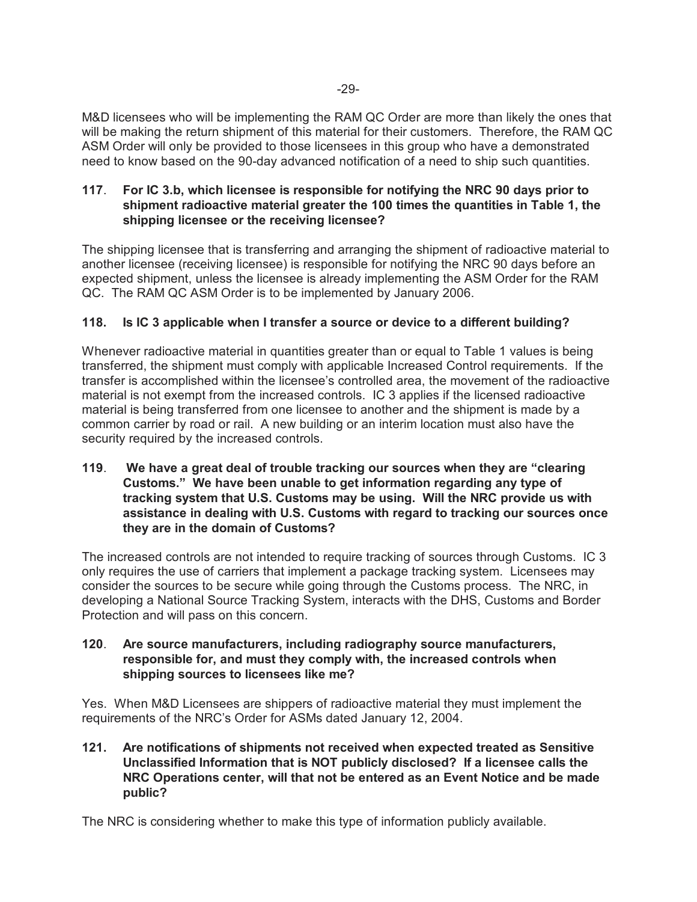M&D licensees who will be implementing the RAM QC Order are more than likely the ones that will be making the return shipment of this material for their customers. Therefore, the RAM QC ASM Order will only be provided to those licensees in this group who have a demonstrated need to know based on the 90-day advanced notification of a need to ship such quantities.

## **117**. **For IC 3.b, which licensee is responsible for notifying the NRC 90 days prior to shipment radioactive material greater the 100 times the quantities in Table 1, the shipping licensee or the receiving licensee?**

The shipping licensee that is transferring and arranging the shipment of radioactive material to another licensee (receiving licensee) is responsible for notifying the NRC 90 days before an expected shipment, unless the licensee is already implementing the ASM Order for the RAM QC. The RAM QC ASM Order is to be implemented by January 2006.

## **118. Is IC 3 applicable when I transfer a source or device to a different building?**

Whenever radioactive material in quantities greater than or equal to Table 1 values is being transferred, the shipment must comply with applicable Increased Control requirements. If the transfer is accomplished within the licensee's controlled area, the movement of the radioactive material is not exempt from the increased controls. IC 3 applies if the licensed radioactive material is being transferred from one licensee to another and the shipment is made by a common carrier by road or rail. A new building or an interim location must also have the security required by the increased controls.

**119**. **We have a great deal of trouble tracking our sources when they are "clearing Customs." We have been unable to get information regarding any type of tracking system that U.S. Customs may be using. Will the NRC provide us with assistance in dealing with U.S. Customs with regard to tracking our sources once they are in the domain of Customs?**

The increased controls are not intended to require tracking of sources through Customs. IC 3 only requires the use of carriers that implement a package tracking system. Licensees may consider the sources to be secure while going through the Customs process. The NRC, in developing a National Source Tracking System, interacts with the DHS, Customs and Border Protection and will pass on this concern.

## **120**. **Are source manufacturers, including radiography source manufacturers, responsible for, and must they comply with, the increased controls when shipping sources to licensees like me?**

Yes. When M&D Licensees are shippers of radioactive material they must implement the requirements of the NRC's Order for ASMs dated January 12, 2004.

## **121. Are notifications of shipments not received when expected treated as Sensitive Unclassified Information that is NOT publicly disclosed? If a licensee calls the NRC Operations center, will that not be entered as an Event Notice and be made public?**

The NRC is considering whether to make this type of information publicly available.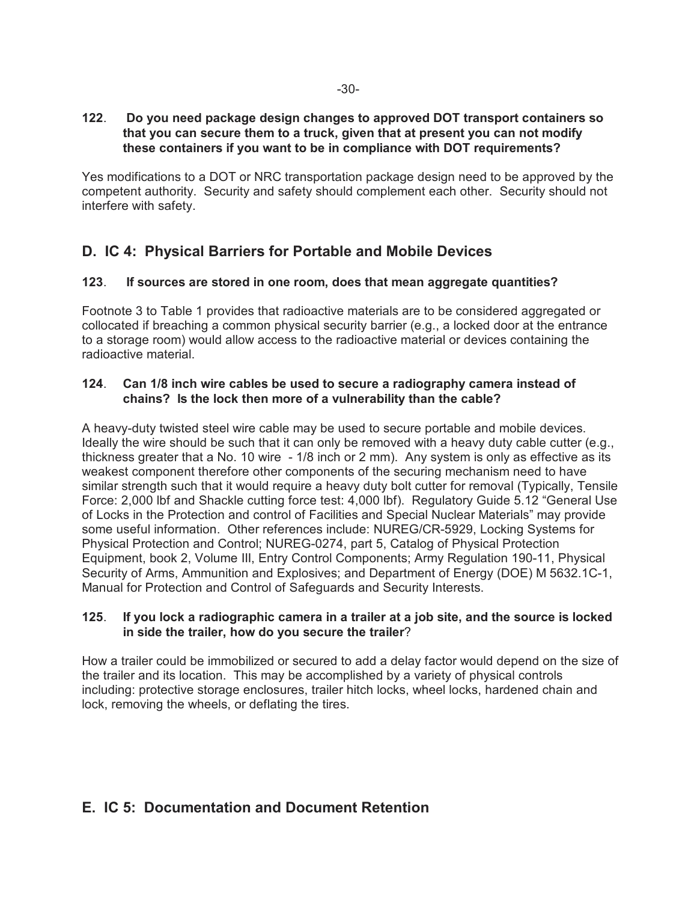#### **122**. **Do you need package design changes to approved DOT transport containers so that you can secure them to a truck, given that at present you can not modify these containers if you want to be in compliance with DOT requirements?**

Yes modifications to a DOT or NRC transportation package design need to be approved by the competent authority. Security and safety should complement each other. Security should not interfere with safety.

# **D. IC 4: Physical Barriers for Portable and Mobile Devices**

## **123**. **If sources are stored in one room, does that mean aggregate quantities?**

Footnote 3 to Table 1 provides that radioactive materials are to be considered aggregated or collocated if breaching a common physical security barrier (e.g., a locked door at the entrance to a storage room) would allow access to the radioactive material or devices containing the radioactive material.

## **124**. **Can 1/8 inch wire cables be used to secure a radiography camera instead of chains? Is the lock then more of a vulnerability than the cable?**

A heavy-duty twisted steel wire cable may be used to secure portable and mobile devices. Ideally the wire should be such that it can only be removed with a heavy duty cable cutter (e.g., thickness greater that a No. 10 wire - 1/8 inch or 2 mm). Any system is only as effective as its weakest component therefore other components of the securing mechanism need to have similar strength such that it would require a heavy duty bolt cutter for removal (Typically, Tensile Force: 2,000 lbf and Shackle cutting force test: 4,000 lbf). Regulatory Guide 5.12 "General Use of Locks in the Protection and control of Facilities and Special Nuclear Materials" may provide some useful information. Other references include: NUREG/CR-5929, Locking Systems for Physical Protection and Control; NUREG-0274, part 5, Catalog of Physical Protection Equipment, book 2, Volume III, Entry Control Components; Army Regulation 190-11, Physical Security of Arms, Ammunition and Explosives; and Department of Energy (DOE) M 5632.1C-1, Manual for Protection and Control of Safeguards and Security Interests.

## **125**. **If you lock a radiographic camera in a trailer at a job site, and the source is locked in side the trailer, how do you secure the trailer**?

How a trailer could be immobilized or secured to add a delay factor would depend on the size of the trailer and its location. This may be accomplished by a variety of physical controls including: protective storage enclosures, trailer hitch locks, wheel locks, hardened chain and lock, removing the wheels, or deflating the tires.

# **E. IC 5: Documentation and Document Retention**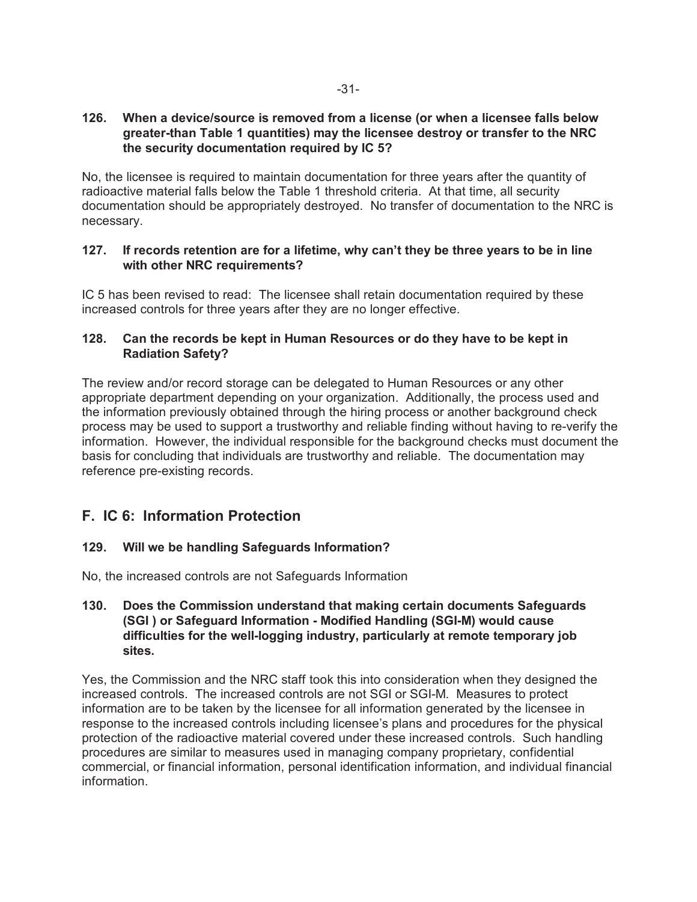## **126. When a device/source is removed from a license (or when a licensee falls below greater-than Table 1 quantities) may the licensee destroy or transfer to the NRC the security documentation required by IC 5?**

No, the licensee is required to maintain documentation for three years after the quantity of radioactive material falls below the Table 1 threshold criteria. At that time, all security documentation should be appropriately destroyed. No transfer of documentation to the NRC is necessary.

## **127. If records retention are for a lifetime, why can't they be three years to be in line with other NRC requirements?**

IC 5 has been revised to read: The licensee shall retain documentation required by these increased controls for three years after they are no longer effective.

## **128. Can the records be kept in Human Resources or do they have to be kept in Radiation Safety?**

The review and/or record storage can be delegated to Human Resources or any other appropriate department depending on your organization. Additionally, the process used and the information previously obtained through the hiring process or another background check process may be used to support a trustworthy and reliable finding without having to re-verify the information. However, the individual responsible for the background checks must document the basis for concluding that individuals are trustworthy and reliable. The documentation may reference pre-existing records.

# **F. IC 6: Information Protection**

## **129. Will we be handling Safeguards Information?**

No, the increased controls are not Safeguards Information

## **130. Does the Commission understand that making certain documents Safeguards (SGI ) or Safeguard Information - Modified Handling (SGI-M) would cause difficulties for the well-logging industry, particularly at remote temporary job sites.**

Yes, the Commission and the NRC staff took this into consideration when they designed the increased controls. The increased controls are not SGI or SGI-M. Measures to protect information are to be taken by the licensee for all information generated by the licensee in response to the increased controls including licensee's plans and procedures for the physical protection of the radioactive material covered under these increased controls. Such handling procedures are similar to measures used in managing company proprietary, confidential commercial, or financial information, personal identification information, and individual financial information.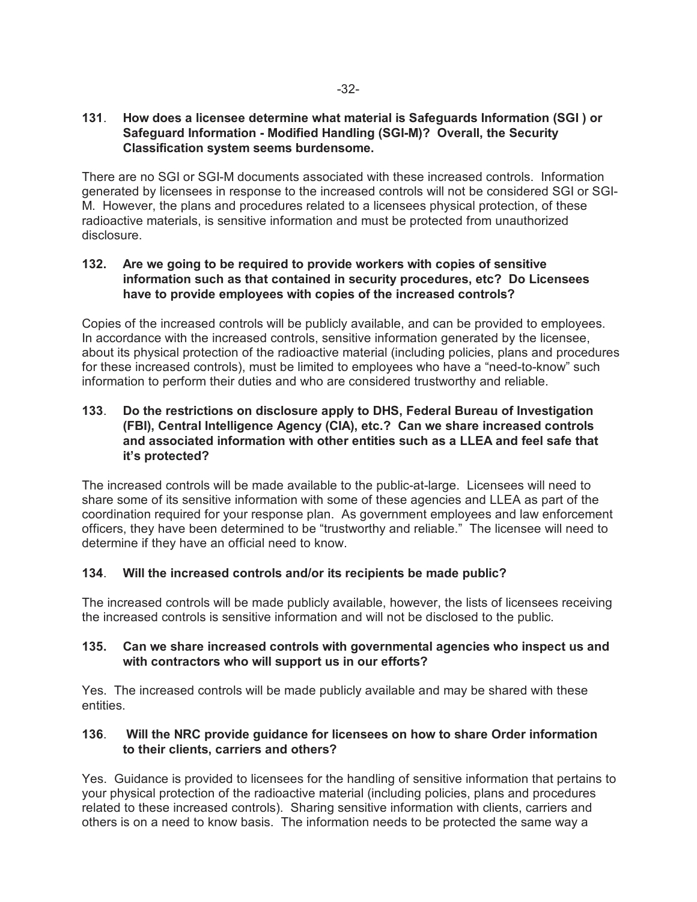#### **131**. **How does a licensee determine what material is Safeguards Information (SGI ) or Safeguard Information - Modified Handling (SGI-M)? Overall, the Security Classification system seems burdensome.**

There are no SGI or SGI-M documents associated with these increased controls. Information generated by licensees in response to the increased controls will not be considered SGI or SGI-M. However, the plans and procedures related to a licensees physical protection, of these radioactive materials, is sensitive information and must be protected from unauthorized disclosure.

## **132. Are we going to be required to provide workers with copies of sensitive information such as that contained in security procedures, etc? Do Licensees have to provide employees with copies of the increased controls?**

Copies of the increased controls will be publicly available, and can be provided to employees. In accordance with the increased controls, sensitive information generated by the licensee, about its physical protection of the radioactive material (including policies, plans and procedures for these increased controls), must be limited to employees who have a "need-to-know" such information to perform their duties and who are considered trustworthy and reliable.

## **133**. **Do the restrictions on disclosure apply to DHS, Federal Bureau of Investigation (FBI), Central Intelligence Agency (CIA), etc.? Can we share increased controls and associated information with other entities such as a LLEA and feel safe that it's protected?**

The increased controls will be made available to the public-at-large. Licensees will need to share some of its sensitive information with some of these agencies and LLEA as part of the coordination required for your response plan. As government employees and law enforcement officers, they have been determined to be "trustworthy and reliable." The licensee will need to determine if they have an official need to know.

## **134**. **Will the increased controls and/or its recipients be made public?**

The increased controls will be made publicly available, however, the lists of licensees receiving the increased controls is sensitive information and will not be disclosed to the public.

## **135. Can we share increased controls with governmental agencies who inspect us and with contractors who will support us in our efforts?**

Yes. The increased controls will be made publicly available and may be shared with these entities.

## **136**. **Will the NRC provide guidance for licensees on how to share Order information to their clients, carriers and others?**

Yes. Guidance is provided to licensees for the handling of sensitive information that pertains to your physical protection of the radioactive material (including policies, plans and procedures related to these increased controls). Sharing sensitive information with clients, carriers and others is on a need to know basis. The information needs to be protected the same way a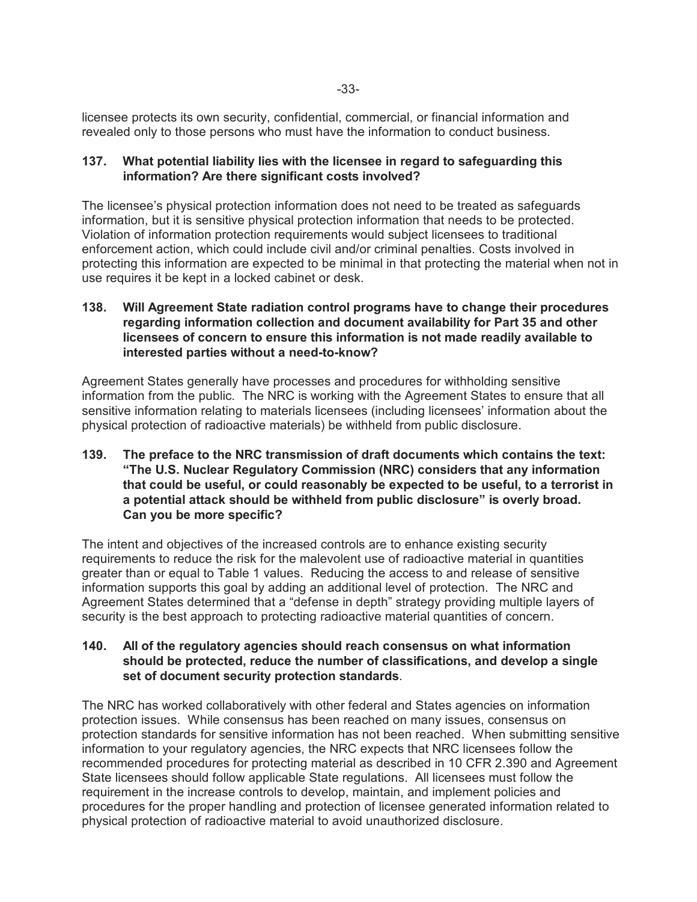licensee protects its own security, confidential, commercial, or financial information and revealed only to those persons who must have the information to conduct business.

## **137. What potential liability lies with the licensee in regard to safeguarding this information? Are there significant costs involved?**

The licensee's physical protection information does not need to be treated as safeguards information, but it is sensitive physical protection information that needs to be protected. Violation of information protection requirements would subject licensees to traditional enforcement action, which could include civil and/or criminal penalties. Costs involved in protecting this information are expected to be minimal in that protecting the material when not in use requires it be kept in a locked cabinet or desk.

#### **138. Will Agreement State radiation control programs have to change their procedures regarding information collection and document availability for Part 35 and other licensees of concern to ensure this information is not made readily available to interested parties without a need-to-know?**

Agreement States generally have processes and procedures for withholding sensitive information from the public. The NRC is working with the Agreement States to ensure that all sensitive information relating to materials licensees (including licensees' information about the physical protection of radioactive materials) be withheld from public disclosure.

**139. The preface to the NRC transmission of draft documents which contains the text: "The U.S. Nuclear Regulatory Commission (NRC) considers that any information that could be useful, or could reasonably be expected to be useful, to a terrorist in a potential attack should be withheld from public disclosure" is overly broad. Can you be more specific?**

The intent and objectives of the increased controls are to enhance existing security requirements to reduce the risk for the malevolent use of radioactive material in quantities greater than or equal to Table 1 values. Reducing the access to and release of sensitive information supports this goal by adding an additional level of protection. The NRC and Agreement States determined that a "defense in depth" strategy providing multiple layers of security is the best approach to protecting radioactive material quantities of concern.

## **140. All of the regulatory agencies should reach consensus on what information should be protected, reduce the number of classifications, and develop a single set of document security protection standards**.

The NRC has worked collaboratively with other federal and States agencies on information protection issues. While consensus has been reached on many issues, consensus on protection standards for sensitive information has not been reached. When submitting sensitive information to your regulatory agencies, the NRC expects that NRC licensees follow the recommended procedures for protecting material as described in 10 CFR 2.390 and Agreement State licensees should follow applicable State regulations. All licensees must follow the requirement in the increase controls to develop, maintain, and implement policies and procedures for the proper handling and protection of licensee generated information related to physical protection of radioactive material to avoid unauthorized disclosure.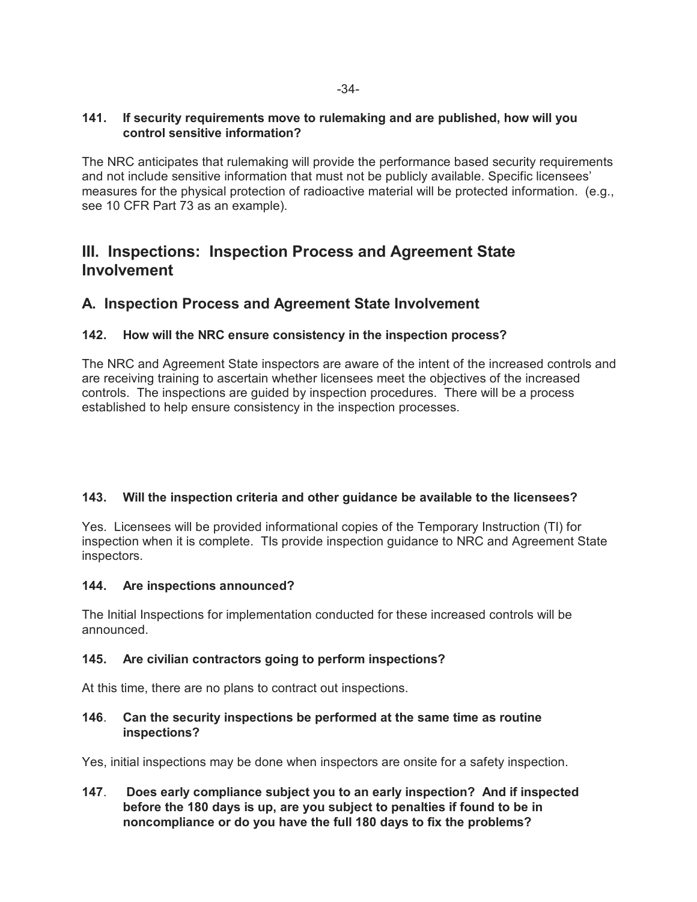## **141. If security requirements move to rulemaking and are published, how will you control sensitive information?**

The NRC anticipates that rulemaking will provide the performance based security requirements and not include sensitive information that must not be publicly available. Specific licensees' measures for the physical protection of radioactive material will be protected information. (e.g., see 10 CFR Part 73 as an example).

# **III. Inspections: Inspection Process and Agreement State Involvement**

## **A. Inspection Process and Agreement State Involvement**

## **142. How will the NRC ensure consistency in the inspection process?**

The NRC and Agreement State inspectors are aware of the intent of the increased controls and are receiving training to ascertain whether licensees meet the objectives of the increased controls. The inspections are guided by inspection procedures. There will be a process established to help ensure consistency in the inspection processes.

## **143. Will the inspection criteria and other guidance be available to the licensees?**

Yes. Licensees will be provided informational copies of the Temporary Instruction (TI) for inspection when it is complete. TIs provide inspection guidance to NRC and Agreement State inspectors.

## **144. Are inspections announced?**

The Initial Inspections for implementation conducted for these increased controls will be announced.

## **145. Are civilian contractors going to perform inspections?**

At this time, there are no plans to contract out inspections.

## **146**. **Can the security inspections be performed at the same time as routine inspections?**

Yes, initial inspections may be done when inspectors are onsite for a safety inspection.

**147**. **Does early compliance subject you to an early inspection? And if inspected before the 180 days is up, are you subject to penalties if found to be in noncompliance or do you have the full 180 days to fix the problems?**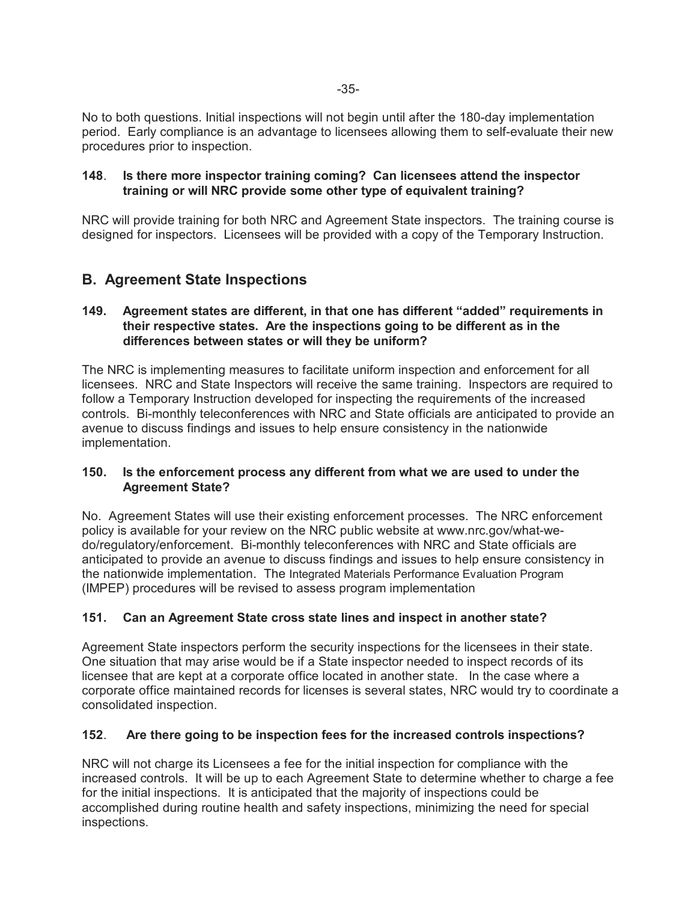No to both questions. Initial inspections will not begin until after the 180-day implementation period. Early compliance is an advantage to licensees allowing them to self-evaluate their new procedures prior to inspection.

#### **148**. **Is there more inspector training coming? Can licensees attend the inspector training or will NRC provide some other type of equivalent training?**

NRC will provide training for both NRC and Agreement State inspectors. The training course is designed for inspectors. Licensees will be provided with a copy of the Temporary Instruction.

# **B. Agreement State Inspections**

## **149. Agreement states are different, in that one has different "added" requirements in their respective states. Are the inspections going to be different as in the differences between states or will they be uniform?**

The NRC is implementing measures to facilitate uniform inspection and enforcement for all licensees. NRC and State Inspectors will receive the same training. Inspectors are required to follow a Temporary Instruction developed for inspecting the requirements of the increased controls. Bi-monthly teleconferences with NRC and State officials are anticipated to provide an avenue to discuss findings and issues to help ensure consistency in the nationwide implementation.

## **150. Is the enforcement process any different from what we are used to under the Agreement State?**

No. Agreement States will use their existing enforcement processes. The NRC enforcement policy is available for your review on the NRC public website at www.nrc.gov/what-wedo/regulatory/enforcement. Bi-monthly teleconferences with NRC and State officials are anticipated to provide an avenue to discuss findings and issues to help ensure consistency in the nationwide implementation. The Integrated Materials Performance Evaluation Program (IMPEP) procedures will be revised to assess program implementation

## **151. Can an Agreement State cross state lines and inspect in another state?**

Agreement State inspectors perform the security inspections for the licensees in their state. One situation that may arise would be if a State inspector needed to inspect records of its licensee that are kept at a corporate office located in another state. In the case where a corporate office maintained records for licenses is several states, NRC would try to coordinate a consolidated inspection.

## **152**. **Are there going to be inspection fees for the increased controls inspections?**

NRC will not charge its Licensees a fee for the initial inspection for compliance with the increased controls. It will be up to each Agreement State to determine whether to charge a fee for the initial inspections. It is anticipated that the majority of inspections could be accomplished during routine health and safety inspections, minimizing the need for special inspections.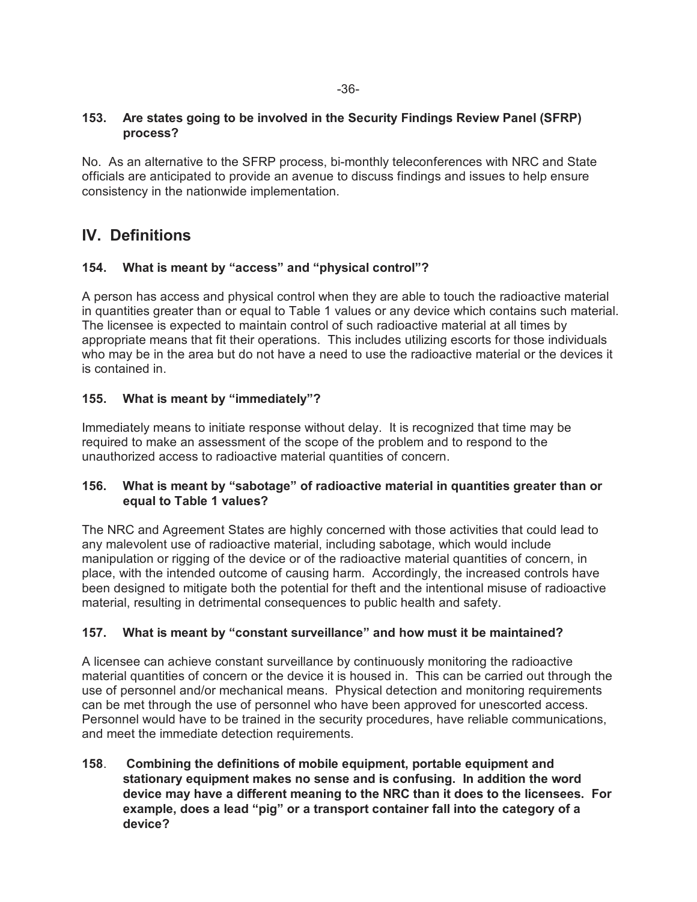## **153. Are states going to be involved in the Security Findings Review Panel (SFRP) process?**

No. As an alternative to the SFRP process, bi-monthly teleconferences with NRC and State officials are anticipated to provide an avenue to discuss findings and issues to help ensure consistency in the nationwide implementation.

# **IV. Definitions**

## **154. What is meant by "access" and "physical control"?**

A person has access and physical control when they are able to touch the radioactive material in quantities greater than or equal to Table 1 values or any device which contains such material. The licensee is expected to maintain control of such radioactive material at all times by appropriate means that fit their operations. This includes utilizing escorts for those individuals who may be in the area but do not have a need to use the radioactive material or the devices it is contained in.

## **155. What is meant by "immediately"?**

Immediately means to initiate response without delay. It is recognized that time may be required to make an assessment of the scope of the problem and to respond to the unauthorized access to radioactive material quantities of concern.

## **156. What is meant by "sabotage" of radioactive material in quantities greater than or equal to Table 1 values?**

The NRC and Agreement States are highly concerned with those activities that could lead to any malevolent use of radioactive material, including sabotage, which would include manipulation or rigging of the device or of the radioactive material quantities of concern, in place, with the intended outcome of causing harm. Accordingly, the increased controls have been designed to mitigate both the potential for theft and the intentional misuse of radioactive material, resulting in detrimental consequences to public health and safety.

## **157. What is meant by "constant surveillance" and how must it be maintained?**

A licensee can achieve constant surveillance by continuously monitoring the radioactive material quantities of concern or the device it is housed in. This can be carried out through the use of personnel and/or mechanical means. Physical detection and monitoring requirements can be met through the use of personnel who have been approved for unescorted access. Personnel would have to be trained in the security procedures, have reliable communications, and meet the immediate detection requirements.

**158**. **Combining the definitions of mobile equipment, portable equipment and stationary equipment makes no sense and is confusing. In addition the word device may have a different meaning to the NRC than it does to the licensees. For example, does a lead "pig" or a transport container fall into the category of a device?**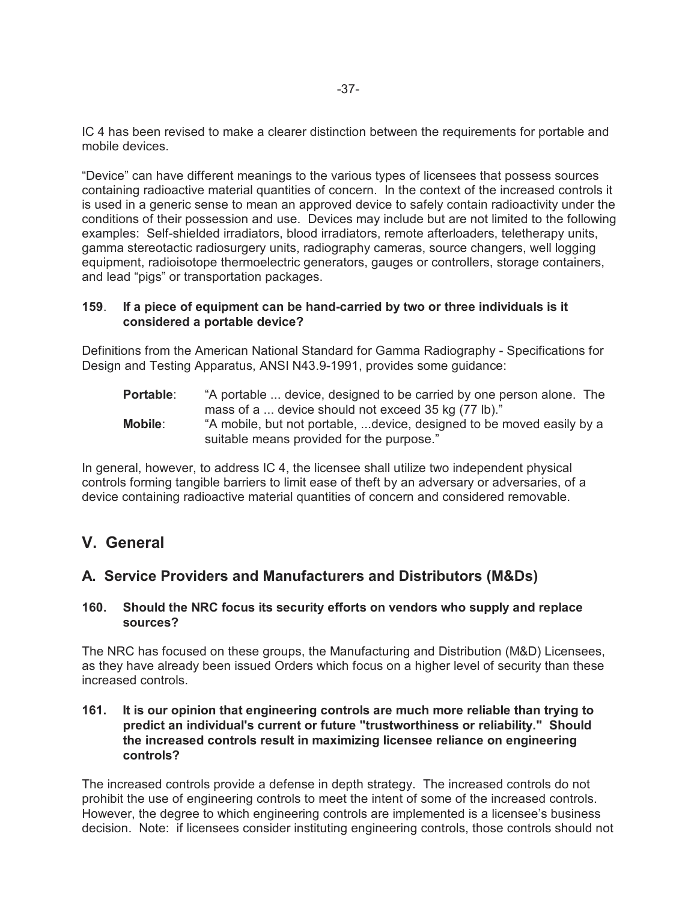IC 4 has been revised to make a clearer distinction between the requirements for portable and mobile devices.

"Device" can have different meanings to the various types of licensees that possess sources containing radioactive material quantities of concern. In the context of the increased controls it is used in a generic sense to mean an approved device to safely contain radioactivity under the conditions of their possession and use. Devices may include but are not limited to the following examples: Self-shielded irradiators, blood irradiators, remote afterloaders, teletherapy units, gamma stereotactic radiosurgery units, radiography cameras, source changers, well logging equipment, radioisotope thermoelectric generators, gauges or controllers, storage containers, and lead "pigs" or transportation packages.

#### **159**. **If a piece of equipment can be hand-carried by two or three individuals is it considered a portable device?**

Definitions from the American National Standard for Gamma Radiography - Specifications for Design and Testing Apparatus, ANSI N43.9-1991, provides some guidance:

**Portable:** "A portable ... device, designed to be carried by one person alone. The mass of a ... device should not exceed 35 kg (77 lb)." **Mobile**: "A mobile, but not portable, ...device, designed to be moved easily by a suitable means provided for the purpose."

In general, however, to address IC 4, the licensee shall utilize two independent physical controls forming tangible barriers to limit ease of theft by an adversary or adversaries, of a device containing radioactive material quantities of concern and considered removable.

# **V. General**

# **A. Service Providers and Manufacturers and Distributors (M&Ds)**

#### **160. Should the NRC focus its security efforts on vendors who supply and replace sources?**

The NRC has focused on these groups, the Manufacturing and Distribution (M&D) Licensees, as they have already been issued Orders which focus on a higher level of security than these increased controls.

#### **161. It is our opinion that engineering controls are much more reliable than trying to predict an individual's current or future "trustworthiness or reliability." Should the increased controls result in maximizing licensee reliance on engineering controls?**

The increased controls provide a defense in depth strategy. The increased controls do not prohibit the use of engineering controls to meet the intent of some of the increased controls. However, the degree to which engineering controls are implemented is a licensee's business decision. Note: if licensees consider instituting engineering controls, those controls should not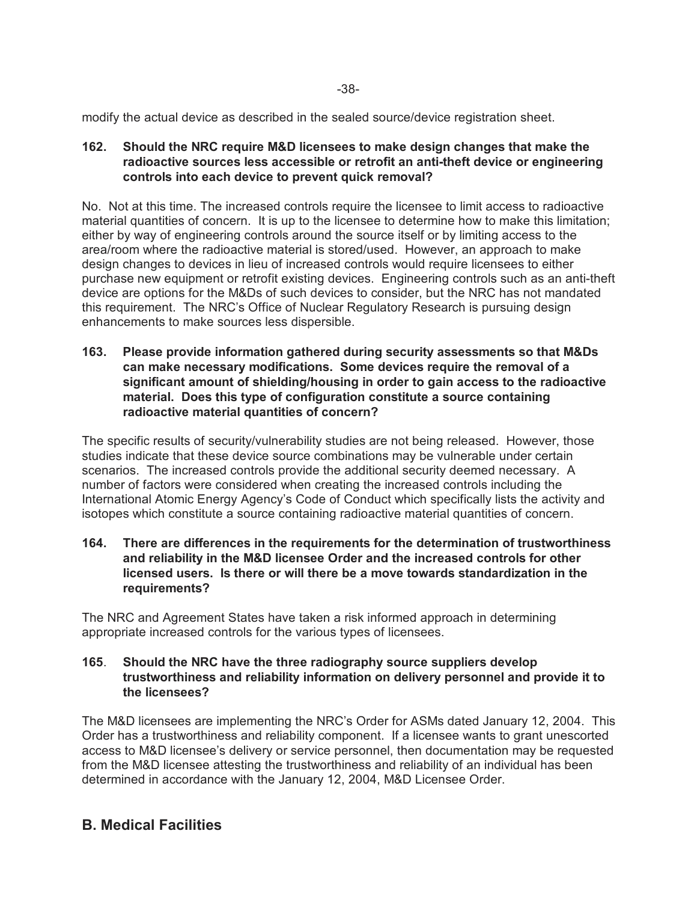modify the actual device as described in the sealed source/device registration sheet.

**162. Should the NRC require M&D licensees to make design changes that make the radioactive sources less accessible or retrofit an anti-theft device or engineering controls into each device to prevent quick removal?** 

No. Not at this time. The increased controls require the licensee to limit access to radioactive material quantities of concern. It is up to the licensee to determine how to make this limitation; either by way of engineering controls around the source itself or by limiting access to the area/room where the radioactive material is stored/used. However, an approach to make design changes to devices in lieu of increased controls would require licensees to either purchase new equipment or retrofit existing devices. Engineering controls such as an anti-theft device are options for the M&Ds of such devices to consider, but the NRC has not mandated this requirement. The NRC's Office of Nuclear Regulatory Research is pursuing design enhancements to make sources less dispersible.

**163. Please provide information gathered during security assessments so that M&Ds can make necessary modifications. Some devices require the removal of a significant amount of shielding/housing in order to gain access to the radioactive material. Does this type of configuration constitute a source containing radioactive material quantities of concern?**

The specific results of security/vulnerability studies are not being released. However, those studies indicate that these device source combinations may be vulnerable under certain scenarios. The increased controls provide the additional security deemed necessary. A number of factors were considered when creating the increased controls including the International Atomic Energy Agency's Code of Conduct which specifically lists the activity and isotopes which constitute a source containing radioactive material quantities of concern.

**164. There are differences in the requirements for the determination of trustworthiness and reliability in the M&D licensee Order and the increased controls for other licensed users. Is there or will there be a move towards standardization in the requirements?**

The NRC and Agreement States have taken a risk informed approach in determining appropriate increased controls for the various types of licensees.

#### **165**. **Should the NRC have the three radiography source suppliers develop trustworthiness and reliability information on delivery personnel and provide it to the licensees?**

The M&D licensees are implementing the NRC's Order for ASMs dated January 12, 2004. This Order has a trustworthiness and reliability component. If a licensee wants to grant unescorted access to M&D licensee's delivery or service personnel, then documentation may be requested from the M&D licensee attesting the trustworthiness and reliability of an individual has been determined in accordance with the January 12, 2004, M&D Licensee Order.

# **B. Medical Facilities**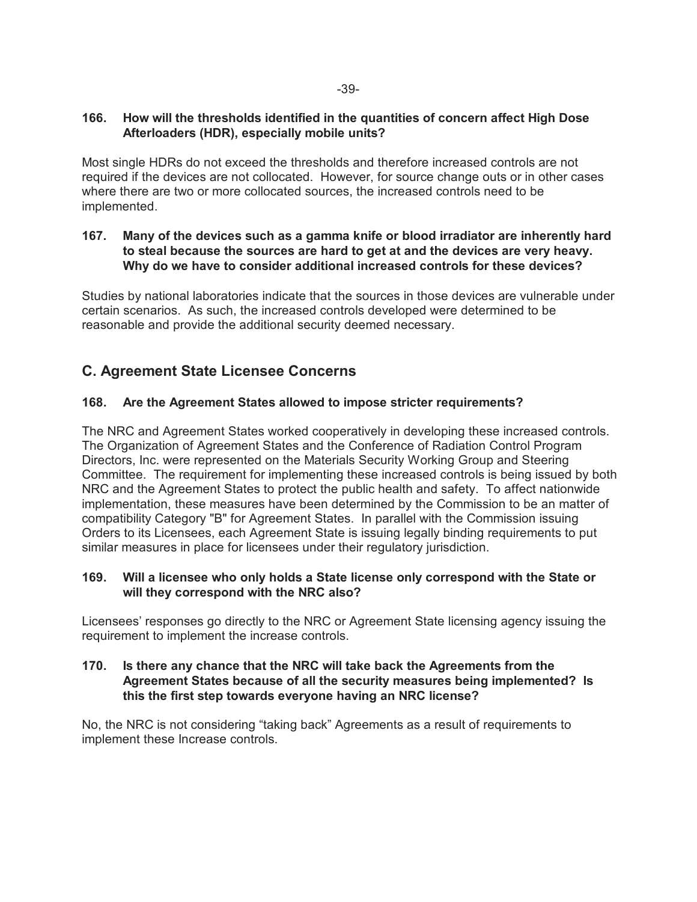## **166. How will the thresholds identified in the quantities of concern affect High Dose Afterloaders (HDR), especially mobile units?**

Most single HDRs do not exceed the thresholds and therefore increased controls are not required if the devices are not collocated. However, for source change outs or in other cases where there are two or more collocated sources, the increased controls need to be implemented.

## **167. Many of the devices such as a gamma knife or blood irradiator are inherently hard to steal because the sources are hard to get at and the devices are very heavy. Why do we have to consider additional increased controls for these devices?**

Studies by national laboratories indicate that the sources in those devices are vulnerable under certain scenarios. As such, the increased controls developed were determined to be reasonable and provide the additional security deemed necessary.

# **C. Agreement State Licensee Concerns**

## **168. Are the Agreement States allowed to impose stricter requirements?**

The NRC and Agreement States worked cooperatively in developing these increased controls. The Organization of Agreement States and the Conference of Radiation Control Program Directors, Inc. were represented on the Materials Security Working Group and Steering Committee. The requirement for implementing these increased controls is being issued by both NRC and the Agreement States to protect the public health and safety. To affect nationwide implementation, these measures have been determined by the Commission to be an matter of compatibility Category "B" for Agreement States. In parallel with the Commission issuing Orders to its Licensees, each Agreement State is issuing legally binding requirements to put similar measures in place for licensees under their regulatory jurisdiction.

## **169. Will a licensee who only holds a State license only correspond with the State or will they correspond with the NRC also?**

Licensees' responses go directly to the NRC or Agreement State licensing agency issuing the requirement to implement the increase controls.

## **170. Is there any chance that the NRC will take back the Agreements from the Agreement States because of all the security measures being implemented? Is this the first step towards everyone having an NRC license?**

No, the NRC is not considering "taking back" Agreements as a result of requirements to implement these Increase controls.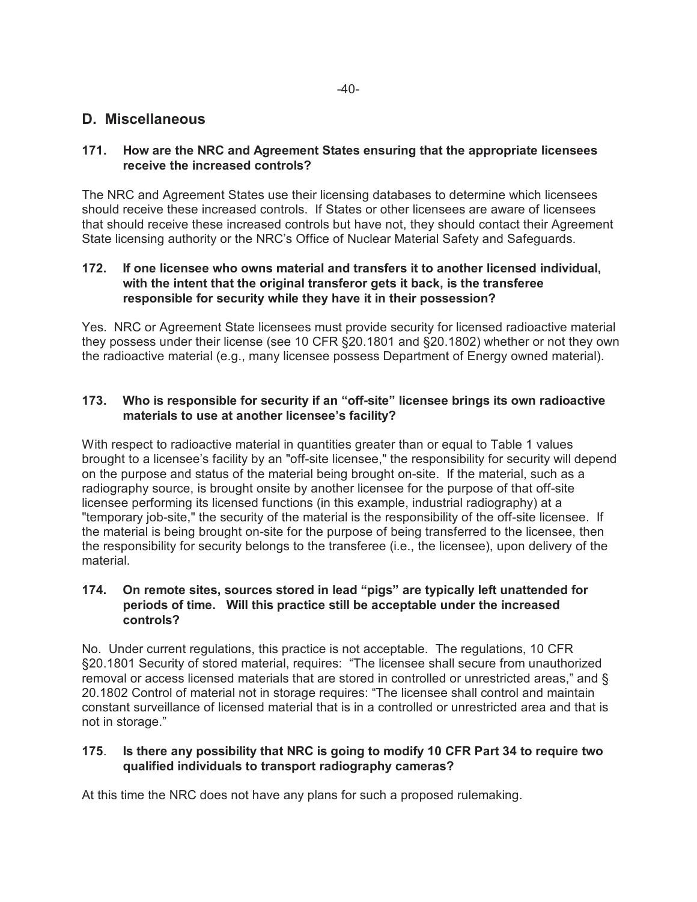## **D. Miscellaneous**

## **171. How are the NRC and Agreement States ensuring that the appropriate licensees receive the increased controls?**

The NRC and Agreement States use their licensing databases to determine which licensees should receive these increased controls. If States or other licensees are aware of licensees that should receive these increased controls but have not, they should contact their Agreement State licensing authority or the NRC's Office of Nuclear Material Safety and Safeguards.

#### **172. If one licensee who owns material and transfers it to another licensed individual, with the intent that the original transferor gets it back, is the transferee responsible for security while they have it in their possession?**

Yes. NRC or Agreement State licensees must provide security for licensed radioactive material they possess under their license (see 10 CFR §20.1801 and §20.1802) whether or not they own the radioactive material (e.g., many licensee possess Department of Energy owned material).

## **173. Who is responsible for security if an "off-site" licensee brings its own radioactive materials to use at another licensee's facility?**

With respect to radioactive material in quantities greater than or equal to Table 1 values brought to a licensee's facility by an "off-site licensee," the responsibility for security will depend on the purpose and status of the material being brought on-site. If the material, such as a radiography source, is brought onsite by another licensee for the purpose of that off-site licensee performing its licensed functions (in this example, industrial radiography) at a "temporary job-site," the security of the material is the responsibility of the off-site licensee. If the material is being brought on-site for the purpose of being transferred to the licensee, then the responsibility for security belongs to the transferee (i.e., the licensee), upon delivery of the material.

## **174. On remote sites, sources stored in lead "pigs" are typically left unattended for periods of time. Will this practice still be acceptable under the increased controls?**

No. Under current regulations, this practice is not acceptable. The regulations, 10 CFR §20.1801 Security of stored material, requires: "The licensee shall secure from unauthorized removal or access licensed materials that are stored in controlled or unrestricted areas," and § 20.1802 Control of material not in storage requires: "The licensee shall control and maintain constant surveillance of licensed material that is in a controlled or unrestricted area and that is not in storage."

## **175**. **Is there any possibility that NRC is going to modify 10 CFR Part 34 to require two qualified individuals to transport radiography cameras?**

At this time the NRC does not have any plans for such a proposed rulemaking.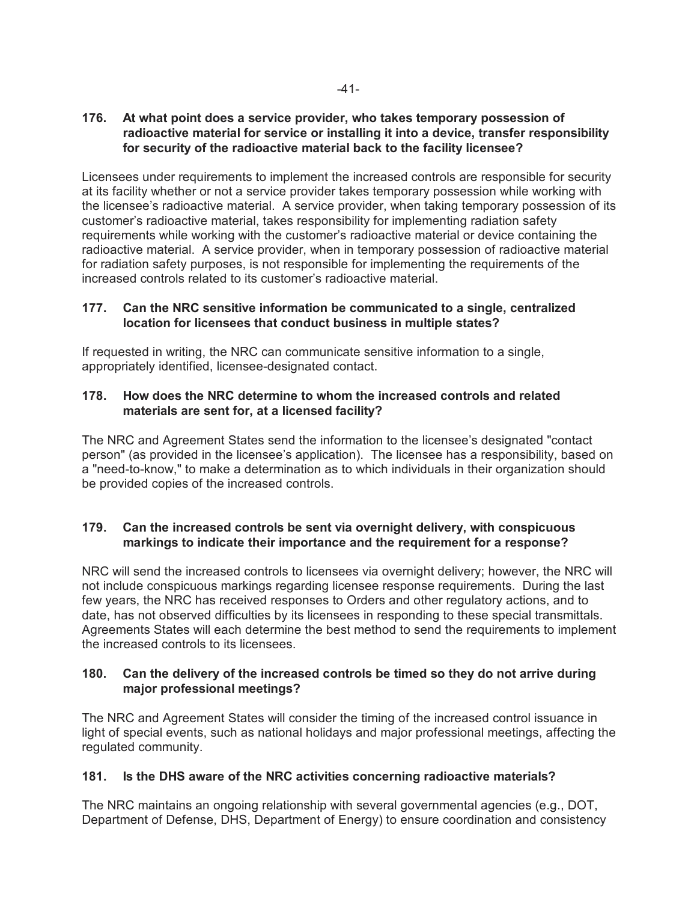## **176. At what point does a service provider, who takes temporary possession of radioactive material for service or installing it into a device, transfer responsibility for security of the radioactive material back to the facility licensee?**

Licensees under requirements to implement the increased controls are responsible for security at its facility whether or not a service provider takes temporary possession while working with the licensee's radioactive material. A service provider, when taking temporary possession of its customer's radioactive material, takes responsibility for implementing radiation safety requirements while working with the customer's radioactive material or device containing the radioactive material. A service provider, when in temporary possession of radioactive material for radiation safety purposes, is not responsible for implementing the requirements of the increased controls related to its customer's radioactive material.

## **177. Can the NRC sensitive information be communicated to a single, centralized location for licensees that conduct business in multiple states?**

If requested in writing, the NRC can communicate sensitive information to a single, appropriately identified, licensee-designated contact.

## **178. How does the NRC determine to whom the increased controls and related materials are sent for, at a licensed facility?**

The NRC and Agreement States send the information to the licensee's designated "contact person" (as provided in the licensee's application). The licensee has a responsibility, based on a "need-to-know," to make a determination as to which individuals in their organization should be provided copies of the increased controls.

## **179. Can the increased controls be sent via overnight delivery, with conspicuous markings to indicate their importance and the requirement for a response?**

NRC will send the increased controls to licensees via overnight delivery; however, the NRC will not include conspicuous markings regarding licensee response requirements. During the last few years, the NRC has received responses to Orders and other regulatory actions, and to date, has not observed difficulties by its licensees in responding to these special transmittals. Agreements States will each determine the best method to send the requirements to implement the increased controls to its licensees.

## **180. Can the delivery of the increased controls be timed so they do not arrive during major professional meetings?**

The NRC and Agreement States will consider the timing of the increased control issuance in light of special events, such as national holidays and major professional meetings, affecting the regulated community.

## **181. Is the DHS aware of the NRC activities concerning radioactive materials?**

The NRC maintains an ongoing relationship with several governmental agencies (e.g., DOT, Department of Defense, DHS, Department of Energy) to ensure coordination and consistency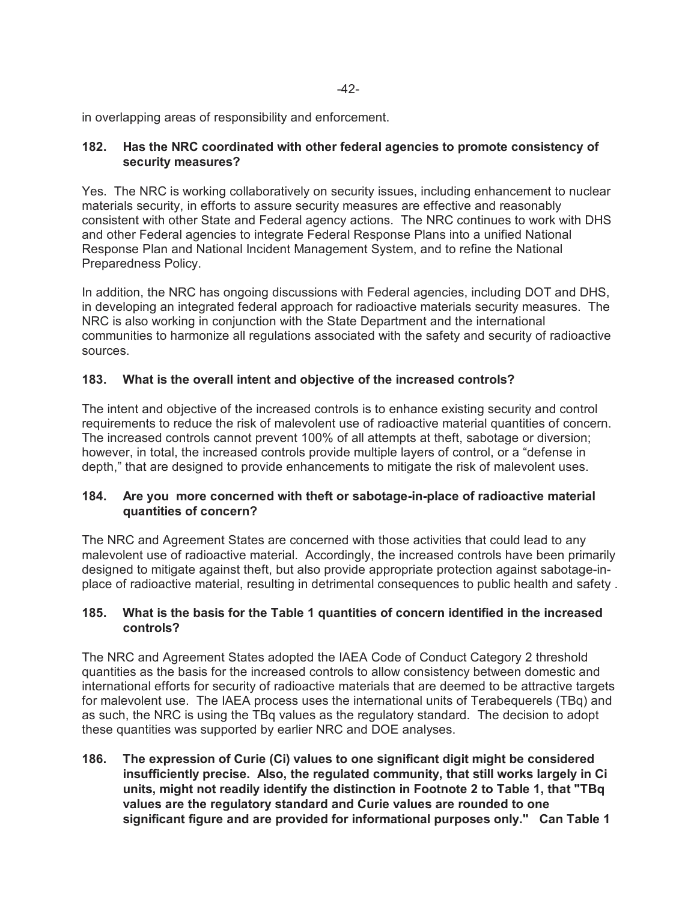in overlapping areas of responsibility and enforcement.

## **182. Has the NRC coordinated with other federal agencies to promote consistency of security measures?**

Yes. The NRC is working collaboratively on security issues, including enhancement to nuclear materials security, in efforts to assure security measures are effective and reasonably consistent with other State and Federal agency actions. The NRC continues to work with DHS and other Federal agencies to integrate Federal Response Plans into a unified National Response Plan and National Incident Management System, and to refine the National Preparedness Policy.

In addition, the NRC has ongoing discussions with Federal agencies, including DOT and DHS, in developing an integrated federal approach for radioactive materials security measures. The NRC is also working in conjunction with the State Department and the international communities to harmonize all regulations associated with the safety and security of radioactive sources.

## **183. What is the overall intent and objective of the increased controls?**

The intent and objective of the increased controls is to enhance existing security and control requirements to reduce the risk of malevolent use of radioactive material quantities of concern. The increased controls cannot prevent 100% of all attempts at theft, sabotage or diversion; however, in total, the increased controls provide multiple layers of control, or a "defense in depth," that are designed to provide enhancements to mitigate the risk of malevolent uses.

## **184. Are you more concerned with theft or sabotage-in-place of radioactive material quantities of concern?**

The NRC and Agreement States are concerned with those activities that could lead to any malevolent use of radioactive material. Accordingly, the increased controls have been primarily designed to mitigate against theft, but also provide appropriate protection against sabotage-inplace of radioactive material, resulting in detrimental consequences to public health and safety .

## **185. What is the basis for the Table 1 quantities of concern identified in the increased controls?**

The NRC and Agreement States adopted the IAEA Code of Conduct Category 2 threshold quantities as the basis for the increased controls to allow consistency between domestic and international efforts for security of radioactive materials that are deemed to be attractive targets for malevolent use. The IAEA process uses the international units of Terabequerels (TBq) and as such, the NRC is using the TBq values as the regulatory standard. The decision to adopt these quantities was supported by earlier NRC and DOE analyses.

**186. The expression of Curie (Ci) values to one significant digit might be considered insufficiently precise. Also, the regulated community, that still works largely in Ci units, might not readily identify the distinction in Footnote 2 to Table 1, that "TBq values are the regulatory standard and Curie values are rounded to one significant figure and are provided for informational purposes only." Can Table 1**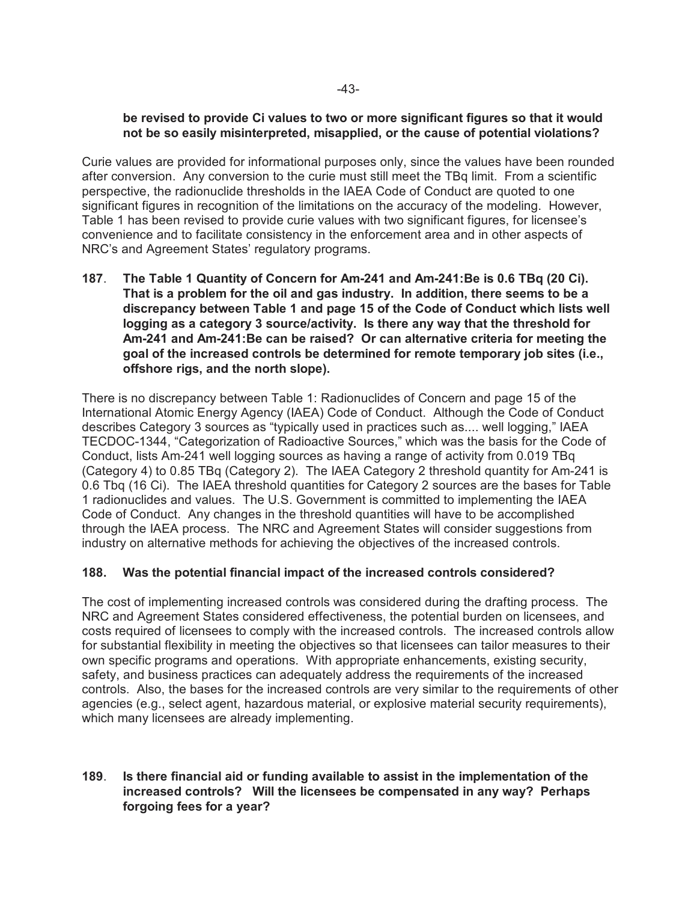#### **be revised to provide Ci values to two or more significant figures so that it would not be so easily misinterpreted, misapplied, or the cause of potential violations?**

Curie values are provided for informational purposes only, since the values have been rounded after conversion. Any conversion to the curie must still meet the TBq limit. From a scientific perspective, the radionuclide thresholds in the IAEA Code of Conduct are quoted to one significant figures in recognition of the limitations on the accuracy of the modeling. However, Table 1 has been revised to provide curie values with two significant figures, for licensee's convenience and to facilitate consistency in the enforcement area and in other aspects of NRC's and Agreement States' regulatory programs.

**187**. **The Table 1 Quantity of Concern for Am-241 and Am-241:Be is 0.6 TBq (20 Ci). That is a problem for the oil and gas industry. In addition, there seems to be a discrepancy between Table 1 and page 15 of the Code of Conduct which lists well logging as a category 3 source/activity. Is there any way that the threshold for Am-241 and Am-241:Be can be raised? Or can alternative criteria for meeting the goal of the increased controls be determined for remote temporary job sites (i.e., offshore rigs, and the north slope).**

There is no discrepancy between Table 1: Radionuclides of Concern and page 15 of the International Atomic Energy Agency (IAEA) Code of Conduct. Although the Code of Conduct describes Category 3 sources as "typically used in practices such as.... well logging," IAEA TECDOC-1344, "Categorization of Radioactive Sources," which was the basis for the Code of Conduct, lists Am-241 well logging sources as having a range of activity from 0.019 TBq (Category 4) to 0.85 TBq (Category 2). The IAEA Category 2 threshold quantity for Am-241 is 0.6 Tbq (16 Ci). The IAEA threshold quantities for Category 2 sources are the bases for Table 1 radionuclides and values. The U.S. Government is committed to implementing the IAEA Code of Conduct. Any changes in the threshold quantities will have to be accomplished through the IAEA process. The NRC and Agreement States will consider suggestions from industry on alternative methods for achieving the objectives of the increased controls.

## **188. Was the potential financial impact of the increased controls considered?**

The cost of implementing increased controls was considered during the drafting process. The NRC and Agreement States considered effectiveness, the potential burden on licensees, and costs required of licensees to comply with the increased controls. The increased controls allow for substantial flexibility in meeting the objectives so that licensees can tailor measures to their own specific programs and operations. With appropriate enhancements, existing security, safety, and business practices can adequately address the requirements of the increased controls. Also, the bases for the increased controls are very similar to the requirements of other agencies (e.g., select agent, hazardous material, or explosive material security requirements), which many licensees are already implementing.

#### **189**. **Is there financial aid or funding available to assist in the implementation of the increased controls? Will the licensees be compensated in any way? Perhaps forgoing fees for a year?**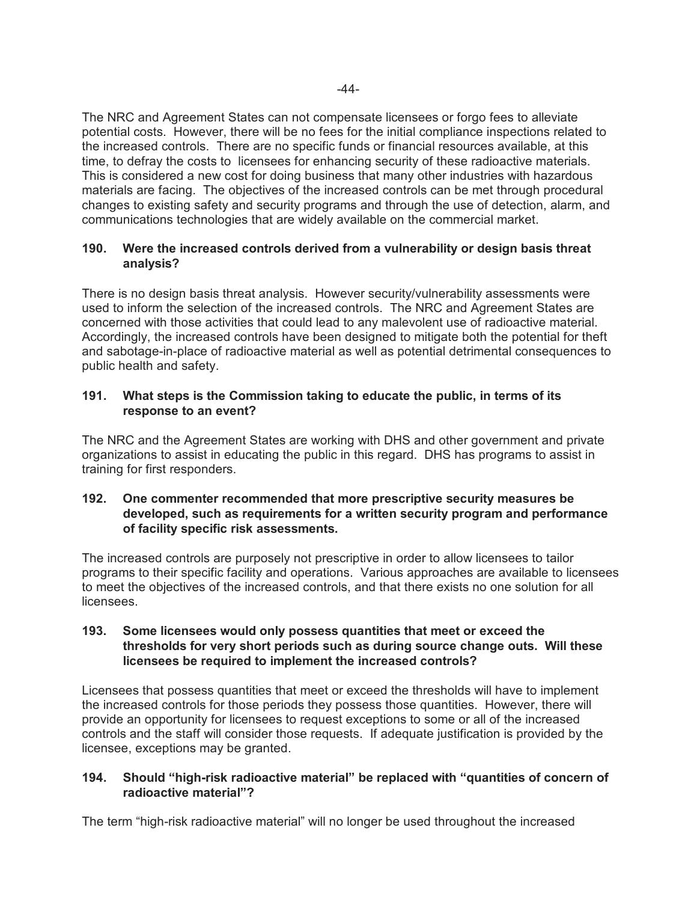The NRC and Agreement States can not compensate licensees or forgo fees to alleviate potential costs. However, there will be no fees for the initial compliance inspections related to the increased controls. There are no specific funds or financial resources available, at this time, to defray the costs to licensees for enhancing security of these radioactive materials. This is considered a new cost for doing business that many other industries with hazardous materials are facing.The objectives of the increased controls can be met through procedural changes to existing safety and security programs and through the use of detection, alarm, and communications technologies that are widely available on the commercial market.

## **190. Were the increased controls derived from a vulnerability or design basis threat analysis?**

There is no design basis threat analysis. However security/vulnerability assessments were used to inform the selection of the increased controls. The NRC and Agreement States are concerned with those activities that could lead to any malevolent use of radioactive material. Accordingly, the increased controls have been designed to mitigate both the potential for theft and sabotage-in-place of radioactive material as well as potential detrimental consequences to public health and safety.

## **191. What steps is the Commission taking to educate the public, in terms of its response to an event?**

The NRC and the Agreement States are working with DHS and other government and private organizations to assist in educating the public in this regard. DHS has programs to assist in training for first responders.

#### **192. One commenter recommended that more prescriptive security measures be developed, such as requirements for a written security program and performance of facility specific risk assessments.**

The increased controls are purposely not prescriptive in order to allow licensees to tailor programs to their specific facility and operations. Various approaches are available to licensees to meet the objectives of the increased controls, and that there exists no one solution for all licensees.

#### **193. Some licensees would only possess quantities that meet or exceed the thresholds for very short periods such as during source change outs. Will these licensees be required to implement the increased controls?**

Licensees that possess quantities that meet or exceed the thresholds will have to implement the increased controls for those periods they possess those quantities. However, there will provide an opportunity for licensees to request exceptions to some or all of the increased controls and the staff will consider those requests. If adequate justification is provided by the licensee, exceptions may be granted.

## **194. Should "high-risk radioactive material" be replaced with "quantities of concern of radioactive material"?**

The term "high-risk radioactive material" will no longer be used throughout the increased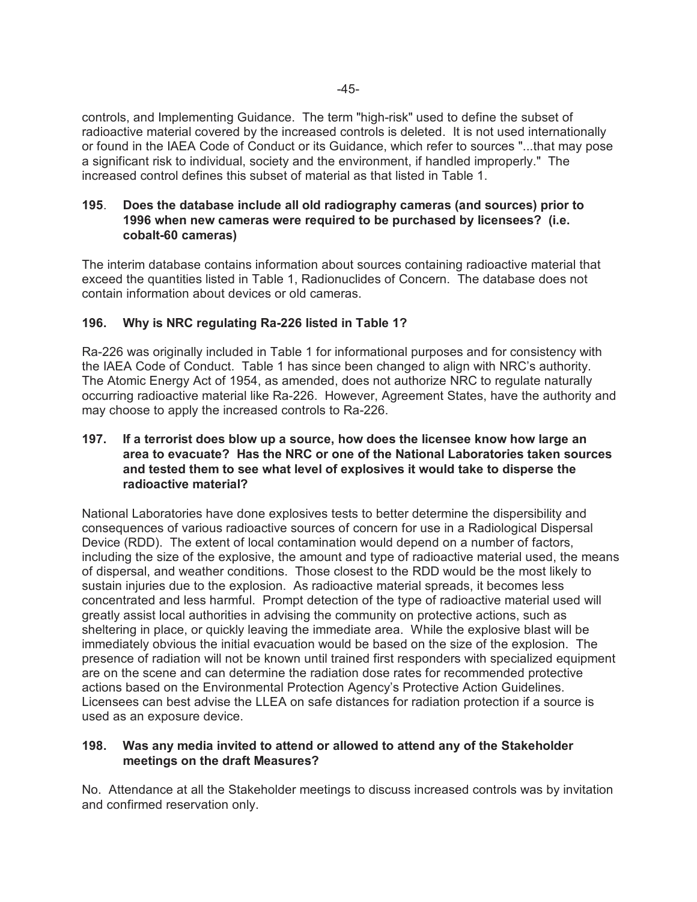controls, and Implementing Guidance. The term "high-risk" used to define the subset of radioactive material covered by the increased controls is deleted. It is not used internationally or found in the IAEA Code of Conduct or its Guidance, which refer to sources "...that may pose a significant risk to individual, society and the environment, if handled improperly." The increased control defines this subset of material as that listed in Table 1.

## **195**. **Does the database include all old radiography cameras (and sources) prior to 1996 when new cameras were required to be purchased by licensees? (i.e. cobalt-60 cameras)**

The interim database contains information about sources containing radioactive material that exceed the quantities listed in Table 1, Radionuclides of Concern. The database does not contain information about devices or old cameras.

## **196. Why is NRC regulating Ra-226 listed in Table 1?**

Ra-226 was originally included in Table 1 for informational purposes and for consistency with the IAEA Code of Conduct. Table 1 has since been changed to align with NRC's authority. The Atomic Energy Act of 1954, as amended, does not authorize NRC to regulate naturally occurring radioactive material like Ra-226. However, Agreement States, have the authority and may choose to apply the increased controls to Ra-226.

## **197. If a terrorist does blow up a source, how does the licensee know how large an area to evacuate? Has the NRC or one of the National Laboratories taken sources and tested them to see what level of explosives it would take to disperse the radioactive material?**

National Laboratories have done explosives tests to better determine the dispersibility and consequences of various radioactive sources of concern for use in a Radiological Dispersal Device (RDD). The extent of local contamination would depend on a number of factors, including the size of the explosive, the amount and type of radioactive material used, the means of dispersal, and weather conditions. Those closest to the RDD would be the most likely to sustain injuries due to the explosion. As radioactive material spreads, it becomes less concentrated and less harmful. Prompt detection of the type of radioactive material used will greatly assist local authorities in advising the community on protective actions, such as sheltering in place, or quickly leaving the immediate area. While the explosive blast will be immediately obvious the initial evacuation would be based on the size of the explosion. The presence of radiation will not be known until trained first responders with specialized equipment are on the scene and can determine the radiation dose rates for recommended protective actions based on the Environmental Protection Agency's Protective Action Guidelines. Licensees can best advise the LLEA on safe distances for radiation protection if a source is used as an exposure device.

## **198. Was any media invited to attend or allowed to attend any of the Stakeholder meetings on the draft Measures?**

No. Attendance at all the Stakeholder meetings to discuss increased controls was by invitation and confirmed reservation only.